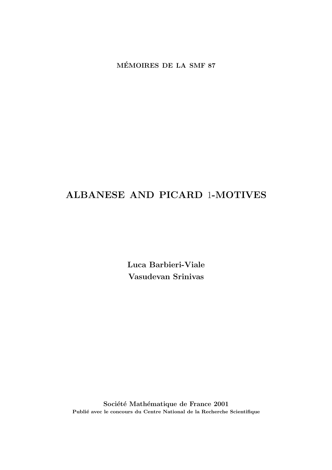**MEMOIRES DE LA SMF 87 ´**

# **ALBANESE AND PICARD** 1**-MOTIVES**

**Luca Barbieri-Viale Vasudevan Srinivas** 

Société Mathématique de France 2001 Publié avec le concours du Centre National de la Recherche Scientifique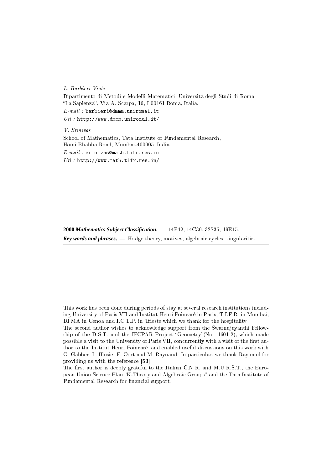L. Barbieri-Viale Dipartimento di Metodi e Modelli Matematici, Università degli Studi di Roma "La Sapienza", Via A. Scarpa, 16, I-00161 Roma, Italia.  $E-mail:$  barbieri@dmmm.uniroma1.it  $Url$ : http://www.dmmm.uniroma1.it/ V. Srinivas

School of Mathematics, Tata Institute of Fundamental Research, Homi Bhabha Road, Mumbai-400005, India.  $E-mail:$  srinivas@math.tifr.res.in

 $Url$ : http://www.math.tifr.res.in/

**2000** *Mathematics Subject Classification***. —** 14F42, 14C30, 32S35, 19E15. *Key words and phrases***. —** Hodge theory, motives, algebraic cycles, singularities.

This work has been done during periods of stay at several research institutions including University of Paris VII and Institut Henri Poincaré in Paris, T.I.F.R. in Mumbai, DI.MA in Genoa and I.C.T.P. in Trieste which we thank for the hospitality.

The second author wishes to acknowledge support from the Swarnajayanthi Fellowship of the D.S.T. and the IFCPAR Project "Geometry"(No. 1601-2), which made possible a visit to the University of Paris VII, concurrently with a visit of the first author to the Institut Henri Poincaré, and enabled useful discussions on this work with O. Gabber, L. Illusie, F. Oort and M. Raynaud. In particular, we thank Raynaud for providing us with the reference [53].

The first author is deeply grateful to the Italian C.N.R. and M.U.R.S.T., the European Union Science Plan "K-Theory and Algebraic Groups" and the Tata Institute of Fundamental Research for financial support.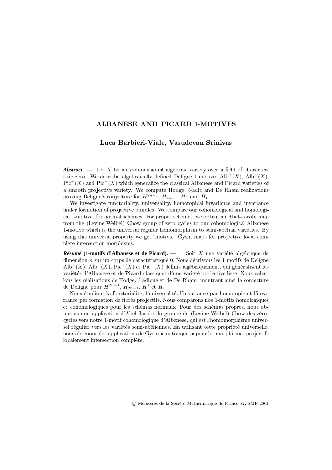### ALBANESE AND PICARD 1-MOTIVES

### Luca Barbieri-Viale, Vasudevan Srinivas

*Abstract.* — Let X be an *n*-dimensional algebraic variety over a field of characteristic zero. We describe algebraically defined Deligne 1-motives  $\text{Alb}^+(X)$ ,  $\text{Alb}^-(X)$ ,  $Pic<sup>+</sup>(X)$  and Pic<sup>−</sup>(X) which generalize the classical Albanese and Picard varieties of a smooth projective variety. We compute Hodge,  $\ell$ -adic and De Rham realizations proving Deligne's conjecture for  $H^{2n-1}$ ,  $H_{2n-1}$ ,  $H^1$  and  $H_1$ .

We investigate functoriality, universality, homotopical invariance and invariance under formation of projective bundles. We compare our cohomological and homological 1-motives for normal schemes. For proper schemes, we obtain an Abel-Jacobi map from the (Levine-Weibel) Chow group of zero cycles to our cohomological Albanese 1-motive which is the universal regular homomorphism to semi-abelian varieties. By using this universal property we get "motivic" Gysin maps for projective local complete intersection morphisms.

*Résumé* **(**1**-motifs d'Albanese et de Picard). —** Soit X une variété algébrique de dimension  $n$  sur un corps de caractéristique 0. Nous décrivons les 1-motifs de Deligne  $\text{Alb}^+(X)$ ,  $\text{Alb}^-(X)$ ,  $\text{Pic}^+(X)$  et  $\text{Pic}^-(X)$  définis algébriquement, qui généralisent les variétés d'Albanese et de Picard classiques d'une variété projective lisse. Nous calculons les réalisations de Hodge,  $\ell$ -adique et de De Rham, montrant ainsi la conjecture de Deligne pour  $H^{2n-1}$ ,  $H_{2n-1}$ ,  $H^1$  et  $H_1$ .

Nous étudions la fonctorialité, l'universalité, l'invariance par homotopie et l'invariance par formation de fibrés projectifs. Nous comparons nos 1-motifs homologiques et cohomologiques pour les schémas normaux. Pour des schémas propres, nous obtenons une application d'Abel-Jacobi du groupe de (Levine-Weibel) Chow des zérocycles vers notre 1-motif cohomologique d'Albanese, qui est l'homomorphisme universel régulier vers les variétés semi-abéliennes. En utilisant cette propriété universelle, nous obtenons des applications de Gysin « motiviques » pour les morphismes pro jectifs localement intersection complète.

<sup>c</sup> Mémoires de la Société Mathématique de France 87, SMF 2001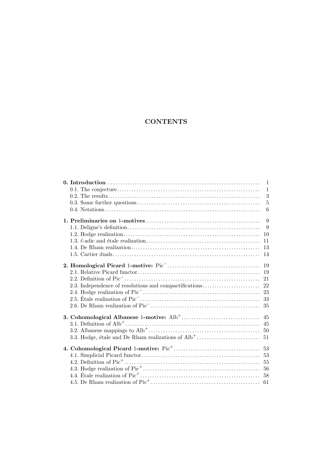## **CONTENTS**

|  | $\mathbf{1}$ |
|--|--------------|
|  | $\mathbf{1}$ |
|  | 3            |
|  | 5            |
|  | 6            |
|  | 9            |
|  | 9            |
|  |              |
|  | 11           |
|  |              |
|  |              |
|  | 19           |
|  |              |
|  |              |
|  |              |
|  | 23           |
|  |              |
|  |              |
|  |              |
|  |              |
|  |              |
|  |              |
|  |              |
|  |              |
|  |              |
|  |              |
|  |              |
|  |              |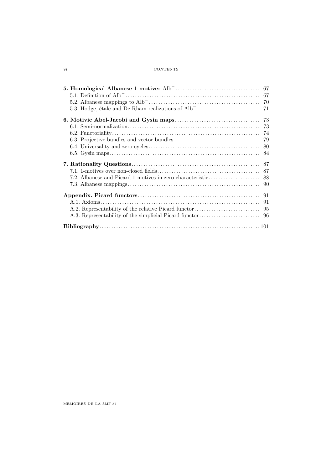### **vi** CONTENTS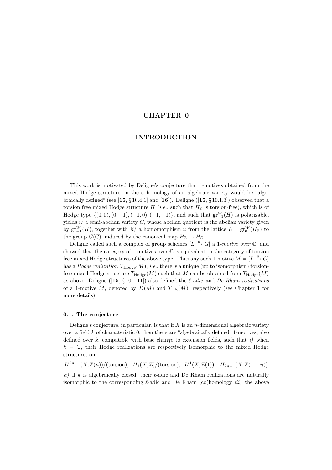### **CHAPTER 0**

### **INTRODUCTION**

This work is motivated by Deligne's conjecture that 1-motives obtained from the mixed Hodge structure on the cohomology of an algebraic variety would be "algebraically defined" (see [**15**, § 10.4.1] and [**16**]). Deligne ([**15**, § 10.1.3]) observed that a torsion free mixed Hodge structure  $H$  (*i.e.*, such that  $H_{\mathbb{Z}}$  is torsion-free), which is of Hodge type  $\{(0,0), (0, -1), (-1, 0), (-1, -1)\}\$ , and such that  $gr_{-1}^{W}(H)$  is polarizable, yields  $i)$  a semi-abelian variety  $G$ , whose abelian quotient is the abelian variety given by  $gr_{-1}^W(H)$ , together with  $ii)$  a homomorphism u from the lattice  $L = gr_0^W(H_Z)$  to the group  $G(\mathbb{C})$ , induced by the canonical map  $H_{\mathbb{Z}} \to H_{\mathbb{C}}$ .

Deligne called such a complex of group schemes  $[L \stackrel{u}{\rightarrow} G]$  a 1-motive over  $\mathbb{C}$ , and showed that the category of 1-motives over  $\mathbb C$  is equivalent to the category of torsion free mixed Hodge structures of the above type. Thus any such 1-motive  $M = [L \stackrel{u}{\rightarrow} G]$ has a *Hodge realization*  $T_{\text{Hodge}}(M)$ , *i.e.*, there is a unique (up to isomorphism) torsionfree mixed Hodge structure  $T_{\text{Hodge}}(M)$  such that M can be obtained from  $T_{\text{Hodge}}(M)$ as above. Deligne ([15,  $\S 10.1.11$ ]) also defined the  $\ell$ -adic and De Rham realizations of a 1-motive M, denoted by  $T_{\ell}(M)$  and  $T_{\text{DR}}(M)$ , respectively (see Chapter 1 for more details).

#### **0.1. The conjecture**

Deligne's conjecture, in particular, is that if  $X$  is an n-dimensional algebraic variety over a field  $k$  of characteristic  $0$ , then there are "algebraically defined" 1-motives, also defined over k, compatible with base change to extension fields, such that i) when  $k = \mathbb{C}$ , their Hodge realizations are respectively isomorphic to the mixed Hodge structures on

 $H^{2n-1}(X, \mathbb{Z}(n))/(torsion)$ ,  $H_1(X, \mathbb{Z})/(torsion)$ ,  $H^1(X, \mathbb{Z}(1))$ ,  $H_{2n-1}(X, \mathbb{Z}(1-n))$ 

ii) if k is algebraically closed, their  $\ell$ -adic and De Rham realizations are naturally isomorphic to the corresponding  $\ell$ -adic and De Rham (co)homology *iii*) the above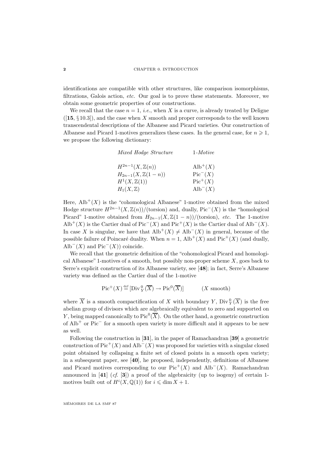#### **2** CHAPTER 0. INTRODUCTION

identifications are compatible with other structures, like comparison isomorphisms, filtrations, Galois action, etc. Our goal is to prove these statements. Moreover, we obtain some geometric properties of our constructions.

We recall that the case  $n = 1$ , *i.e.*, when X is a curve, is already treated by Deligne  $([15, \S 10.3])$ , and the case when X smooth and proper corresponds to the well known transcendental descriptions of the Albanese and Picard varieties. Our construction of Albanese and Picard 1-motives generalizes these cases. In the general case, for  $n \geq 1$ , we propose the following dictionary:

| Mixed Hodge Structure          | $1-Motive$            |
|--------------------------------|-----------------------|
| $H^{2n-1}(X,\mathbb{Z}(n))$    | $\mathrm{Alb}^+(X)$   |
| $H_{2n-1}(X, \mathbb{Z}(1-n))$ | $Pic^{-}(X)$          |
| $H^1(X,\mathbb{Z}(1))$         | $Pic^+(X)$            |
| $H_1(X,\mathbb{Z})$            | $\mathrm{Alb}^{-}(X)$ |

Here,  $\text{Alb}^+(X)$  is the "cohomological Albanese" 1-motive obtained from the mixed Hodge structure  $H^{2n-1}(X,\mathbb{Z}(n))/(torsion)$  and, dually, Pic<sup>-</sup>(X) is the "homological Picard" 1-motive obtained from  $H_{2n-1}(X, \mathbb{Z}(1 - n))/($ torsion), etc. The 1-motive Alb<sup>+</sup>(X) is the Cartier dual of Pic<sup>−</sup>(X) and Pic<sup>+</sup>(X) is the Cartier dual of Alb<sup>−</sup>(X). In case X is singular, we have that  $\text{Alb}^+(X) \neq \text{Alb}^-(X)$  in general, because of the possible failure of Poincaré duality. When  $n = 1$ , Alb<sup>+</sup>(X) and Pic<sup>+</sup>(X) (and dually, Alb<sup> $-$ </sup>(X) and Pic<sup> $-$ </sup>(X)) coincide.

We recall that the geometric definition of the "cohomological Picard and homological Albanese" 1-motives of a smooth, but possibly non-proper scheme  $X$ , goes back to Serre's explicit construction of its Albanese variety, see [**48**]; in fact, Serre's Albanese variety was defined as the Cartier dual of the 1-motive

$$
Pic^{+}(X) \stackrel{\text{def}}{=} [\text{Div}_{Y}^{0}(\overline{X}) \to \text{Pic}^{0}(\overline{X})] \qquad (X \text{ smooth})
$$

where  $\overline{X}$  is a smooth compactification of X with boundary Y, Div ${}_{Y}^{0}(\overline{X})$  is the free abelian group of divisors which are algebraically equivalent to zero and supported on Y, being mapped canonically to  $Pic^0(\overline{X})$ . On the other hand, a geometric construction of Alb<sup>+</sup> or Pic<sup>−</sup> for a smooth open variety is more difficult and it appears to be new as well.

Following the construction in [**31**], in the paper of Ramachandran [**39**] a geometric construction of Pic<sup>+</sup>(X) and Alb<sup>−</sup>(X) was proposed for varieties with a singular closed point obtained by collapsing a finite set of closed points in a smooth open variety; in a subsequent paper, see [**40**], he proposed, independently, definitions of Albanese and Picard motives corresponding to our  $Pic^+(X)$  and  $\text{Alb}^-(X)$ . Ramachandran announced in [**41**] (cf. [**3**]) a proof of the algebraicity (up to isogeny) of certain 1 motives built out of  $H^i(X, \mathbb{Q}(1))$  for  $i \leq \dim X + 1$ .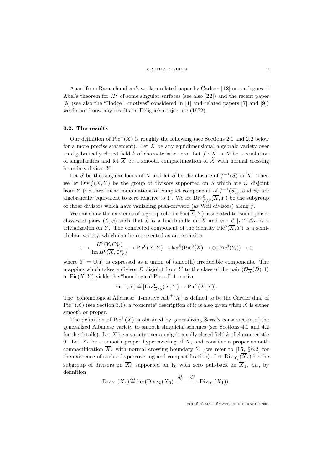Apart from Ramachandran's work, a related paper by Carlson [**12**] on analogues of Abel's theorem for  $H^2$  of some singular surfaces (see also [22]) and the recent paper [**3**] (see also the "Hodge 1-motives" considered in [**1**] and related papers [**7**] and [**9**]) we do not know any results on Deligne's conjecture (1972).

#### **0.2. The results**

Our definition of  $Pic^{-1}(X)$  is roughly the following (see Sections 2.1 and 2.2 below for a more precise statement). Let  $X$  be any equidimensional algebraic variety over an algebraically closed field k of characteristic zero. Let  $f : \tilde{X} \to X$  be a resolution of singularities and let  $\overline{X}$  be a smooth compactification of  $\widetilde{X}$  with normal crossing boundary divisor  $Y$ .

Let S be the singular locus of X and let  $\overline{S}$  be the closure of  $f^{-1}(S)$  in  $\overline{X}$ . Then we let  $\text{Div} \frac{0}{S}(\overline{X}, Y)$  be the group of divisors supported on  $\overline{S}$  which are i) disjoint from Y (*i.e.*, are linear combinations of compact components of  $f^{-1}(S)$ ), and *ii*) are algebraically equivalent to zero relative to Y. We let  $\text{Div} \frac{0}{S/S}(\overline{X}, Y)$  be the subgroup of those divisors which have vanishing push-forward (as Weil divisors) along  $f$ .

We can show the existence of a group scheme  $Pic(\overline{X}, Y)$  associated to isomorphism classes of pairs  $(\mathcal{L}, \varphi)$  such that  $\mathcal L$  is a line bundle on  $\overline X$  and  $\varphi : \mathcal L \mid_Y \cong \mathcal O_Y$  is a trivialization on Y. The connected component of the identity  $Pic^{0}(\overline{X}, Y)$  is a semiabelian variety, which can be represented as an extension

$$
0 \to \frac{H^0(Y, \mathcal{O}_Y^*)}{\text{im } H^0(\overline{X}, \mathcal{O}_{\overline{X}}^*)} \to \text{Pic}^0(\overline{X}, Y) \to \text{ker}^0(\text{Pic}^0(\overline{X}) \to \oplus_i \text{Pic}^0(Y_i)) \to 0
$$

where  $Y = \bigcup_i Y_i$  is expressed as a union of (smooth) irreducible components. The mapping which takes a divisor D disjoint from Y to the class of the pair  $(\mathcal{O}_{\overline{X}}(D), 1)$ in  $Pic(\overline{X}, Y)$  yields the "homological Picard" 1-motive

$$
\mathrm{Pic}^-(X) \stackrel{\text{def}}{=} [\mathrm{Div} \frac{0}{S/S}(\overline{X}, Y) \to \mathrm{Pic}^0(\overline{X}, Y)].
$$

The "cohomological Albanese" 1-motive  $\text{Alb}^+(X)$  is defined to be the Cartier dual of  $Pic^{-}(X)$  (see Section 3.1); a "concrete" description of it is also given when X is either smooth or proper.

The definition of  $Pic^+(X)$  is obtained by generalizing Serre's construction of the generalized Albanese variety to smooth simplicial schemes (see Sections 4.1 and 4.2 for the details). Let  $X$  be a variety over an algebraically closed field  $k$  of characteristic 0. Let  $X$ , be a smooth proper hypercovering of  $X$ , and consider a proper smooth compactification  $\overline{X}$ , with normal crossing boundary Y. (we refer to [15, §6.2] for the existence of such a hypercovering and compactification). Let Div  $_Y(X)$  be the subgroup of divisors on  $\overline{X}_0$  supported on  $Y_0$  with zero pull-back on  $\overline{X}_1$ , *i.e.*, by definition

Div 
$$
\gamma_*(\overline{X}_*)^{\text{def}} \ker(\text{Div }_{Y_0}(\overline{X}_0) \xrightarrow{d_0^* - d_1^*} \text{Div }_{Y_1}(\overline{X}_1)).
$$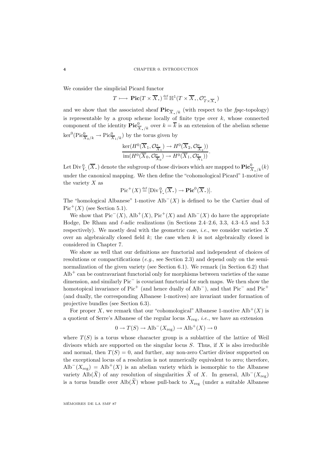We consider the simplicial Picard functor

 $T \longmapsto \mathrm{Pic}(T \times \overline{X}, \mathcal{E}) \stackrel{\text{def}}{=} \mathbb{H}^1(T \times \overline{X}, \mathcal{O}_{T \times \overline{X}, \mathcal{E}}^*)$ 

and we show that the associated sheaf  $\text{Pic}_{\overline{X}/k}$  (with respect to the fpqc-topology) is representable by a group scheme locally of finite type over  $k$ , whose connected component of the identity  $\mathbf{Pic}^0_{\overline{X},/k}$  over  $k = \overline{k}$  is an extension of the abelian scheme  $\ker^0(\text{Pic}^0_{\overline{X}_0/k} \to \text{Pic}^0_{\overline{X}_1/k})$  by the torus given by

$$
\frac{\ker(H^0(\overline{X}_1, \mathcal{O}^*_{\overline{X}_1}) \to H^0(\overline{X}_2, \mathcal{O}^*_{\overline{X}_2}))}{\text{im}(H^0(\overline{X}_0, \mathcal{O}^*_{\overline{X}_0}) \to H^0(\overline{X}_1, \mathcal{O}^*_{\overline{X}_1}))}.
$$

Let Div  $\frac{0}{Y}$ ,  $(\overline{X})$  denote the subgroup of those divisors which are mapped to  $\text{Pic}^0_{\overline{X}/k}(k)$ under the canonical mapping. We then define the "cohomological Picard" 1-motive of the variety  $X$  as

$$
Pic^+(X) \stackrel{\text{def}}{=} [\text{Div}_{Y_{\bullet}}^0(\overline{X}_{\bullet}) \to \text{Pic}^0(\overline{X}_{\bullet})].
$$

The "homological Albanese" 1-motive  $\text{Alb}^-(X)$  is defined to be the Cartier dual of  $Pic<sup>+</sup>(X)$  (see Section 5.1).

We show that  $Pic^{-}(X)$ ,  $\text{Alb}^{+}(X)$ ,  $\text{Pic}^{+}(X)$  and  $\text{Alb}^{-}(X)$  do have the appropriate Hodge, De Rham and  $\ell$ -adic realizations (in Sections 2.4–2.6, 3.3, 4.3–4.5 and 5.3 respectively). We mostly deal with the geometric case, *i.e.*, we consider varieties  $X$ over an algebraically closed field  $k$ ; the case when  $k$  is not algebraically closed is considered in Chapter 7.

We show as well that our definitions are functorial and independent of choices of resolutions or compactifications (e.g., see Section 2.3) and depend only on the seminormalization of the given variety (see Section 6.1). We remark (in Section 6.2) that  $\rm Alb^{+}$  can be contravariant functorial only for morphisms between varieties of the same dimension, and similarly Pic<sup>−</sup> is covariant functorial for such maps. We then show the homotopical invariance of Pic<sup>+</sup> (and hence dually of Alb<sup>−</sup>), and that Pic<sup>−</sup> and Pic<sup>+</sup> (and dually, the corresponding Albanese 1-motives) are invariant under formation of projective bundles (see Section 6.3).

For proper X, we remark that our "cohomological" Albanese 1-motive  $\text{Alb}^+(X)$  is a quotient of Serre's Albanese of the regular locus  $X_{\text{reg}}$ , *i.e.*, we have an extension

$$
0 \to T(S) \to \text{Alb}^-(X_{\text{reg}}) \to \text{Alb}^+(X) \to 0
$$

where  $T(S)$  is a torus whose character group is a sublattice of the lattice of Weil divisors which are supported on the singular locus  $S$ . Thus, if  $X$  is also irreducible and normal, then  $T(S) = 0$ , and further, any non-zero Cartier divisor supported on the exceptional locus of a resolution is not numerically equivalent to zero; therefore,  $\text{Alb}^-(X_{\text{reg}}) = \text{Alb}^+(X)$  is an abelian variety which is isomorphic to the Albanese variety Alb $(\tilde{X})$  of any resolution of singularities  $\tilde{X}$  of X. In general, Alb<sup>-</sup>(X<sub>reg</sub>) is a torus bundle over  $\text{Alb}(\tilde{X})$  whose pull-back to  $X_{\text{reg}}$  (under a suitable Albanese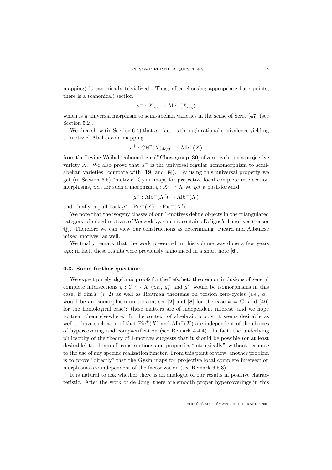mapping) is canonically trivialized. Thus, after choosing appropriate base points, there is a (canonical) section

$$
a^- : X_{\text{reg}} \to \text{Alb}^-(X_{\text{reg}})
$$

which is a universal morphism to semi-abelian varieties in the sense of Serre [47] (see Section 5.2).

We then show (in Section 6.4) that  $a^-$  factors through rational equivalence yielding a "motivic" Abel-Jacobi mapping

$$
a^+ : \operatorname{CH}^n(X)_{\deg 0} \to \operatorname{Alb}^+(X)
$$

from the Levine-Weibel "cohomological"Chow group [**30**] of zero-cycles on a projective variety X. We also prove that  $a^+$  is the universal regular homomorphism to semiabelian varieties (compare with [**19**] and [**8**]). By using this universal property we get (in Section 6.5) "motivic" Gysin maps for projective local complete intersection morphisms, *i.e.*, for such a morphism  $g: X' \to X$  we get a push-forward

$$
g^+_* : \text{Alb}^+(X') \to \text{Alb}^+(X)
$$

and, dually, a pull-back  $g^*$ : Pic<sup>-</sup> $(X) \rightarrow Pic^{-}(X')$ .

We note that the isogeny classes of our 1-motives define objects in the triangulated category of mixed motives of Voevodsky, since it contains Deligne's 1-motives (tensor Q). Therefore we can view our constructions as determining "Picard and Albanese mixed motives" as well.

We finally remark that the work presented in this volume was done a few years ago; in fact, these results were previously announced in a short note [**6**].

#### **0.3. Some further questions**

We expect purely algebraic proofs for the Lefschetz theorem on inclusions of general complete intersections  $g: Y \hookrightarrow X$  (*i.e.*,  $g^+_*$  and  $g^*_-$  would be isomorphisms in this case, if dim  $Y \ge 2$ ) as well as Roitman theorems on torsion zero-cycles (*i.e.*,  $a^+$ would be an isomorphism on torsion, see [2] and [8] for the case  $k = \mathbb{C}$ , and [46] for the homological case): these matters are of independent interest, and we hope to treat them elsewhere. In the context of algebraic proofs, it seems desirable as well to have such a proof that  $Pic^+(X)$  and  $\text{Alb}^-(X)$  are independent of the choices of hypercovering and compactification (see Remark 4.4.4). In fact, the underlying philosophy of the theory of 1-motives suggests that it should be possible (or at least desirable) to obtain all constructions and properties "intrinsically", without recourse to the use of any specific realization functor. From this point of view, another problem is to prove "directly" that the Gysin maps for projective local complete intersection morphisms are independent of the factorization (see Remark 6.5.3).

It is natural to ask whether there is an analogue of our results in positive characteristic. After the work of de Jong, there are smooth proper hypercoverings in this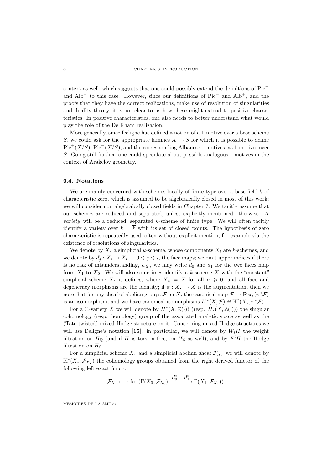#### **6** CHAPTER 0. INTRODUCTION

context as well, which suggests that one could possibly extend the definitions of Pic<sup>+</sup> and Alb<sup>−</sup> to this case. However, since our definitions of Pic<sup>−</sup> and Alb<sup>+</sup>, and the proofs that they have the correct realizations, make use of resolution of singularities and duality theory, it is not clear to us how these might extend to positive characteristics. In positive characteristics, one also needs to better understand what would play the role of the De Rham realization.

More generally, since Deligne has defined a notion of a 1-motive over a base scheme S, we could ask for the appropriate families  $X \to S$  for which it is possible to define  $Pic^+(X/S)$ , Pic<sup>−</sup>(X/S), and the corresponding Albanese 1-motives, as 1-motives over S. Going still further, one could speculate about possible analogous 1-motives in the context of Arakelov geometry.

#### **0.4. Notations**

We are mainly concerned with schemes locally of finite type over a base field  $k$  of characteristic zero, which is assumed to be algebraically closed in most of this work; we will consider non algebraically closed fields in Chapter 7. We tacitly assume that our schemes are reduced and separated, unless explicitly mentioned otherwise. A variety will be a reduced, separated k-scheme of finite type. We will often tacitly identify a variety over  $k = \overline{k}$  with its set of closed points. The hypothesis of zero characteristic is repeatedly used, often without explicit mention, for example via the existence of resolutions of singularities.

We denote by X. a simplicial k-scheme, whose components  $X_i$  are k-schemes, and we denote by  $d_j^i: X_i \to X_{i-1}$ ,  $0 \leqslant j \leqslant i$ , the face maps; we omit upper indices if there is no risk of misunderstanding, e.g., we may write  $d_0$  and  $d_1$  for the two faces map from  $X_1$  to  $X_0$ . We will also sometimes identify a k-scheme X with the "constant" simplicial scheme X. it defines, where  $X_n = X$  for all  $n \geq 0$ , and all face and degeneracy morphisms are the identity; if  $\pi : X \to X$  is the augmentation, then we note that for any sheaf of abelian groups  $\mathcal{F}$  on X, the canonical map  $\mathcal{F} \to \mathbf{R} \pi_*(\pi^* \mathcal{F})$ is an isomorphism, and we have canonical isomorphisms  $H^*(X, \mathcal{F}) \cong \mathbb{H}^*(X, \pi^* \mathcal{F})$ .

For a C-variety X we will denote by  $H^*(X,\mathbb{Z}(\cdot))$  (resp.  $H_*(X,\mathbb{Z}(\cdot))$ ) the singular cohomology (resp. homology) group of the associated analytic space as well as the (Tate twisted) mixed Hodge structure on it. Concerning mixed Hodge structures we will use Deligne's notation [15]: in particular, we will denote by  $W_iH$  the weight filtration on  $H_{\mathbb{Q}}$  (and if H is torsion free, on  $H_{\mathbb{Z}}$  as well), and by  $F^iH$  the Hodge filtration on  $H_{\mathbb{C}}$ .

For a simplicial scheme X. and a simplicial abelian sheaf  $\mathcal{F}_X$ , we will denote by  $\mathbb{H}^*(X, \mathcal{F}_X)$  the cohomology groups obtained from the right derived functor of the following left exact functor

$$
\mathcal{F}_X \longmapsto \ker(\Gamma(X_0, \mathcal{F}_{X_0}) \xrightarrow{d_0^* - d_1^*} \Gamma(X_1, \mathcal{F}_{X_1})).
$$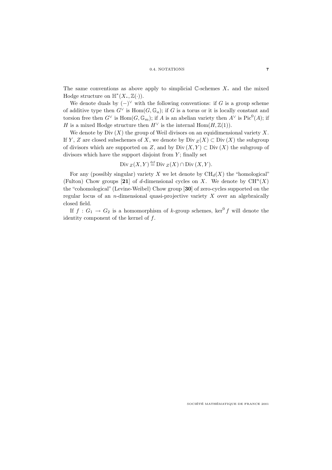#### 0.4. NOTATIONS **7**

The same conventions as above apply to simplicial  $\mathbb{C}$ -schemes X. and the mixed Hodge structure on  $\mathbb{H}^*(X, \mathbb{Z}(\cdot)).$ 

We denote duals by  $(-)^{\vee}$  with the following conventions: if G is a group scheme of additive type then  $G^{\vee}$  is  $\text{Hom}(G,\mathbb{G}_a)$ ; if G is a torus or it is locally constant and torsion free then  $G^{\vee}$  is  $\text{Hom}(G,\mathbb{G}_m)$ ; if A is an abelian variety then  $A^{\vee}$  is  $\text{Pic}^0(A)$ ; if H is a mixed Hodge structure then  $H^{\vee}$  is the internal Hom $(H, \mathbb{Z}(1)).$ 

We denote by  $Div(X)$  the group of Weil divisors on an equidimensional variety X. If Y, Z are closed subschemes of X, we denote by Div  $_Z(X) \subset \text{Div}(X)$  the subgroup of divisors which are supported on Z, and by Div  $(X, Y) \subset \text{Div}(X)$  the subgroup of divisors which have the support disjoint from  $Y$ ; finally set

Div 
$$
z(X, Y) \stackrel{\text{def}}{=} \text{Div } z(X) \cap \text{Div } (X, Y).
$$

For any (possibly singular) variety X we let denote by  $\text{CH}_d(X)$  the "homological" (Fulton) Chow groups [21] of d-dimensional cycles on X. We denote by  $\mathrm{CH}^n(X)$ the "cohomological" (Levine-Weibel) Chow group [**30**] of zero-cycles supported on the regular locus of an *n*-dimensional quasi-projective variety  $X$  over an algebraically closed field.

If  $f: G_1 \to G_2$  is a homomorphism of k-group schemes, ker<sup>0</sup> f will denote the identity component of the kernel of f.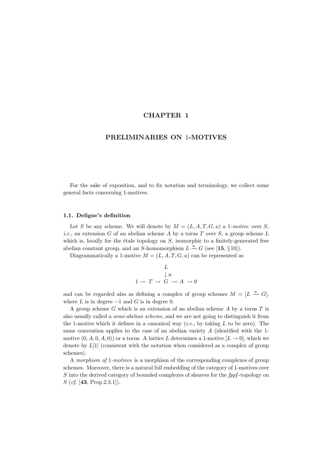### **CHAPTER 1**

### **PRELIMINARIES ON** 1**-MOTIVES**

For the sake of exposition, and to fix notation and terminology, we collect some general facts concerning 1-motives.

### **1.1. Deligne's definition**

Let S be any scheme. We will denote by  $M = (L, A, T, G, u)$  a 1-motive over S, *i.e.*, an extension G of an abelian scheme A by a torus T over S, a group scheme L which is, locally for the étale topology on  $S$ , isomorphic to a finitely-generated free abelian constant group, and an S-homomorphism  $L \stackrel{u}{\rightarrow} G$  (see [15, §10]).

Diagrammatically a 1-motive  $M = (L, A, T, G, u)$  can be represented as

$$
\begin{array}{ccc}\n & L & \\
 & \downarrow u & \\
1 \to & T \to & G \to A \to 0\n\end{array}
$$

and can be regarded also as defining a complex of group schemes  $M = [L \stackrel{u}{\rightarrow} G],$ where  $L$  is in degree  $-1$  and  $G$  is in degree 0.

A group scheme  $G$  which is an extension of an abelian scheme  $A$  by a torus  $T$  is also usually called a semi-abelian scheme, and we are not going to distinguish it from the 1-motive which it defines in a canonical way (*i.e.*, by taking  $L$  to be zero). The same convention applies to the case of an abelian variety  $A$  (identified with the 1motive  $(0, A, 0, A, 0)$  or a torus. A lattice L determines a 1-motive  $[L \rightarrow 0]$ , which we denote by  $L[1]$  (consistent with the notation when considered as a complex of group schemes).

A morphism of 1-motives is a morphism of the corresponding complexes of group schemes. Moreover, there is a natural full embedding of the category of 1-motives over S into the derived category of bounded complexes of sheaves for the fppf-topology on S (cf. [**43**, Prop.2.3.1]).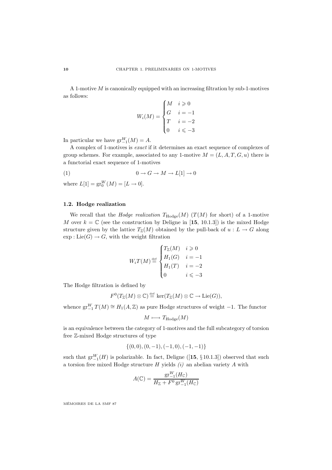A 1-motive  $M$  is canonically equipped with an increasing filtration by sub-1-motives as follows:

$$
W_i(M) = \begin{cases} M & i \geq 0 \\ G & i = -1 \\ T & i = -2 \\ 0 & i \leq -3 \end{cases}
$$

In particular we have  $gr_{-1}^W(M) = A$ .

A complex of 1-motives is exact if it determines an exact sequence of complexes of group schemes. For example, associated to any 1-motive  $M = (L, A, T, G, u)$  there is a functorial exact sequence of 1-motives

$$
(1) \t\t 0 \to G \to M \to L[1] \to 0
$$

where  $L[1] = \text{gr}_0^W(M) = [L \to 0].$ 

### **1.2. Hodge realization**

We recall that the *Hodge realization*  $T_{\text{Hodge}}(M)$  ( $T(M)$  for short) of a 1-motive M over  $k = \mathbb{C}$  (see the construction by Deligne in [15, 10.1.3]) is the mixed Hodge structure given by the lattice  $T_{\mathbb{Z}}(M)$  obtained by the pull-back of  $u : L \to G$  along  $\exp: \text{Lie}(G) \to G$ , with the weight filtration

$$
W_i T(M) \stackrel{\text{def}}{=} \begin{cases} T_{\mathbb{Z}}(M) & i \geqslant 0 \\ H_1(G) & i = -1 \\ H_1(T) & i = -2 \\ 0 & i \leqslant -3 \end{cases}
$$

The Hodge filtration is defined by

$$
F^0(T_{\mathbb{Z}}(M)\otimes \mathbb{C})\stackrel{\text{def}}{=} \ker(T_{\mathbb{Z}}(M)\otimes \mathbb{C}\to \mathrm{Lie}(G)),
$$

whence  $gr_{-1}^W T(M) \cong H_1(A, \mathbb{Z})$  as pure Hodge structures of weight -1. The functor

$$
M \longmapsto T_{\text{Hodge}}(M)
$$

is an equivalence between the category of 1-motives and the full subcategory of torsion free Z-mixed Hodge structures of type

$$
\{(0,0), (0,-1), (-1,0), (-1,-1)\}
$$

such that  $gr_{-1}^W(H)$  is polarizable. In fact, Deligne ([15, §10.1.3]) observed that such a torsion free mixed Hodge structure  $H$  yields  $(i)$  an abelian variety  $A$  with

$$
A(\mathbb{C}) = \frac{\mathrm{gr}_{-1}^W(H_{\mathbb{C}})}{H_{\mathbb{Z}} + F^0 \mathrm{gr}_{-1}^W(H_{\mathbb{C}})}
$$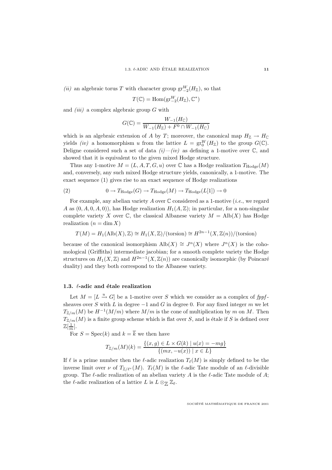(*ii*) an algebraic torus T with character group  $gr_{-2}^W(H_Z)$ , so that

$$
T(\mathbb{C}) = \text{Hom}(\text{gr}_{-2}^W(H_{\mathbb{Z}}), \mathbb{C}^*)
$$

and  $(iii)$  a complex algebraic group  $G$  with

$$
G(\mathbb{C}) = \frac{W_{-1}(H_{\mathbb{C}})}{W_{-1}(H_{\mathbb{Z}}) + F^0 \cap W_{-1}(H_{\mathbb{C}})}
$$

which is an algebraic extension of A by T; moreover, the canonical map  $H_{\mathbb{Z}} \to H_{\mathbb{C}}$ yields *(iv)* a homomorphism u from the lattice  $L = \text{gr}_{0}^{W}(H_{\mathbb{Z}})$  to the group  $G(\mathbb{C})$ . Deligne considered such a set of data  $(i)$ — $(iv)$  as defining a 1-motive over  $\mathbb{C}$ , and showed that it is equivalent to the given mixed Hodge structure.

Thus any 1-motive  $M = (L, A, T, G, u)$  over  $\mathbb C$  has a Hodge realization  $T_{\text{Hodge}}(M)$ and, conversely, any such mixed Hodge structure yields, canonically, a 1-motive. The exact sequence (1) gives rise to an exact sequence of Hodge realizations

(2) 
$$
0 \to T_{\text{Hodge}}(G) \to T_{\text{Hodge}}(M) \to T_{\text{Hodge}}(L[1]) \to 0
$$

For example, any abelian variety A over  $\mathbb C$  considered as a 1-motive (*i.e.*, we regard A as  $(0, A, 0, A, 0)$ , has Hodge realization  $H_1(A, \mathbb{Z})$ ; in particular, for a non-singular complete variety X over  $\mathbb C$ , the classical Albanese variety  $M = \text{Alb}(X)$  has Hodge realization  $(n = \dim X)$ 

$$
T(M) = H_1(\text{Alb}(X), \mathbb{Z}) \cong H_1(X, \mathbb{Z})/(\text{torsion}) \cong H^{2n-1}(X, \mathbb{Z}(n))/(\text{torsion})
$$

because of the canonical isomorphism  $\text{Alb}(X) \cong J^n(X)$  where  $J^n(X)$  is the cohomological (Griffiths) intermediate jacobian; for a smooth complete variety the Hodge structures on  $H_1(X, \mathbb{Z})$  and  $H^{2n-1}(X, \mathbb{Z}(n))$  are canonically isomorphic (by Poincaré duality) and they both correspond to the Albanese variety.

#### 1.3.  $\ell$ -adic and étale realization

Let  $M = [L \stackrel{u}{\rightarrow} G]$  be a 1-motive over S which we consider as a complex of fppfsheaves over S with L in degree  $-1$  and G in degree 0. For any fixed integer m we let  $T_{\mathbb{Z}/m}(M)$  be  $H^{-1}(M/m)$  where  $M/m$  is the cone of multiplication by m on M. Then  $T_{\mathbb{Z}/m}(M)$  is a finite group scheme which is flat over S, and is étale if S is defined over  $\mathbb{Z}[\frac{1}{m}].$ 

For  $S = \text{Spec}(k)$  and  $k = \overline{k}$  we then have

$$
T_{\mathbb{Z}/m}(M)(k) = \frac{\{(x,g) \in L \times G(k) \mid u(x) = -mg\}}{\{(mx, -u(x)) \mid x \in L\}}
$$

If  $\ell$  is a prime number then the  $\ell$ -adic realization  $T_{\ell}(M)$  is simply defined to be the inverse limit over  $\nu$  of  $T_{\mathbb{Z}/\ell\nu}(M)$ .  $T_{\ell}(M)$  is the  $\ell$ -adic Tate module of an  $\ell$ -divisible group. The  $\ell$ -adic realization of an abelian variety A is the  $\ell$ -adic Tate module of A; the  $\ell$ -adic realization of a lattice L is  $L \otimes_{\mathbb{Z}} \mathbb{Z}_{\ell}$ .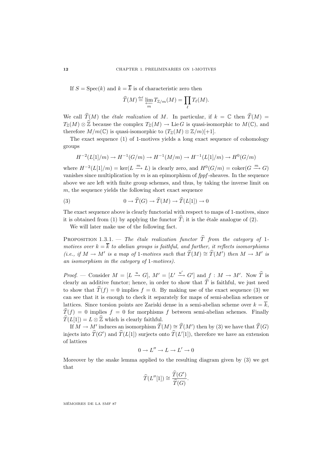If  $S = \text{Spec}(k)$  and  $k = \overline{k}$  is of characteristic zero then

$$
\widehat{T}(M) \stackrel{\text{\tiny def}}{=} \varprojlim_m T_{\mathbb{Z}/m}(M) = \prod_{\ell} T_{\ell}(M).
$$

We call  $\widehat{T}(M)$  the *étale realization* of M. In particular, if  $k = \mathbb{C}$  then  $\widehat{T}(M) =$  $T_{\mathbb{Z}}(M) \otimes \widehat{\mathbb{Z}}$  because the complex  $T_{\mathbb{Z}}(M) \to \text{Lie } G$  is quasi-isomorphic to  $M(\mathbb{C})$ , and therefore  $M/m(\mathbb{C})$  is quasi-isomorphic to  $(T_{\mathbb{Z}}(M) \otimes \mathbb{Z}/m)[+1]$ .

The exact sequence (1) of 1-motives yields a long exact sequence of cohomology groups

$$
H^{-2}(L[1]/m) \to H^{-1}(G/m) \to H^{-1}(M/m) \to H^{-1}(L[1]/m) \to H^0(G/m)
$$

where  $H^{-2}(L[1]/m) = \text{ker}(L \xrightarrow{m} L)$  is clearly zero, and  $H^0(G/m) = \text{coker}(G \xrightarrow{m} G)$ vanishes since multiplication by  $m$  is an epimorphism of  $fppf$ -sheaves. In the sequence above we are left with finite group schemes, and thus, by taking the inverse limit on  $m$ , the sequence yields the following short exact sequence

(3) 
$$
0 \to \widehat{T}(G) \to \widehat{T}(M) \to \widehat{T}(L[1]) \to 0
$$

The exact sequence above is clearly functorial with respect to maps of 1-motives, since it is obtained from (1) by applying the functor  $\hat{T}$ ; it is the étale analogue of (2).

We will later make use of the following fact.

PROPOSITION 1.3.1. — The étale realization functor  $\hat{T}$  from the category of 1motives over  $k = \overline{k}$  to abelian groups is faithful, and further, it reflects isomorphisms (i.e., if  $M \to M'$  is a map of 1-motives such that  $\widehat{T}(M) \cong \widehat{T}(M')$  then  $M \to M'$  is an isomorphism in the category of 1-motives).

*Proof.* — Consider  $M = [L \stackrel{u}{\rightarrow} G], M' = [L' \stackrel{u'}{\rightarrow} G']$  and  $f : M \rightarrow M'$ . Now  $\widehat{T}$  is clearly an additive functor; hence, in order to show that  $\hat{T}$  is faithful, we just need to show that  $\hat{T}(f) = 0$  implies  $f = 0$ . By making use of the exact sequence (3) we can see that it is enough to check it separately for maps of semi-abelian schemes or lattices. Since torsion points are Zariski dense in a semi-abelian scheme over  $k = \overline{k}$ ,  $\hat{T}(f) = 0$  implies  $f = 0$  for morphisms f between semi-abelian schemes. Finally  $\widehat{T}(L[1]) = L \otimes \widehat{\mathbb{Z}}$  which is clearly faithful.

If  $M \to M'$  induces an isomorphism  $\widehat{T}(M) \cong \widehat{T}(M')$  then by (3) we have that  $\widehat{T}(G)$ injects into  $T(G')$  and  $T(L[1])$  surjects onto  $T(L'[1])$ , therefore we have an extension of lattices

$$
0 \to L'' \to L \to L' \to 0
$$

Moreover by the snake lemma applied to the resulting diagram given by (3) we get that

$$
\widehat{T}(L''[1]) \cong \frac{\widehat{T}(G')}{\widehat{T}(G)}.
$$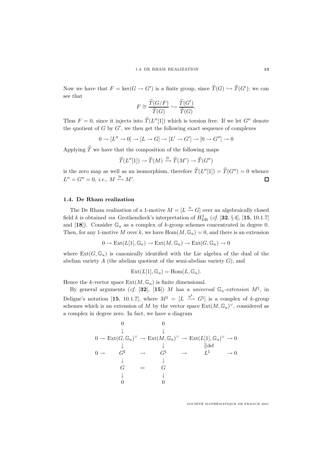Now we have that  $F = \ker(G \to G')$  is a finite group, since  $T(G) \hookrightarrow T(G')$ ; we can see that

$$
F \cong \frac{\widehat{T}(G/F)}{\widehat{T}(G)} \hookrightarrow \frac{\widehat{T}(G')}{\widehat{T}(G)}.
$$

Thus  $F = 0$ , since it injects into  $\widehat{T}(L''[1])$  which is torsion free. If we let G'' denote the quotient of  $G$  by  $G'$ , we then get the following exact sequence of complexes

$$
0 \to [L'' \to 0] \to [L \to G] \to [L' \to G'] \to [0 \to G''] \to 0
$$

Applying  $\hat{T}$  we have that the composition of the following maps

$$
\widehat{T}(L''[1]) \to \widehat{T}(M) \xrightarrow{\cong} \widehat{T}(M') \to \widehat{T}(G'')
$$

is the zero map as well as an isomorphism, therefore  $\hat{T}(L''[1]) = \hat{T}(G'') = 0$  whence  $L'' = G'' = 0, \ i.e., M \stackrel{\cong}{\longrightarrow} M'.$  $\Box$ 

### **1.4. De Rham realization**

The De Rham realization of a 1-motive  $M = [L \stackrel{u}{\rightarrow} G]$  over an algebraically closed field k is obtained *via* Grothendieck's interpretation of  $H_{DR}^1$  (*cf.* [32, §4], [15, 10.1.7] and  $[18]$ ). Consider  $\mathbb{G}_a$  as a complex of k-group schemes concentrated in degree 0. Then, for any 1-motive M over k, we have  $\text{Hom}(M, \mathbb{G}_a) = 0$ , and there is an extension

$$
0 \to \text{Ext}(L[1], \mathbb{G}_a) \to \text{Ext}(M, \mathbb{G}_a) \to \text{Ext}(G, \mathbb{G}_a) \to 0
$$

where  $Ext(G, \mathbb{G}_a)$  is canonically identified with the Lie algebra of the dual of the abelian variety  $A$  (the abelian quotient of the semi-abelian variety  $G$ ), and

$$
Ext(L[1], \mathbb{G}_a) = Hom(L, \mathbb{G}_a).
$$

Hence the k-vector space  $Ext(M, \mathbb{G}_a)$  is finite dimensional.

By general arguments (cf. [32], [15]) M has a universal  $\mathbb{G}_a$ -extension  $M^{\natural}$ , in Deligne's notation [15, 10.1.7], where  $M^{\natural} = [L \stackrel{u^{\natural}}{\longrightarrow} G^{\natural}]$  is a complex of k-group schemes which is an extension of M by the vector space  $Ext(M, \mathbb{G}_a)^{\vee}$ , considered as a complex in degree zero. In fact, we have a diagram

$$
0 \longrightarrow \operatorname{Ext}(G, \mathbb{G}_a)^{\vee} \to \operatorname{Ext}(M, \mathbb{G}_a)^{\vee} \to \operatorname{Ext}(L[1], \mathbb{G}_a)^{\vee} \to 0
$$
  
\n
$$
0 \to G^{\sharp} \to G^{\sharp} \to G^{\sharp} \to L^{\sharp} \to 0
$$
  
\n
$$
\downarrow G = G
$$
  
\n
$$
\downarrow \downarrow
$$
  
\n0 
$$
0
$$
  
\n0  
\n0  
\n0  
\n0  
\n0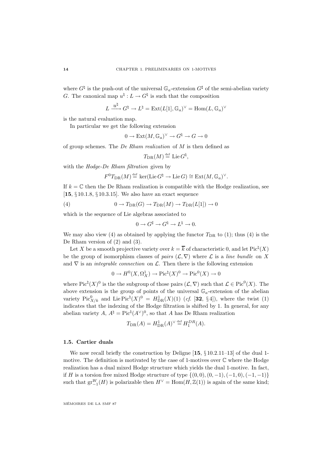where  $G^{\sharp}$  is the push-out of the universal  $\mathbb{G}_a$ -extension  $G^{\sharp}$  of the semi-abelian variety G. The canonical map  $u^{\sharp}: L \to G^{\sharp}$  is such that the composition

$$
L \xrightarrow{u^{\natural}} G^{\natural} \to L^{\natural} = \text{Ext}(L[1], \mathbb{G}_a)^{\vee} = \text{Hom}(L, \mathbb{G}_a)^{\vee}
$$

is the natural evaluation map.

In particular we get the following extension

$$
0\to \operatorname{Ext}(M,{\mathbb G}_a)^\vee\to G^{\natural}\to G\to 0
$$

of group schemes. The De Rham realization of M is then defined as

$$
T_{\mathrm{DR}}(M) \stackrel{\scriptscriptstyle \mathrm{def}}{=} \mathrm{Lie}\, G^\natural,
$$

with the Hodge-De Rham filtration given by

$$
F^0T_{\mathrm{DR}}(M)\stackrel{\text{def}}{=} \ker(\mathrm{Lie} G^\natural\to \mathrm{Lie} G)\cong \mathrm{Ext}(M,\mathbb{G}_a)^\vee.
$$

If  $k = \mathbb{C}$  then the De Rham realization is compatible with the Hodge realization, see [**15**, § 10.1.8, § 10.3.15]. We also have an exact sequence

(4) 
$$
0 \to T_{\text{DR}}(G) \to T_{\text{DR}}(M) \to T_{\text{DR}}(L[1]) \to 0
$$

which is the sequence of Lie algebras associated to

$$
0 \to G^{\sharp} \to G^{\natural} \to L^{\natural} \to 0.
$$

We may also view (4) as obtained by applying the functor  $T_{\text{DR}}$  to (1); thus (4) is the De Rham version of (2) and (3).

Let X be a smooth projective variety over  $k = \overline{k}$  of characteristic 0, and let  $Pic<sup>\natural</sup>(X)$ be the group of isomorphism classes of pairs  $(\mathcal{L}, \nabla)$  where  $\mathcal L$  is a line bundle on X and  $\nabla$  is an *integrable connection* on  $\mathcal{L}$ . Then there is the following extension

$$
0 \to H^0(X, \Omega^1_X) \to \mathrm{Pic}^{\natural}(X)^0 \to \mathrm{Pic}^0(X) \to 0
$$

where  $Pic^{\natural}(X)^{0}$  is the the subgroup of those pairs  $(\mathcal{L}, \nabla)$  such that  $\mathcal{L} \in Pic^{0}(X)$ . The above extension is the group of points of the universal  $\mathbb{G}_a$ -extension of the abelian variety  $\operatorname{Pic}^0_{X/k}$  and  $\operatorname{Lie}^{\natural}(X)^0 = H^1_{\mathrm{DR}}(X)(1)$  (cf. [32, §4]), where the twist (1) indicates that the indexing of the Hodge filtration is shifted by 1. In general, for any abelian variety  $A, A^{\dagger} = Pic^{\dagger}(A^{\vee})^0$ , so that A has De Rham realization

$$
T_{\text{DR}}(A) = H_{\text{DR}}^1(A)^{\vee} \stackrel{\text{def}}{=} H_1^{DR}(A).
$$

#### **1.5. Cartier duals**

We now recall briefly the construction by Deligne [**15**, § 10.2.11–13] of the dual 1 motive. The definition is motivated by the case of 1-motives over  $\mathbb C$  where the Hodge realization has a dual mixed Hodge structure which yields the dual 1-motive. In fact, if H is a torsion free mixed Hodge structure of type  ${(0,0), (0, -1), (-1, 0), (-1, -1)}$ such that  $gr_{-1}^W(H)$  is polarizable then  $H^{\vee} = \text{Hom}(H, \mathbb{Z}(1))$  is again of the same kind;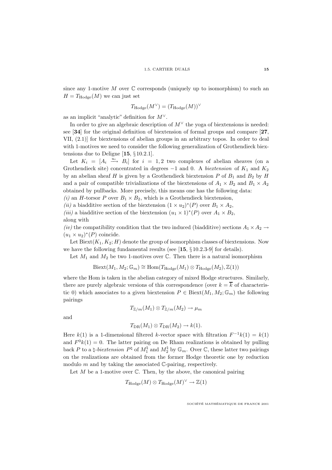since any 1-motive  $M$  over  $\mathbb C$  corresponds (uniquely up to isomorphism) to such an  $H = T_{\text{Hodge}}(M)$  we can just set

$$
T_{\rm Hodge}(M^{\vee}) = (T_{\rm Hodge}(M))^{\vee}
$$

as an implicit "analytic" definition for  $M^{\vee}$ .

In order to give an algebraic description of  $M^{\vee}$  the yoga of biextensions is needed: see [**34**] for the original definition of biextension of formal groups and compare [**27**, VII, (2.1)] for biextensions of abelian groups in an arbitrary topos. In order to deal with 1-motives we need to consider the following generalization of Grothendieck biextensions due to Deligne [**15**, § 10.2.1].

Let  $K_i = [A_i \stackrel{u_i}{\longrightarrow} B_i]$  for  $i = 1, 2$  two complexes of abelian sheaves (on a Grothendieck site) concentrated in degrees  $-1$  and 0. A *biextension* of  $K_1$  and  $K_2$ by an abelian sheaf H is given by a Grothendieck biextension P of  $B_1$  and  $B_2$  by H and a pair of compatible trivializations of the biextensions of  $A_1 \times B_2$  and  $B_1 \times A_2$ obtained by pullbacks. More precisely, this means one has the following data:

(i) an H-torsor P over  $B_1 \times B_2$ , which is a Grothendieck biextension,

(ii) a biadditive section of the biextension  $(1 \times u_2)^*(P)$  over  $B_1 \times A_2$ , (iii) a biadditive section of the biextension  $(u_1 \times 1)^*(P)$  over  $A_1 \times B_2$ , along with

(iv) the compatibility condition that the two induced (biadditive) sections  $A_1 \times A_2 \rightarrow$  $(u_1 \times u_2)^*(P)$  coincide.

Let Biext $(K_1, K_2; H)$  denote the group of isomorphism classes of biextensions. Now we have the following fundamental results (see [**15**, § 10.2.3-9] for details).

Let  $M_1$  and  $M_2$  be two 1-motives over  $\mathbb C$ . Then there is a natural isomorphism

$$
Biext(M_1, M_2; \mathbb{G}_m) \cong Hom(T_{Hodge}(M_1) \otimes T_{Hodge}(M_2), \mathbb{Z}(1))
$$

where the Hom is taken in the abelian category of mixed Hodge structures. Similarly, there are purely algebraic versions of this correspondence (over  $k = \overline{k}$  of characteristic 0) which associates to a given biextension  $P \in Bixt(M_1, M_2; \mathbb{G}_m)$  the following pairings

$$
T_{\mathbb{Z}/m}(M_1)\otimes T_{\mathbb{Z}/m}(M_2)\to \mu_m
$$

and

$$
T_{\text{DR}}(M_1) \otimes T_{\text{DR}}(M_2) \to k(1).
$$

Here k(1) is a 1-dimensional filtered k-vector space with filtration  $F^{-1}k(1) = k(1)$ and  $F^0k(1) = 0$ . The latter pairing on De Rham realizations is obtained by pulling back P to a  $\natural$ -biextension  $P^{\natural}$  of  $M_1^{\natural}$  and  $M_2^{\natural}$  by  $\mathbb{G}_m$ . Over  $\mathbb{C}$ , these latter two pairings on the realizations are obtained from the former Hodge theoretic one by reduction modulo  $m$  and by taking the associated  $\mathbb{C}$ -pairing, respectively.

Let  $M$  be a 1-motive over  $\mathbb C$ . Then, by the above, the canonical pairing

$$
T_{\text{Hodge}}(M) \otimes T_{\text{Hodge}}(M)^{\vee} \to \mathbb{Z}(1)
$$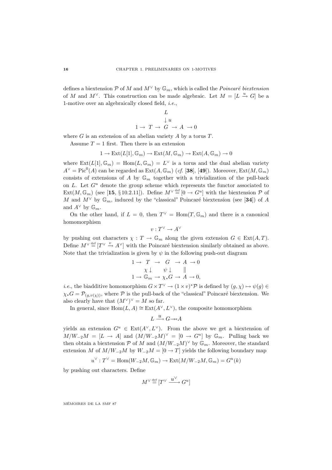defines a biextension  $P$  of M and  $M^{\vee}$  by  $\mathbb{G}_m$ , which is called the *Poincaré biextension* of M and  $M^{\vee}$ . This construction can be made algebraic. Let  $M = [L \stackrel{u}{\rightarrow} G]$  be a 1-motive over an algebraically closed field, i.e.,

$$
L
$$
  
\n
$$
\downarrow u
$$
  
\n
$$
1 \rightarrow T \rightarrow G \rightarrow A \rightarrow 0
$$

where  $G$  is an extension of an abelian variety  $A$  by a torus  $T$ .

Assume  $T = 1$  first. Then there is an extension

$$
1 \to \text{Ext}(L[1], \mathbb{G}_m) \to \text{Ext}(M, \mathbb{G}_m) \to \text{Ext}(A, \mathbb{G}_m) \to 0
$$

where  $\text{Ext}(L[1], \mathbb{G}_m) = \text{Hom}(L, \mathbb{G}_m) = L^{\vee}$  is a torus and the dual abelian variety  $A^{\vee} = Pic^{0}(A)$  can be regarded as  $Ext(A, \mathbb{G}_{m})$  (*cf.* [38], [49]). Moreover,  $Ext(M, \mathbb{G}_{m})$ consists of extensions of A by  $\mathbb{G}_m$  together with a trivialization of the pull-back on  $L$ . Let  $G^u$  denote the group scheme which represents the functor associated to Ext $(M, \mathbb{G}_m)$  (see [15, §10.2.11]). Define  $M^{\vee} \stackrel{\text{def}}{=} [0 \to G^u]$  with the biextension  $\mathcal P$  of M and  $M^{\vee}$  by  $\mathbb{G}_m$ , induced by the "classical" Poincaré biextension (see [34]) of A and  $A^{\vee}$  by  $\mathbb{G}_m$ .

On the other hand, if  $L = 0$ , then  $T^{\vee} = \text{Hom}(T, \mathbb{G}_m)$  and there is a canonical homomorphism

$$
v:T^\vee\to A^\vee
$$

by pushing out characters  $\chi : T \to \mathbb{G}_m$  along the given extension  $G \in \text{Ext}(A, T)$ . Define  $M^{\vee} \stackrel{\text{def}}{=} [T^{\vee} \stackrel{v}{\to} A^{\vee}]$  with the Poincaré biextension similarly obtained as above. Note that the trivialization is given by  $\psi$  in the following push-out diagram

$$
1 \to T \to G \to A \to 0
$$
  
\n
$$
\chi \downarrow \quad \psi \downarrow \quad ||
$$
  
\n
$$
1 \to \mathbb{G}_m \to \chi_* G \to A \to 0,
$$

*i.e.*, the biadditive homomorphism  $G \times T^{\vee} \to (1 \times v)^* \mathcal{P}$  is defined by  $(g, \chi) \mapsto \psi(g) \in$  $\chi_*G = \mathcal{P}_{(q,v(\chi))}$ , where  $\mathcal P$  is the pull-back of the "classical" Poincaré biextension. We also clearly have that  $(M^{\vee})^{\vee} = M$  so far.

In general, since Hom( $L, A$ ) ≅ Ext( $A^{\vee}, L^{\vee}$ ), the composite homomorphism

$$
L \xrightarrow{u} G {\longrightarrow} A
$$

yields an extension  $G^u \in \text{Ext}(A^{\vee}, L^{\vee})$ . From the above we get a biextension of  $M/W_{-2}M = [L \rightarrow A]$  and  $(M/W_{-2}M)^{\vee} = [0 \rightarrow G^u]$  by  $\mathbb{G}_m$ . Pulling back we then obtain a biextension  $\mathcal P$  of M and  $(M/W_{-2}M)^\vee$  by  $\mathbb G_m$ . Moreover, the standard extension M of  $M/W_{-2}M$  by  $W_{-2}M = [0 \rightarrow T]$  yields the following boundary map

$$
u^{\vee}:T^{\vee}=\operatorname{Hom}(W_{-2}M,\mathbb{G}_m)\to\operatorname{Ext}(M/W_{-2}M,\mathbb{G}_m)=G^u(k)
$$

by pushing out characters. Define

$$
M^{\vee} \stackrel{\text{def}}{=} [T^{\vee} \xrightarrow{u^{\vee}} G^u]
$$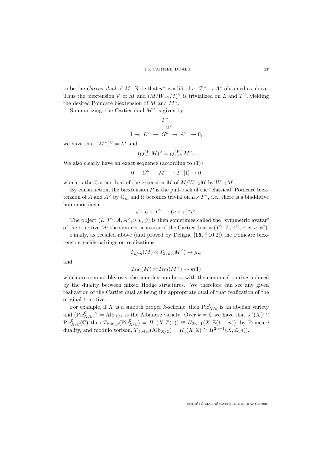to be the *Cartier dual* of M. Note that  $u^{\vee}$  is a lift of  $v : T^{\vee} \to A^{\vee}$  obtained as above. Thus the biextension P of M and  $(M/W_{-2}M)^{\vee}$  is trivialized on L and T<sup> $\vee$ </sup>, yielding the desired Poincaré biextension of M and  $M^{\vee}$ .

Summarizing, the Cartier dual  $M^{\vee}$  is given by

$$
T^{\vee}
$$
  
\n
$$
\downarrow u^{\vee}
$$
  
\n
$$
1 \to L^{\vee} \to G^u \to A^{\vee} \to 0,
$$

we have that  $(M^{\vee})^{\vee} = M$  and

$$
(\operatorname{gr}_{-i}^W M)^\vee = \operatorname{gr}_{i-2}^W M^\vee.
$$

We also clearly have an exact sequence (according to  $(1)$ )

$$
0 \to G^u \to M^\vee \to T^\vee[1] \to 0
$$

which is the Cartier dual of the extension M of  $M/W_{-2}M$  by  $W_{-2}M$ .

By construction, the biextension  $P$  is the pull-back of the "classical" Poincaré biextension of A and  $A^{\vee}$  by  $\mathbb{G}_m$  and it becomes trivial on  $L \times T^{\vee}$ , *i.e.*, there is a biadditive homomorphism

$$
\psi: L \times T^{\vee} \to (u \times v)^* \mathcal{P}.
$$

The object  $(L, T^{\vee}, A, A^{\vee}, u, v, \psi)$  is then sometimes called the "symmetric avatar" of the 1-motive M; the symmetric avatar of the Cartier dual is  $(T^{\vee}, L, A^{\vee}, A, v, u, \psi^{t}).$ 

Finally, as recalled above (and proved by Deligne  $[15, \S 10.2]$ ) the Poincaré biextension yields pairings on realizations

$$
T_{{\mathbb Z}/m}(M)\otimes T_{{\mathbb Z}/m}(M^\vee)\to \mu_m
$$

and

$$
T_{\text{DR}}(M)\otimes T_{\text{DR}}(M^{\vee})\to k(1)
$$

which are compatible, over the complex numbers, with the canonical pairing induced by the duality between mixed Hodge structures. We therefore can see any given realization of the Cartier dual as being the appropriate dual of that realization of the original 1-motive.

For example, if X is a smooth proper k-scheme, then  $Pic^0_{X/k}$  is an abelian variety and  $(\text{Pic}^0_{X/k})^{\vee} = \text{Alb}_{X/k}$  is the Albanese variety. Over  $k = \mathbb{C}$  we have that  $J^1(X) \cong$  $Pic^0_{X/\mathbb{C}}(\mathbb{C})$  thus  $T_{\text{Hodge}}(Pic^0_{X/\mathbb{C}}) = H^1(X,\mathbb{Z}(1)) \cong H_{2n-1}(X,\mathbb{Z}(1-n)),$  by Poincaré duality, and modulo torison,  $T_{\text{Hodge}}(\text{Alb}_{X/\mathbb{C}}) = H_1(X,\mathbb{Z}) \cong H^{2n-1}(X,\mathbb{Z}(n)).$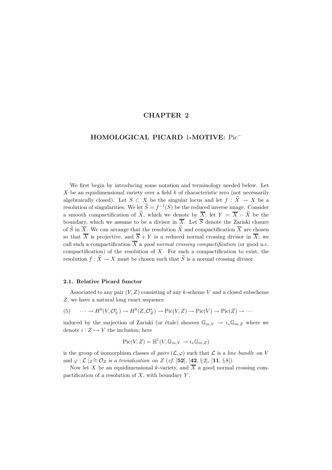### **CHAPTER 2**

### **HOMOLOGICAL PICARD** 1**-MOTIVE:** Pic<sup>−</sup>

We first begin by introducing some notation and terminology needed below. Let X be an equidimensional variety over a field  $k$  of characteristic zero (not necessarily algebraically closed). Let  $S \subset X$  be the singular locus and let  $f : \widetilde{X} \to X$  be a resolution of singularities. We let  $\widetilde{S} = f^{-1}(S)$  be the reduced inverse image. Consider a smooth compactification of  $\widetilde{X}$ , which we denote by  $\overline{X}$ ; let  $Y = \overline{X} - \widetilde{X}$  be the boundary, which we assume to be a divisor in  $\overline{X}$ . Let  $\overline{S}$  denote the Zariski closure of  $\widetilde{S}$  in  $\overline{X}$ . We can arrange that the resolution  $\widetilde{X}$  and compactification  $\overline{X}$  are chosen so that  $\overline{X}$  is projective, and  $\overline{S} + Y$  is a reduced normal crossing divisor in  $\overline{X}$ ; we call such a compactification  $\overline{X}$  a good normal crossing compactification (or good n.c. compactification) of the resolution of  $X$ . For such a compactification to exist, the resolution  $f : \widetilde{X} \to X$  must be chosen such that  $\widetilde{S}$  is a normal crossing divisor.

#### **2.1. Relative Picard functor**

Associated to any pair  $(V, Z)$  consisting of any k-scheme V and a closed subscheme Z, we have a natural long exact sequence

(5) 
$$
\cdots \to H^0(V, \mathcal{O}_V^*) \to H^0(Z, \mathcal{O}_Z^*) \to Pic(V, Z) \to Pic(V) \to Pic(Z) \to \cdots
$$

induced by the surjection of Zariski (or étale) sheaves  $\mathbb{G}_{m,V} \to i_*\mathbb{G}_{m,Z}$  where we denote  $i: Z \hookrightarrow V$  the inclusion; here

$$
Pic(V, Z) = \mathbb{H}^1(V, \mathbb{G}_{m,V} \to i_* \mathbb{G}_{m,Z})
$$

is the group of isomorphism classes of pairs  $(\mathcal{L}, \varphi)$  such that  $\mathcal L$  is a line bundle on V and  $\varphi : \mathcal{L} \mid Z \cong \mathcal{O}_Z$  is a trivialization on Z (cf. [52], [42, § 2], [11, § 8]).

Now let X be an equidimensional k-variety, and  $\overline{X}$  a good normal crossing compactification of a resolution of  $X$ , with boundary  $Y$ .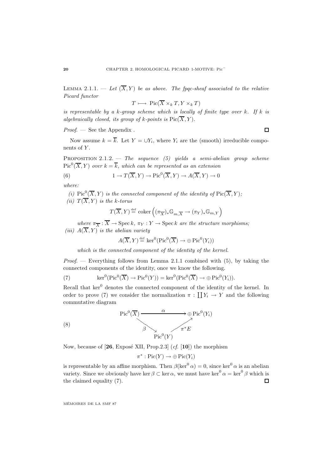LEMMA 2.1.1. — Let  $(\overline{X}, Y)$  be as above. The fpqc-sheaf associated to the relative Picard functor

$$
T \longmapsto \mathrm{Pic}(\overline{X} \times_k T, Y \times_k T)
$$

is representable by a k-group scheme which is locally of finite type over k. If k is algebraically closed, its group of k-points is  $Pic(\overline{X}, Y)$ .

 $Proof.$  — See the Appendix.

 $\Box$ 

Now assume  $k = \overline{k}$ . Let  $Y = \bigcup Y_i$ , where  $Y_i$  are the (smooth) irreducible components of Y.

PROPOSITION 2.1.2. — The sequence (5) yields a semi-abelian group scheme  $Pic^{0}(\overline{X}, Y)$  over  $k = \overline{k}$ , which can be represented as an extension

(6) 
$$
1 \to T(\overline{X}, Y) \to \text{Pic}^0(\overline{X}, Y) \to A(\overline{X}, Y) \to 0
$$

where:

(i) Pic<sup>0</sup>( $\overline{X}, Y$ ) is the connected component of the identity of Pic( $\overline{X}, Y$ ); (ii)  $T(\overline{X}, Y)$  is the k-torus

$$
T(\overline{X}, Y) \hspace*{-.3mm} \stackrel{\mathrm{def}}{=} \operatorname{coker} \Big( (\pi_{\overline{X}})_* \mathbb{G}_{m, \overline{X}} \to (\pi_Y)_* \mathbb{G}_{m, Y} \Big)
$$

where  $\pi_{\overline{X}} : \overline{X} \to \text{Spec } k$ ,  $\pi_Y : Y \to \text{Spec } k$  are the structure morphisms; (iii)  $A(\overline{X}, Y)$  is the abelian variety

 $A(\overline{X}, Y) \stackrel{\text{def}}{=} \ker^0(\text{Pic}^0(\overline{X}) \to \bigoplus \text{Pic}^0(Y_i))$ 

which is the connected component of the identity of the kernel.

*Proof.* — Everything follows from Lemma 2.1.1 combined with  $(5)$ , by taking the connected components of the identity, once we know the following.

(7) 
$$
\ker^0(\operatorname{Pic}^0(\overline{X}) \to \operatorname{Pic}^0(Y)) = \ker^0(\operatorname{Pic}^0(\overline{X}) \to \oplus \operatorname{Pic}^0(Y_i)).
$$

Recall that  $\ker^0$  denotes the connected component of the identity of the kernel. In order to prove (7) we consider the normalization  $\pi : \coprod Y_i \to Y$  and the following commutative diagram



Now, because of  $[26, \text{Expose XII}, \text{Prop.2.3}]$  (cf.  $[10]$ ) the morphism

$$
\pi^* : Pic(Y) \to \bigoplus Pic(Y_i)
$$

is representable by an affine morphism. Then  $\beta(\ker^0 \alpha) = 0$ , since  $\ker^0 \alpha$  is an abelian variety. Since we obviously have ker  $\beta \subset \ker \alpha$ , we must have  $\ker^0 \alpha = \ker^0 \beta$  which is the claimed equality (7).  $\Box$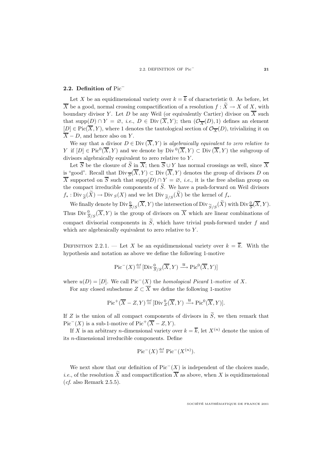### **2.2. Definition of** Pic<sup>−</sup>

Let X be an equidimensional variety over  $k = \overline{k}$  of characteristic 0. As before, let  $\overline{X}$  be a good, normal crossing compactification of a resolution  $f : \widetilde{X} \to X$  of X, with boundary divisor Y. Let D be any Weil (or equivalently Cartier) divisor on  $\overline{X}$  such that supp(D) ∩ Y =  $\emptyset$ , *i.e.*, D ∈ Div  $(\overline{X}, Y)$ ; then  $(\mathcal{O}_{\overline{X}}(D), 1)$  defines an element  $[D] \in Pic(\overline{X}, Y)$ , where 1 denotes the tautological section of  $\mathcal{O}_{\overline{X}}(D)$ , trivializing it on  $\overline{X}$  – D, and hence also on Y.

We say that a divisor  $D \in Div(\overline{X},Y)$  is algebraically equivalent to zero relative to Y if  $[D] \in Pic^0(\overline{X}, Y)$  and we denote by  $Div^0(\overline{X}, Y) \subset Div(\overline{X}, Y)$  the subgroup of divisors algebraically equivalent to zero relative to Y .

Let  $\overline{S}$  be the closure of  $\widetilde{S}$  in  $\overline{X}$ ; then  $\overline{S} \cup Y$  has normal crossings as well, since  $\overline{X}$ is "good". Recall that  $\text{Div}_{\overline{S}}(\overline{X}, Y) \subset \text{Div}(\overline{X}, Y)$  denotes the group of divisors D on  $\overline{X}$  supported on  $\overline{S}$  such that supp $(D) \cap Y = \emptyset$ , *i.e.*, it is the free abelian group on the compact irreducible components of  $\widetilde{S}$ . We have a push-forward on Weil divisors  $f_*: \text{Div}_{\widetilde{S}}(\widetilde{X}) \to \text{Div}_{S}(X)$  and we let  $\text{Div}_{\widetilde{S}/S}(\widetilde{X})$  be the kernel of  $f_*$ .

We finally denote by  $\text{Div} \frac{0}{S/S}(\overline{X}, Y)$  the intersection of  $\text{Div} \frac{S}{S/S}(\widetilde{X})$  with  $\text{Div} \frac{0}{S}(\overline{X}, Y)$ . Thus  $\text{Div} \frac{0}{S/S}(\overline{X}, Y)$  is the group of divisors on  $\overline{X}$  which are linear combinations of compact divisorial components in  $\tilde{S}$ , which have trivial push-forward under f and which are algebraically equivalent to zero relative to Y.

DEFINITION 2.2.1. — Let X be an equidimensional variety over  $k = \overline{k}$ . With the hypothesis and notation as above we define the following 1-motive

$$
\operatorname{Pic}^-(X) \stackrel{\text{def}}{=} [\operatorname{Div}_{\overline{S}/S}^0(\overline{X}, Y) \xrightarrow{u} \operatorname{Pic}^0(\overline{X}, Y)]
$$

where  $u(D)=[D]$ . We call Pic<sup>−</sup>(X) the *homological Picard* 1-motive of X. For any closed subscheme  $Z \subset \overline{X}$  we define the following 1-motive

 $\operatorname{Pic}^+(\overline{X} - Z, Y) \stackrel{\text{def}}{=} [\operatorname{Div}^0_{Z}(\overline{X}, Y) \stackrel{u}{\longrightarrow} \operatorname{Pic}^0(\overline{X}, Y)].$ 

If Z is the union of all compact components of divisors in  $\widetilde{S}$ , we then remark that  $Pic^{-1}(X)$  is a sub-1-motive of  $Pic^{+}(\overline{X} - Z, Y)$ .

If X is an arbitrary *n*-dimensional variety over  $k = \overline{k}$ , let  $X^{(n)}$  denote the union of its n-dimensional irreducible components. Define

$$
\operatorname{Pic}^-(X) \stackrel{\text{def}}{=} \operatorname{Pic}^-(X^{(n)}).
$$

We next show that our definition of  $Pic^{-}(X)$  is independent of the choices made, *i.e.*, of the resolution  $\widetilde{X}$  and compactification  $\overline{X}$  as above, when X is equidimensional  $(cf. also Remark 2.5.5).$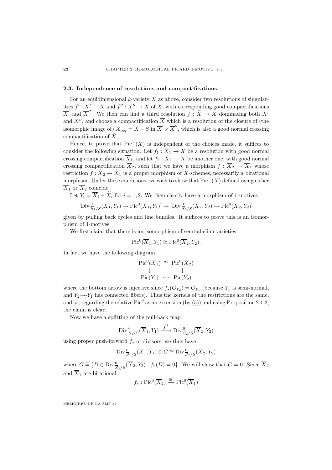### **2.3. Independence of resolutions and compactifications**

For an equidimensional  $k$ -variety  $X$  as above, consider two resolutions of singularities  $f' : X' \to X$  and  $f'' : X'' \to X$  of X, with corresponding good compactifications  $\overline{X}'$  and  $\overline{X}''$ . We then can find a third resolution  $f : \widetilde{X} \to X$  dominating both X' and X'', and choose a compactification  $\overline{X}$  which is a resolution of the closure of (the isomorphic image of)  $X_{\text{reg}} = X - S$  in  $\overline{X}' \times \overline{X}''$ , which is also a good normal crossing compactification of  $\widetilde{X}$ .

Hence, to prove that  $Pic^{-1}(X)$  is independent of the choices made, it suffices to consider the following situation. Let  $f_1 : \tilde{X}_1 \to X$  be a resolution with good normal crossing compactification  $\overline{X}_1$ , and let  $f_2 : \widetilde{X}_2 \to X$  be another one, with good normal crossing compactification  $\overline{X}_2$ , such that we have a morphism  $f : \overline{X}_2 \to \overline{X}_1$  whose restriction  $f: \widetilde{X}_2 \to \widetilde{X}_1$  is a proper morphism of X-schemes, necessarily a birational morphism. Under these conditions, we wish to show that  $Pic^{-}(X)$  defined using either  $\overline{X}_1$  or  $\overline{X}_2$  coincide.

Let  $Y_i = \overline{X}_i - \widetilde{X}_i$  for  $i = 1, 2$ . We then clearly have a morphism of 1-motives

$$
[\mathrm{Div}^0_{\overline{S}_1/S}(\overline{X}_1, Y_1) \to \mathrm{Pic}^0(\overline{X}_1, Y_1)] \to [\mathrm{Div}^0_{\overline{S}_2/S}(\overline{X}_2, Y_2) \to \mathrm{Pic}^0(\overline{X}_2, Y_2)]
$$

given by pulling back cycles and line bundles. It suffices to prove this is an isomorphism of 1-motives.

We first claim that there is an isomorphism of semi-abelian varieties

$$
Pic0(\overline{X}_1, Y_1) \cong Pic0(\overline{X}_2, Y_2).
$$

In fact we have the following diagram

$$
\begin{array}{ccc}\n\operatorname{Pic}^0(\overline{X}_1) & \cong & \operatorname{Pic}^0(\overline{X}_2) \\
\downarrow & & \downarrow \\
\operatorname{Pic}(Y_1) & \hookrightarrow & \operatorname{Pic}(Y_2)\n\end{array}
$$

where the bottom arrow is injective since  $f_*(\mathcal{O}_{Y_2}) = \mathcal{O}_{Y_1}$  (because  $Y_1$  is semi-normal, and  $Y_2 \rightarrow Y_1$  has connected fibers). Thus the kernels of the restrictions are the same, and so, regarding the relative  $Pic^0$  as an extension (by (5)) and using Proposition 2.1.2, the claim is clear.

Now we have a splitting of the pull-back map

$$
\mathrm{Div}^0_{\overline{S}_1/S}(\overline{X}_1, Y_1) \xrightarrow{f^*} \mathrm{Div}^0_{\overline{S}_2/S}(\overline{X}_2, Y_2)
$$

using proper push-forward  $f_*$  of divisors; we thus have

$$
\mathrm{Div}^{\,0}_{\,\overline{S}_1/S}(\overline{X}_1,Y_1)\oplus G\cong \mathrm{Div}^{\,0}_{\,\overline{S}_2/S}(\overline{X}_2,Y_2)
$$

where  $G \stackrel{\text{def}}{=} \{D \in \text{Div}_{\overline{S}_2/S}^0(\overline{X}_2, Y_2) \mid f_*(D) = 0\}$ . We will show that  $G = 0$ . Since  $\overline{X}_2$ and  $\overline{X}_1$  are birational,

$$
f_* : Pic^0(\overline{X}_2) \xrightarrow{\cong} Pic^0(\overline{X}_1)
$$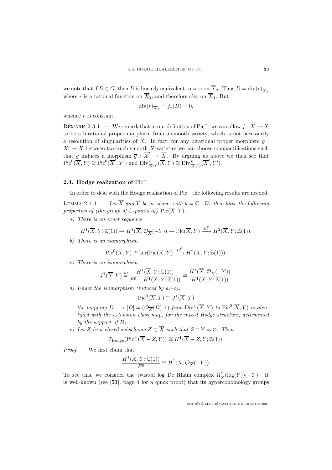we note that if  $D \in G$ , then D is linearly equivalent to zero on  $\overline{X}_2$ . Thus  $D = \text{div}(r)_{\overline{X}_2}$ where r is a rational function on  $\overline{X}_2$ , and therefore also on  $\overline{X}_1$ . But

$$
\operatorname{div}(r)_{\overline{X}_1} = f_*(D) = 0,
$$

whence  $r$  is constant.

REMARK 2.3.1. — We remark that in our definition of Pic<sup>−</sup>, we can allow  $f : \widetilde{X} \to X$ to be a birational proper morphism from a smooth variety, which is not necessarily a resolution of singularities of X. In fact, for any birational proper morphism  $q$ :  $\widetilde{X}' \to \widetilde{X}$  between two such smooth X-varieties we can choose compactifications such that g induces a morphism  $\overline{g} : \overline{X}' \to \overline{X}$ . By arguing as above we then see that  $Pic^{0}(\overline{X}, Y) \cong Pic^{0}(\overline{X}', Y')$  and  $Div_{\overline{S}/S}^{0}(\overline{X}, Y) \cong Div_{\overline{S}'/S}^{0}(\overline{X}', Y').$ 

### **2.4. Hodge realization of** Pic<sup>−</sup>

In order to deal with the Hodge realization of Pic<sup>−</sup> the following results are needed.

LEMMA 2.4.1. — Let  $\overline{X}$  and Y be as above, with  $k = \mathbb{C}$ . We then have the following properties of (the group of  $\mathbb{C}$ -points of)  $Pic(\overline{X}, Y)$ .

a) There is an exact sequence

$$
H^1(\overline{X}, Y; \mathbb{Z}(1)) \to H^1(\overline{X}, \mathcal{O}_{\overline{X}}(-Y)) \to \text{Pic}(\overline{X}, Y) \xrightarrow{c\ell} H^2(\overline{X}, Y; \mathbb{Z}(1)).
$$

b) There is an isomorphism

$$
\mathrm{Pic}^0(\overline{X}, Y) \cong \ker(\mathrm{Pic}(\overline{X}, Y) \xrightarrow{c\ell} H^2(\overline{X}, Y; \mathbb{Z}(1))).
$$

c) There is an isomorphism

$$
J^1(\overline{X}, Y) \stackrel{\text{def}}{=} \frac{H^1(\overline{X}, Y; \mathbb{C}(1))}{F^0 + H^1(\overline{X}, Y; \mathbb{Z}(1))} \cong \frac{H^1(\overline{X}, \mathcal{O}_{\overline{X}}(-Y))}{H^1(\overline{X}, Y; \mathbb{Z}(1))}.
$$

d) Under the isomorphism (induced by  $a$ )–c))

$$
\operatorname{Pic}^0(\overline{X}, Y) \cong J^1(\overline{X}, Y)
$$

the mapping  $D \longmapsto [D]=(\mathcal{O}_{\overline{X}}(D),1)$  from  $\text{Div}^0(\overline{X},Y)$  to  $\text{Pic}^0(\overline{X},Y)$  is identified with the extension class map, for the mixed Hodge structure, determined by the support of D.

e) Let Z be a closed subscheme  $Z \subset \overline{X}$  such that  $Z \cap Y = \emptyset$ . Then

$$
T_{\text{Hodge}}(\text{Pic}^+(\overline{X}-Z,Y)) \cong H^1(\overline{X}-Z,Y;\mathbb{Z}(1)).
$$

Proof. — We first claim that

$$
\frac{H^1(\overline{X}, Y; \mathbb{C}(1))}{F^0} \cong H^1(\overline{X}, \mathcal{O}_{\overline{X}}(-Y)).
$$

To see this, we consider the twisted log De Rham complex  $\Omega^{\bullet}_{\overline{X}}(\log(Y))(-Y)$ . It is well-known (see [**51**], page 4 for a quick proof) that its hypercohomology groups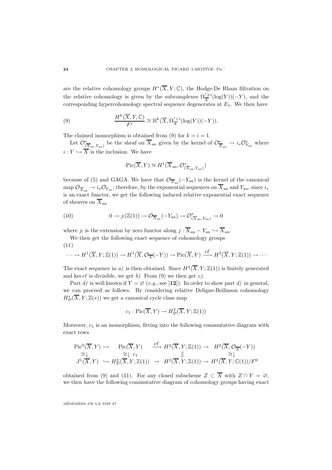are the relative cohomology groups  $H^*(\overline{X}, Y; \mathbb{C})$ , the Hodge-De Rham filtration on the relative cohomology is given by the subcomplexes  $\Omega_{\overline{X}}^{\geq i}(\log(Y))(-Y)$ , and the corresponding hypercohomology spectral sequence degenerates at  $E_1$ . We then have

(9) 
$$
\frac{H^k(\overline{X}, Y, \mathbb{C})}{F^i} \cong \mathbb{H}^k(\overline{X}, \Omega_{\overline{X}}^{\bullet, i}(log(Y))(-Y)).
$$

The claimed isomorphism is obtained from (9) for  $k = i = 1$ .

Let  $\mathcal{O}_{(\overline{X}_{an}, Y_{an})}^*$  be the sheaf on  $\overline{X}_{an}$  given by the kernel of  $\mathcal{O}_{\overline{X}_{an}}^* \to i_* \mathcal{O}_{Y_{an}}^*$  where  $i: Y \hookrightarrow X$  is the inclusion. We have

$$
\mathrm{Pic}(\overline{X},Y)\cong H^1(\overline{X}_{\rm an},\mathcal{O}_{(\overline{X}_{\rm an},Y_{\rm an})}^*)
$$

because of (5) and GAGA. We have that  $\mathcal{O}_{\overline{X}_{an}}(-Y_{an})$  is the kernel of the canonical map  $\mathcal{O}_{\overline{X}_{an}} \to i_* \mathcal{O}_{Y_{an}}$ ; therefore, by the exponential sequences on  $\overline{X}_{an}$  and  $Y_{an}$ , since  $i_*$ is an exact functor, we get the following induced relative exponential exact sequence of sheaves on  $\overline{X}_{\text{an}}$ 

(10) 
$$
0 \to j_!({\mathbb{Z}}(1)) \to \mathcal{O}_{\overline{X}_{an}}(-Y_{an}) \to \mathcal{O}_{(\overline{X}_{an}, Y_{an})}^* \to 0
$$

where j! is the extension by zero functor along  $j : \overline{X}_{an} - Y_{an} \hookrightarrow \overline{X}_{an}$ .

We then get the following exact sequence of cohomology groups (11)

$$
\cdots \to H^1(\overline{X}, Y; \mathbb{Z}(1)) \to H^1(\overline{X}, \mathcal{O}_{\overline{X}}(-Y)) \to Pic(\overline{X}, Y) \xrightarrow{c\ell} H^2(\overline{X}, Y; \mathbb{Z}(1)) \to \cdots
$$

The exact sequence in a) is then obtained. Since  $H^2(\overline{X}, Y; \mathbb{Z}(1))$  is finitely generated and ker cl is divisible, we get b). From (9) we then get c).

Part d) is well known if  $Y = \emptyset$  (e.g., see [12]). In order to show part d) in general, we can proceed as follows. By considering relative Deligne-Beilinson cohomology  $H^*_\mathcal{D}(\overline{X}, Y; \mathbb{Z}(*))$  we get a canonical cycle class map

$$
c_1: \mathrm{Pic}(\overline{X}, Y) \to H^2_{\mathcal{D}}(\overline{X}, Y; \mathbb{Z}(1))
$$

Moreover,  $c_1$  is an isomorphism, fitting into the following commutative diagram with exact rows

$$
\begin{array}{ccc}\n\text{Pic}^{0}(\overline{X}, Y) \hookrightarrow & \text{Pic}(\overline{X}, Y) & \xrightarrow{c\ell} H^{2}(\overline{X}, Y; \mathbb{Z}(1)) \to & H^{2}(\overline{X}, \mathcal{O}_{\overline{X}}(-Y)) \\
\cong & \cong & c_{1} & \parallel & \cong & \downarrow \\
J^{1}(\overline{X}, Y) \hookrightarrow & H^{2}_{\mathcal{D}}(\overline{X}, Y; \mathbb{Z}(1)) \to & H^{2}(\overline{X}, Y; \mathbb{Z}(1)) \to & H^{2}(\overline{X}, Y; \mathbb{C}(1))/F^{0}\n\end{array}
$$

obtained from (9) and (11). For any closed subscheme  $Z \subset \overline{X}$  with  $Z \cap Y = \emptyset$ , we then have the following commutative diagram of cohomology groups having exact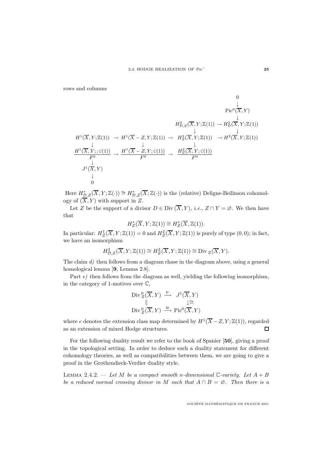rows and columns

$$
H^1(\overline{X}, Y; \mathbb{Z}(1)) \rightarrow H^1(\overline{X} - Z, Y; \mathbb{Z}(1)) \rightarrow H^2_Z(\overline{X}, Y; \mathbb{Z}(1)) \rightarrow H^2(\overline{X}, Y; \mathbb{Z}(1))
$$
  
\n
$$
H^1(\overline{X}, Y; \mathbb{Z}(1)) \rightarrow H^1(\overline{X} - Z, Y; \mathbb{Z}(1)) \rightarrow H^2_Z(\overline{X}, Y; \mathbb{Z}(1)) \rightarrow H^2(\overline{X}, Y; \mathbb{Z}(1))
$$
  
\n
$$
\xrightarrow[\text{F0}]{\downarrow} \downarrow
$$
  
\n
$$
J^1(\overline{X}, Y)
$$
  
\n
$$
\downarrow
$$
  
\n
$$
J^1(\overline{X}, Y)
$$
  
\n
$$
\downarrow
$$
  
\n0

Here  $H^*_{\mathcal{D},Z}(\overline{X},Y;\mathbb{Z}(\cdot))\cong H^*_{\mathcal{D},Z}(\overline{X};\mathbb{Z}(\cdot))$  is the (relative) Deligne-Beilinson cohomology of  $(\overline{X}, Y)$  with support in Z.

Let Z be the support of a divisor  $D \in \text{Div}(\overline{X}, Y)$ , *i.e.*,  $Z \cap Y = \emptyset$ . We then have that

$$
H_Z^*(\overline{X}, Y; \mathbb{Z}(1)) \cong H_Z^*(\overline{X}, \mathbb{Z}(1)).
$$

In particular:  $H^1_Z(\overline{X}, Y; \mathbb{Z}(1)) = 0$  and  $H^2_Z(\overline{X}, Y; \mathbb{Z}(1))$  is purely of type  $(0, 0)$ ; in fact, we have an isomorphism

$$
H_{\mathcal{D},Z}^2(\overline{X},Y;\mathbb{Z}(1)) \cong H_Z^2(\overline{X},Y;\mathbb{Z}(1)) \cong \text{Div}_Z(\overline{X},Y).
$$

The claim  $d$ ) then follows from a diagram chase in the diagram above, using a general homological lemma [**9**, Lemma 2.8].

Part e) then follows from the diagram as well, yielding the following isomorphism, in the category of 1-motives over  $\mathbb{C}$ ,

$$
\begin{array}{ccc}\n\operatorname{Div}^{0}_{Z}(\overline{X},Y) & \xrightarrow{e} & J^{1}(\overline{X},Y) \\
\parallel & & \downarrow \cong \\
\operatorname{Div}^{0}_{Z}(\overline{X},Y) & \xrightarrow{u} \operatorname{Pic}^{0}(\overline{X},Y)\n\end{array}
$$

where e denotes the extension class map determined by  $H^1(\overline{X} - Z, Y; \mathbb{Z}(1))$ , regarded as an extension of mixed Hodge structures.  $\Box$ 

For the following duality result we refer to the book of Spanier [**50**], giving a proof in the topological setting. In order to deduce such a duality statement for different cohomology theories, as well as compatibilities between them, we are going to give a proof in the Grothendieck-Verdier duality style.

LEMMA 2.4.2. — Let M be a compact smooth n-dimensional C-variety. Let  $A + B$ be a reduced normal crossing divisor in M such that  $A \cap B = \emptyset$ . Then there is a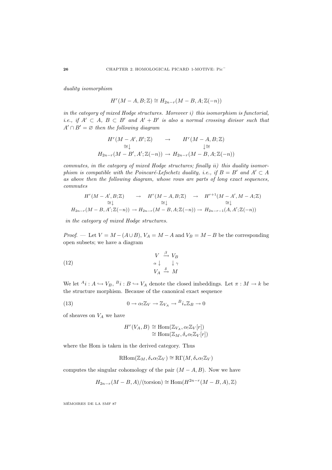duality isomorphism

$$
H^r(M-A,B;\mathbb{Z})\cong H_{2n-r}(M-B,A;\mathbb{Z}(-n))
$$

in the category of mixed Hodge structures. Moreover i) this isomorphism is functorial, i.e., if  $A' \subset A$ ,  $B \subset B'$  and  $A' + B'$  is also a normal crossing divisor such that  $A' \cap B' = \emptyset$  then the following diagram

$$
H^r(M - A', B'; \mathbb{Z}) \rightarrow H^r(M - A, B; \mathbb{Z})
$$
  
\n
$$
\cong \downarrow
$$
  
\n
$$
H_{2n-r}(M - B', A'; \mathbb{Z}(-n)) \rightarrow H_{2n-r}(M - B, A; \mathbb{Z}(-n))
$$

commutes, in the category of mixed Hodge structures; finally ii) this duality isomorphism is compatible with the Poincaré-Lefschetz duality, i.e., if  $B = B'$  and  $A' \subset A$ as above then the following diagram, whose rows are parts of long exact sequences, commutes

$$
H^r(M - A', B; \mathbb{Z}) \rightarrow H^r(M - A, B; \mathbb{Z}) \rightarrow H^{r+1}(M - A', M - A; \mathbb{Z})
$$
  
\n
$$
\cong \downarrow \cong \downarrow \cong \downarrow
$$
  
\n
$$
H_{2n-r}(M - B, A'; \mathbb{Z}(-n)) \rightarrow H_{2n-r}(M - B, A; \mathbb{Z}(-n)) \rightarrow H_{2n-r-1}(A, A'; \mathbb{Z}(-n))
$$

in the category of mixed Hodge structures.

*Proof.* — Let  $V = M - (A \cup B)$ ,  $V_A = M - A$  and  $V_B = M - B$  be the corresponding open subsets; we have a diagram

(12) 
$$
\begin{array}{ccc}\nV & \xrightarrow{\beta} & V_B \\
\alpha \downarrow & \downarrow \gamma \\
V_A & \xrightarrow{\delta} & M\n\end{array}
$$

We let  ${}^{A}i: A \hookrightarrow V_B$ ,  ${}^{B}i: B \hookrightarrow V_A$  denote the closed imbeddings. Let  $\pi: M \to k$  be the structure morphism. Because of the canonical exact sequence

(13) 
$$
0 \to \alpha_! \mathbb{Z}_V \to \mathbb{Z}_{V_A} \to {^B}i_* \mathbb{Z}_B \to 0
$$

of sheaves on  $V_A$  we have

$$
H^r(V_A, B) \cong \text{Hom}(\mathbb{Z}_{V_A}, \alpha_! \mathbb{Z}_V[r])
$$
  

$$
\cong \text{Hom}(\mathbb{Z}_M, \delta_* \alpha_! \mathbb{Z}_V[r])
$$

where the Hom is taken in the derived category. Thus

$$
\mathrm{RHom}(\mathbb{Z}_M, \delta_* \alpha_! \mathbb{Z}_V) \cong \mathrm{R}\Gamma(M, \delta_* \alpha_! \mathbb{Z}_V)
$$

computes the singular cohomology of the pair  $(M - A, B)$ . Now we have

$$
H_{2n-r}(M - B, A) / (\text{torsion}) \cong \text{Hom}(H^{2n-r}(M - B, A), \mathbb{Z})
$$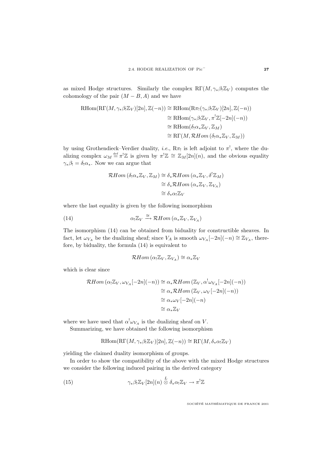as mixed Hodge structures. Similarly the complex  $R\Gamma(M, \gamma_*\beta_! \mathbb{Z}_V)$  computes the cohomology of the pair  $(M - B, A)$  and we have

$$
\begin{aligned} \text{RHom}(\text{R}\Gamma(M,\gamma_*\beta_!\mathbb{Z}_V)[2n],\mathbb{Z}(-n)) &\cong \text{RHom}(\text{R}\pi_!\left(\gamma_*\beta_!\mathbb{Z}_V)[2n],\mathbb{Z}(-n)) \\ &\cong \text{RHom}(\gamma_*\beta_!\mathbb{Z}_V,\pi^!\mathbb{Z}[-2n](-n)) \\ &\cong \text{RHom}(\delta_!\alpha_*\mathbb{Z}_V,\mathbb{Z}_M) \\ &\cong \text{R}\Gamma(M,\mathcal{R}Hom\left(\delta_!\alpha_*\mathbb{Z}_V,\mathbb{Z}_M\right)) \end{aligned}
$$

by using Grothendieck–Verdier duality, *i.e.*,  $R\pi_!$  is left adjoint to  $\pi^!,$  where the dualizing complex  $\omega_M \stackrel{\text{def}}{=} \pi^! \mathbb{Z}$  is given by  $\pi^! \mathbb{Z} \cong \mathbb{Z}_M[2n](n)$ , and the obvious equality  $\gamma_*\beta_! = \delta_!\alpha_*$ . Now we can argue that

$$
\mathcal{R}Hom\left(\delta_{!}\alpha_{*}\mathbb{Z}_{V},\mathbb{Z}_{M}\right) \cong \delta_{*}\mathcal{R}Hom\left(\alpha_{*}\mathbb{Z}_{V},\delta^{!}\mathbb{Z}_{M}\right)
$$

$$
\cong \delta_{*}\mathcal{R}Hom\left(\alpha_{*}\mathbb{Z}_{V},\mathbb{Z}_{V_{A}}\right)
$$

$$
\cong \delta_{*}\alpha_{!}\mathbb{Z}_{V}
$$

where the last equality is given by the following isomorphism

(14) 
$$
\alpha_! \mathbb{Z}_V \xrightarrow{\cong} \mathcal{R} \text{Hom} \left( \alpha_* \mathbb{Z}_V, \mathbb{Z}_{V_A} \right)
$$

The isomorphism (14) can be obtained from biduality for constructible sheaves. In fact, let  $\omega_{V_A}$  be the dualizing sheaf; since  $V_A$  is smooth  $\omega_{V_A}[-2n](-n) \cong \mathbb{Z}_{V_A}$ , therefore, by biduality, the formula (14) is equivalent to

$$
\mathcal{R}Hom\left(\alpha_! \mathbb{Z}_V, \mathbb{Z}_{V_A}\right) \cong \alpha_* \mathbb{Z}_V
$$

which is clear since

$$
\mathcal{R}Hom (\alpha_! \mathbb{Z}_V, \omega_{V_A}[-2n](-n)) \cong \alpha_* \mathcal{R}Hom (\mathbb{Z}_V, \alpha^! \omega_{V_A}[-2n](-n))
$$
  
\n
$$
\cong \alpha_* \mathcal{R}Hom (\mathbb{Z}_V, \omega_V[-2n](-n))
$$
  
\n
$$
\cong \alpha_* \omega_V[-2n](-n)
$$
  
\n
$$
\cong \alpha_* \mathbb{Z}_V
$$

where we have used that  $\alpha^! \omega_{V_A}$  is the dualizing sheaf on V.

Summarizing, we have obtained the following isomorphism

$$
\mathrm{RHom}(\mathrm{R}\Gamma(M,\gamma_*\beta_!\mathbb{Z}_V)[2n],\mathbb{Z}(-n))\cong\mathrm{R}\Gamma(M,\delta_*\alpha_!\mathbb{Z}_V)
$$

yielding the claimed duality isomorphism of groups.

In order to show the compatibility of the above with the mixed Hodge structures we consider the following induced pairing in the derived category

(15) 
$$
\gamma_* \beta_! \mathbb{Z}_V[2n](n) \stackrel{L}{\otimes} \delta_* \alpha_! \mathbb{Z}_V \to \pi^! \mathbb{Z}
$$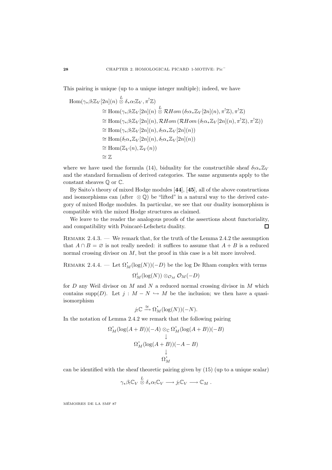This pairing is unique (up to a unique integer multiple); indeed, we have

$$
\begin{aligned}\n\text{Hom}(\gamma_*\beta_!\mathbb{Z}_V[2n](n) &\stackrel{L}{\otimes} \delta_*\alpha_!\mathbb{Z}_V, \pi^!\mathbb{Z}) \\
&\cong \text{Hom}(\gamma_*\beta_!\mathbb{Z}_V[2n](n) &\stackrel{L}{\otimes} \mathcal{R}Hom\left(\delta_!\alpha_*\mathbb{Z}_V[2n](n), \pi^!\mathbb{Z}\right), \pi^!\mathbb{Z}) \\
&\cong \text{Hom}(\gamma_*\beta_!\mathbb{Z}_V[2n](n), \mathcal{R}Hom\left(\mathcal{R}Hom\left(\delta_!\alpha_*\mathbb{Z}_V[2n](n), \pi^!\mathbb{Z}\right), \pi^!\mathbb{Z}\right)) \\
&\cong \text{Hom}(\gamma_*\beta_!\mathbb{Z}_V[2n](n), \delta_!\alpha_*\mathbb{Z}_V[2n](n)) \\
&\cong \text{Hom}(\delta_!\alpha_*\mathbb{Z}_V[2n](n), \delta_!\alpha_*\mathbb{Z}_V[2n](n)) \\
&\cong \text{Hom}(\mathbb{Z}_V(n), \mathbb{Z}_V(n)) \\
&\cong \mathbb{Z}\n\end{aligned}
$$

where we have used the formula (14), biduality for the constructible sheaf  $\delta_! \alpha_* \mathbb{Z}_V$ and the standard formalism of derived categories. The same arguments apply to the constant sheaves  $\mathbb Q$  or  $\mathbb C$ .

By Saito's theory of mixed Hodge modules [**44**], [**45**], all of the above constructions and isomorphisms can (after  $\otimes$  Q) be "lifted" in a natural way to the derived category of mixed Hodge modules. In particular, we see that our duality isomorphism is compatible with the mixed Hodge structures as claimed.

We leave to the reader the analogous proofs of the assertions about functoriality, and compatibility with Poincaré-Lefschetz duality.  $\Box$ 

Remark 2.4.3. — We remark that, for the truth of the Lemma 2.4.2 the assumption that  $A \cap B = \emptyset$  is not really needed: it suffices to assume that  $A + B$  is a reduced normal crossing divisor on  $M$ , but the proof in this case is a bit more involved.

REMARK 2.4.4. — Let  $\Omega_M^{\dagger}(\log(N))(-D)$  be the log De Rham complex with terms

$$
\Omega^i_M(\log(N)) \otimes_{\mathcal{O}_M} \mathcal{O}_M(-D)
$$

for  $D$  any Weil divisor on  $M$  and  $N$  a reduced normal crossing divisor in  $M$  which contains supp(D). Let  $j : M - N \hookrightarrow M$  be the inclusion; we then have a quasiisomorphism

$$
j_! \mathbb{C} \xrightarrow{\cong} \Omega^{\bullet}_M(\log(N))(-N).
$$

In the notation of Lemma 2.4.2 we remark that the following pairing

$$
\begin{array}{l} \Omega_{M}^{*}(\log(A+B))(-A)\otimes_{{\mathbb C}}\Omega_{M}^{*}(\log(A+B))(-B)\\ \downarrow \\ \Omega_{M}^{*}(\log(A+B))(-A-B)\\ \downarrow \\ \Omega_{M}^{*}\end{array}
$$

can be identified with the sheaf theoretic pairing given by (15) (up to a unique scalar)

$$
\gamma_* \beta_! \mathbb{C}_V \stackrel{L}{\otimes} \delta_* \alpha_! \mathbb{C}_V \longrightarrow j_! \mathbb{C}_V \longrightarrow \mathbb{C}_M .
$$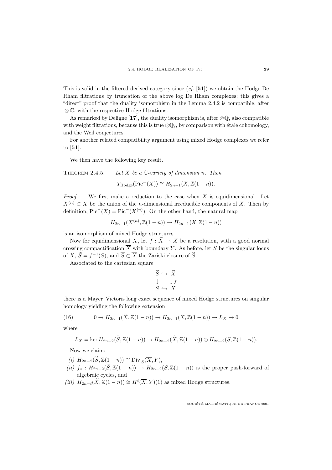This is valid in the filtered derived category since (cf. [**51**]) we obtain the Hodge-De Rham filtrations by truncation of the above log De Rham complexes; this gives a "direct" proof that the duality isomorphism in the Lemma 2.4.2 is compatible, after ⊗ C, with the respective Hodge filtrations.

As remarked by Deligne [17], the duality isomorphism is, after  $\mathcal{Q}\mathbb{Q}$ , also compatible with weight filtrations, because this is true  $\mathcal{Q}_{\ell}$ , by comparison with étale cohomology, and the Weil conjectures.

For another related compatibility argument using mixed Hodge complexes we refer to [**51**].

We then have the following key result.

THEOREM 2.4.5. — Let X be a  $\mathbb{C}$ -variety of dimension n. Then

$$
T_{\mathrm{Hodge}}(\mathrm{Pic}^-(X)) \cong H_{2n-1}(X, \mathbb{Z}(1-n)).
$$

*Proof.* — We first make a reduction to the case when X is equidimensional. Let  $X^{(n)} \subset X$  be the union of the *n*-dimensional irreducible components of X. Then by definition,  $Pic^{-}(X) = Pic^{-}(X^{(n)})$ . On the other hand, the natural map

$$
H_{2n-1}(X^{(n)},\mathbb{Z}(1-n)) \to H_{2n-1}(X,\mathbb{Z}(1-n))
$$

is an isomorphism of mixed Hodge structures.

Now for equidimensional X, let  $f : \widetilde{X} \to X$  be a resolution, with a good normal crossing compactification  $\overline{X}$  with boundary Y. As before, let S be the singular locus of X,  $\widetilde{S} = f^{-1}(S)$ , and  $\overline{S} \subset \overline{X}$  the Zariski closure of  $\widetilde{S}$ .

Associated to the cartesian square

$$
\begin{array}{ccc}\n\widetilde{S} & \hookrightarrow & \widetilde{X} \\
\downarrow & & \downarrow f \\
S & \hookrightarrow & X\n\end{array}
$$

there is a Mayer–Vietoris long exact sequence of mixed Hodge structures on singular homology yielding the following extension

(16) 
$$
0 \to H_{2n-1}(\tilde{X}, \mathbb{Z}(1-n)) \to H_{2n-1}(X, \mathbb{Z}(1-n)) \to L_X \to 0
$$

where

$$
L_X = \ker H_{2n-2}(\widetilde{S}, \mathbb{Z}(1-n)) \to H_{2n-2}(\widetilde{X}, \mathbb{Z}(1-n)) \oplus H_{2n-2}(S, \mathbb{Z}(1-n)).
$$

Now we claim:

- (i)  $H_{2n-2}(\widetilde{S}, \mathbb{Z}(1-n)) \cong \text{Div}_{\overline{S}}(\overline{X}, Y),$
- (ii)  $f_* : H_{2n-2}(\widetilde{S}, \mathbb{Z}(1-n)) \to H_{2n-2}(S, \mathbb{Z}(1-n))$  is the proper push-forward of algebraic cycles, and
- (iii)  $H_{2n-i}(\widetilde{X}, \mathbb{Z}(1-n)) \cong H^i(\overline{X}, Y)(1)$  as mixed Hodge structures.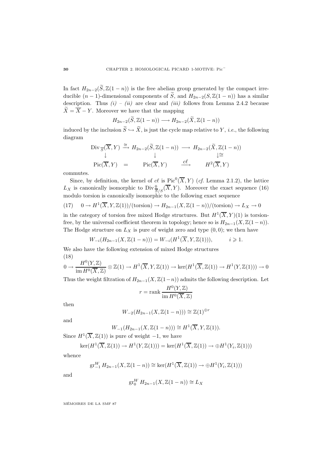In fact  $H_{2n-2}(\widetilde{S}, \mathbb{Z}(1-n))$  is the free abelian group generated by the compact irreducible  $(n-1)$ -dimensional components of  $\widetilde{S}$ , and  $H_{2n-2}(S,\mathbb{Z}(1-n))$  has a similar description. Thus  $(i) - (ii)$  are clear and  $(iii)$  follows from Lemma 2.4.2 because  $\widetilde{X} = \overline{X} - Y$ . Moreover we have that the mapping

$$
H_{2n-2}(\widetilde{S},\mathbb{Z}(1-n)) \longrightarrow H_{2n-2}(\widetilde{X},\mathbb{Z}(1-n))
$$

induced by the inclusion  $\widetilde{S} \hookrightarrow \widetilde{X}$ , is just the cycle map relative to Y, *i.e.*, the following diagram

$$
\text{Div}_{\overline{S}}(\overline{X}, Y) \xrightarrow{\cong} H_{2n-2}(\widetilde{S}, \mathbb{Z}(1-n)) \longrightarrow H_{2n-2}(\widetilde{X}, \mathbb{Z}(1-n))
$$
\n
$$
\downarrow \cong
$$
\n
$$
\text{Pic}(\overline{X}, Y) = \text{Pic}(\overline{X}, Y) \xrightarrow{\quad c\ell} H^2(\overline{X}, Y)
$$

commutes.

Since, by definition, the kernel of cl is  $Pic^0(\overline{X}, Y)$  (cf. Lemma 2.1.2), the lattice  $L_X$  is canonically isomorphic to  $Div \frac{0}{S/S}(\overline{X}, Y)$ . Moreover the exact sequence (16) modulo torsion is canonically isomorphic to the following exact sequence

$$
(17) \quad 0 \to H^1(\overline{X}, Y, \mathbb{Z}(1))/(\text{torsion}) \to H_{2n-1}(X, \mathbb{Z}(1-n))/(\text{torsion}) \to L_X \to 0
$$

in the category of torsion free mixed Hodge structures. But  $H^1(\overline{X}, Y)(1)$  is torsionfree, by the universal coefficient theorem in topology; hence so is  $H_{2n-1}(X, \mathbb{Z}(1-n))$ . The Hodge structure on  $L_X$  is pure of weight zero and type  $(0, 0)$ ; we then have

$$
W_{-i}(H_{2n-1}(X, \mathbb{Z}(1-n))) = W_{-i}(H^1(\overline{X}, Y, \mathbb{Z}(1))), \qquad i \geq 1.
$$

We also have the following extension of mixed Hodge structures (18)

$$
0 \to \frac{H^0(Y, \mathbb{Z})}{\text{im } H^0(\overline{X}, \mathbb{Z})} \otimes \mathbb{Z}(1) \to H^1(\overline{X}, Y, \mathbb{Z}(1)) \to \text{ker}(H^1(\overline{X}, \mathbb{Z}(1)) \to H^1(Y, \mathbb{Z}(1))) \to 0
$$

Thus the weight filtration of  $H_{2n-1}(X, \mathbb{Z}(1-n))$  admits the following description. Let

$$
r = \mathrm{rank} \, \frac{H^0(Y, \mathbb{Z})}{\mathrm{im} \, H^0(\overline{X}, \mathbb{Z})}
$$

then

$$
W_{-2}(H_{2n-1}(X, \mathbb{Z}(1-n))) \cong \mathbb{Z}(1)^{\oplus r}
$$

and

$$
W_{-1}(H_{2n-1}(X, \mathbb{Z}(1-n))) \cong H^1(\overline{X}, Y, \mathbb{Z}(1)).
$$

Since  $H^1(\overline{X}, \mathbb{Z}(1))$  is pure of weight  $-1$ , we have

$$
\ker(H^1(\overline{X}, \mathbb{Z}(1)) \to H^1(Y, \mathbb{Z}(1))) = \ker(H^1(\overline{X}, \mathbb{Z}(1)) \to \oplus H^1(Y_i, \mathbb{Z}(1)))
$$

whence

$$
\operatorname{gr}_{-1}^WH_{2n-1}(X,\mathbb{Z}(1-n)) \cong \ker(H^1(\overline{X},\mathbb{Z}(1)) \to \oplus H^1(Y_i,\mathbb{Z}(1)))
$$

and

$$
\operatorname{gr}_0^W H_{2n-1}(X, \mathbb{Z}(1-n)) \cong L_X
$$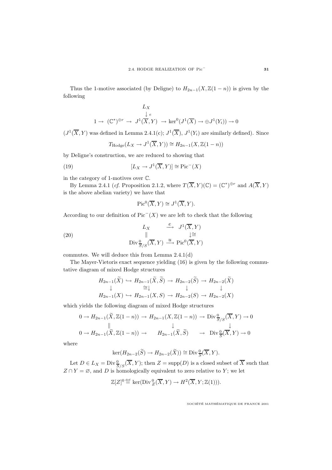Thus the 1-motive associated (by Deligne) to  $H_{2n-1}(X, \mathbb{Z}(1-n))$  is given by the following

$$
L_X
$$
  
\n
$$
\downarrow e
$$
  
\n
$$
1 \to (\mathbb{C}^*)^{\oplus r} \to J^1(\overline{X}, Y) \to \ker^0(J^1(\overline{X}) \to \oplus J^1(Y_i)) \to 0
$$

 $(J^1(\overline{X}, Y)$  was defined in Lemma 2.4.1(c);  $J^1(\overline{X})$ ,  $J^1(Y_i)$  are similarly defined). Since

$$
T_{\text{Hodge}}(L_X \to J^1(\overline{X}, Y)) \cong H_{2n-1}(X, \mathbb{Z}(1-n))
$$

by Deligne's construction, we are reduced to showing that

(19) 
$$
[L_X \to J^1(\overline{X}, Y)] \cong \text{Pic}^-(X)
$$

in the category of 1-motives over C.

By Lemma 2.4.1 (cf. Proposition 2.1.2, where  $T(\overline{X}, Y)(\mathbb{C})=(\mathbb{C}^*)^{\oplus r}$  and  $A(\overline{X}, Y)$ is the above abelian variety) we have that

$$
\operatorname{Pic}^0(\overline{X}, Y) \cong J^1(\overline{X}, Y).
$$

According to our definition of  $Pic^{-}(X)$  we are left to check that the following

(20) 
$$
\begin{array}{ccc}\n & L_X & \xrightarrow{e} & J^1(\overline{X}, Y) \\
\parallel & & \downarrow \cong \\
\text{Div} \frac{0}{S/S}(\overline{X}, Y) & \xrightarrow{u} \text{Pic}^0(\overline{X}, Y)\n\end{array}
$$

commutes. We will deduce this from Lemma 2.4.1(d)

The Mayer-Vietoris exact sequence yielding (16) is given by the following commutative diagram of mixed Hodge structures

$$
H_{2n-1}(\widetilde{X}) \hookrightarrow H_{2n-1}(\widetilde{X}, \widetilde{S}) \to H_{2n-2}(\widetilde{S}) \to H_{2n-2}(\widetilde{X})
$$
  
\n
$$
\downarrow \qquad \cong \downarrow \qquad \qquad \downarrow
$$
  
\n
$$
H_{2n-1}(X) \hookrightarrow H_{2n-1}(X, S) \to H_{2n-2}(S) \to H_{2n-2}(X)
$$

which yields the following diagram of mixed Hodge structures

$$
0 \to H_{2n-1}(\widetilde{X}, \mathbb{Z}(1-n)) \to H_{2n-1}(X, \mathbb{Z}(1-n)) \to \text{Div}_{\widetilde{S}/S}^0(\overline{X}, Y) \to 0
$$
  

$$
\parallel \qquad \qquad \downarrow \qquad \qquad \downarrow
$$
  

$$
0 \to H_{2n-1}(\widetilde{X}, \mathbb{Z}(1-n)) \to H_{2n-1}(\widetilde{X}, \widetilde{S}) \qquad \to \text{Div}_{\widetilde{S}}^0(\overline{X}, Y) \to 0
$$

where

$$
\ker(H_{2n-2}(\widetilde{S}) \to H_{2n-2}(\widetilde{X})) \cong \text{Div}\frac{0}{S}(\overline{X}, Y).
$$

Let  $D \in L_X = \text{Div} \frac{0}{S/S}(\overline{X}, Y)$ ; then  $Z = \text{supp}(D)$  is a closed subset of  $\overline{X}$  such that  $Z \cap Y = \emptyset$ , and D is homologically equivalent to zero relative to Y; we let

$$
\mathbb{Z}[Z]^0 \stackrel{\text{def}}{=} \ker(\text{Div}_{Z}^0(\overline{X}, Y) \to H^2(\overline{X}, Y; \mathbb{Z}(1))).
$$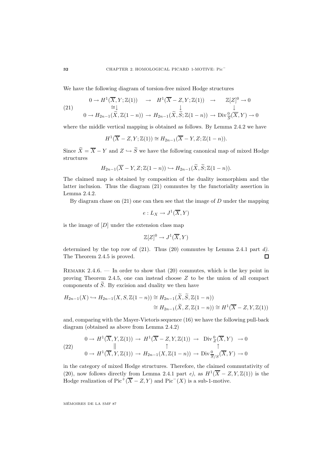We have the following diagram of torsion-free mixed Hodge structures

(21) 
$$
0 \to H^1(\overline{X}, Y; \mathbb{Z}(1)) \to H^1(\overline{X} - Z, Y; \mathbb{Z}(1)) \to \mathbb{Z}[Z]^0 \to 0
$$

$$
\cong \downarrow \qquad \qquad \downarrow \qquad \qquad \downarrow
$$

$$
0 \to H_{2n-1}(\widetilde{X}, \mathbb{Z}(1-n)) \to H_{2n-1}(\widetilde{X}, \widetilde{S}; \mathbb{Z}(1-n)) \to \text{Div}_{\overline{S}}^0(\overline{X}, Y) \to 0
$$

where the middle vertical mapping is obtained as follows. By Lemma 2.4.2 we have

$$
H^1(\overline{X}-Z,Y;\mathbb{Z}(1)) \cong H_{2n-1}(\overline{X}-Y,Z;\mathbb{Z}(1-n)).
$$

Since  $\widetilde{X} = \overline{X} - Y$  and  $Z \hookrightarrow \widetilde{S}$  we have the following canonical map of mixed Hodge structures

$$
H_{2n-1}(\overline{X}-Y,Z;\mathbb{Z}(1-n)) \hookrightarrow H_{2n-1}(\widetilde{X},\widetilde{S};\mathbb{Z}(1-n)).
$$

The claimed map is obtained by composition of the duality isomorphism and the latter inclusion. Thus the diagram (21) commutes by the functoriality assertion in Lemma 2.4.2.

By diagram chase on  $(21)$  one can then see that the image of D under the mapping

$$
e: L_X \to J^1(\overline{X}, Y)
$$

is the image of  $[D]$  under the extension class map

$$
\mathbb{Z}[Z]^0 \to J^1(\overline{X}, Y)
$$

determined by the top row of  $(21)$ . Thus  $(20)$  commutes by Lemma 2.4.1 part d). The Theorem 2.4.5 is proved.  $\Box$ 

REMARK 2.4.6. — In order to show that  $(20)$  commutes, which is the key point in proving Theorem 2.4.5, one can instead choose Z to be the union of all compact components of  $\tilde{S}$ . By excision and duality we then have

$$
H_{2n-1}(X) \hookrightarrow H_{2n-1}(X, S, \mathbb{Z}(1-n)) \cong H_{2n-1}(\widetilde{X}, \widetilde{S}, \mathbb{Z}(1-n))
$$
  

$$
\cong H_{2n-1}(\widetilde{X}, Z, \mathbb{Z}(1-n)) \cong H^1(\overline{X} - Z, Y, \mathbb{Z}(1))
$$

and, comparing with the Mayer-Vietoris sequence (16) we have the following pull-back diagram (obtained as above from Lemma 2.4.2)

(22) 
$$
0 \to H^1(\overline{X}, Y, \mathbb{Z}(1)) \to H^1(\overline{X} - Z, Y, \mathbb{Z}(1)) \to \text{Div}_{Z}^0(\overline{X}, Y) \to 0
$$

$$
\uparrow \qquad \uparrow \qquad \uparrow
$$

$$
0 \to H^1(\overline{X}, Y, \mathbb{Z}(1)) \to H_{2n-1}(X, \mathbb{Z}(1-n)) \to \text{Div}_{\overline{S}/S}^0(\overline{X}, Y) \to 0
$$

in the category of mixed Hodge structures. Therefore, the claimed commutativity of (20), now follows directly from Lemma 2.4.1 part e), as  $H^1(\overline{X} - Z, Y, \mathbb{Z}(1))$  is the Hodge realization of Pic<sup>+</sup>( $\overline{X}$  – Z, Y) and Pic<sup>-</sup>(X) is a sub-1-motive.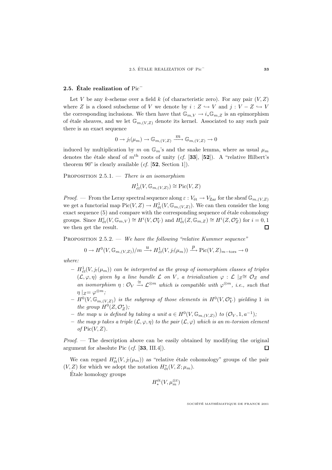### **2.5. Étale realization of** Pic<sup>−</sup>

Let V be any k-scheme over a field k (of characteristic zero). For any pair  $(V, Z)$ where Z is a closed subscheme of V we denote by  $i: Z \hookrightarrow V$  and  $j: V - Z \hookrightarrow V$ the corresponding inclusions. We then have that  $\mathbb{G}_{m,V} \to i_* \mathbb{G}_{m,Z}$  is an epimorphism of étale sheaves, and we let  $\mathbb{G}_{m,(V,Z)}$  denote its kernel. Associated to any such pair there is an exact sequence

$$
0 \to j_!(\mu_m) \to \mathbb{G}_{m,(V,Z)} \xrightarrow{m} \mathbb{G}_{m,(V,Z)} \to 0
$$

induced by multiplication by m on  $\mathbb{G}_m$ 's and the snake lemma, where as usual  $\mu_m$ denotes the étale sheaf of  $m^{\text{th}}$  roots of unity (cf. [33], [52]). A "relative Hilbert's theorem 90" is clearly available (cf. [**52**, Section 1]).

PROPOSITION  $2.5.1.$  — There is an isomorphism

$$
H^1_{\acute{e}t}(V,\mathbb{G}_{m,(V,Z)})\cong \mathrm{Pic}(V,Z)
$$

*Proof.* — From the Leray spectral sequence along  $\varepsilon : V_{\text{\'et}} \to V_{\text{Zar}}$  for the sheaf  $\mathbb{G}_{m,(V,Z)}$ we get a functorial map  $Pic(V, Z) \to H^1_{\text{\'et}}(V, \mathbb{G}_{m,(V,Z)})$ . We can then consider the long exact sequence  $(5)$  and compare with the corresponding sequence of étale cohomology groups. Since  $H^i_{\text{\'et}}(V, \mathbb{G}_{m,V}) \cong H^i(V, \mathcal{O}_V^*)$  and  $H^i_{\text{\'et}}(Z, \mathbb{G}_{m,Z}) \cong H^i(Z, \mathcal{O}_Z^*)$  for  $i = 0, 1$ we then get the result.  $\Box$ 

PROPOSITION 2.5.2. — We have the following "relative Kummer sequence"

$$
0 \to H^0(V,\mathbb{G}_{m,(V,Z)})/m \xrightarrow{u} H^1_{\acute{e}t}(V,j_!(\mu_m)) \xrightarrow{p} \mathrm{Pic}(V,Z)_{m-\mathrm{tors}} \to 0
$$

where:

- $H^1_{\acute{e}t}(V, j_!(\mu_m))$  can be interpreted as the group of isomorphism classes of triples  $(\mathcal{L}, \varphi, \eta)$  given by a line bundle  $\mathcal L$  on V, a trivialization  $\varphi : \mathcal L \mid_Z \cong \mathcal O_Z$  and an isomorphism  $\eta: \mathcal{O}_V \stackrel{\cong}{\to} \mathcal{L}^{\otimes m}$  which is compatible with  $\varphi^{\otimes m}$ , i.e., such that  $\eta$  |z=  $\varphi^{\otimes m}$ ;
- $H^0(V, \mathbb{G}_{m,(V,Z)})$  is the subgroup of those elements in  $H^0(V, \mathcal{O}_V^*)$  yielding 1 in the group  $H^0(Z, \mathcal{O}_Z^*)$ ;
- *–* the map u is defined by taking a unit  $a \in H^0(V, \mathbb{G}_{m,(V,Z)})$  to  $(\mathcal{O}_V, 1, a^{-1})$ ;
- the map p takes a triple  $(\mathcal{L}, \varphi, \eta)$  to the pair  $(\mathcal{L}, \varphi)$  which is an m-torsion element of  $Pic(V,Z)$ .

Proof. — The description above can be easily obtained by modifying the original argument for absolute Pic (cf. [**33**, III.4]).  $\Box$ 

We can regard  $H^*_{\text{\'et}}(V, j_!({\mu}_m))$  as "relative étale cohomology" groups of the pair  $(V, Z)$  for which we adopt the notation  $H^*_{\text{\'et}}(V, Z; \mu_m)$ .

Etale homology groups ´

$$
H_*^{\text{\'et}}(V,\mu_m^{\otimes t})
$$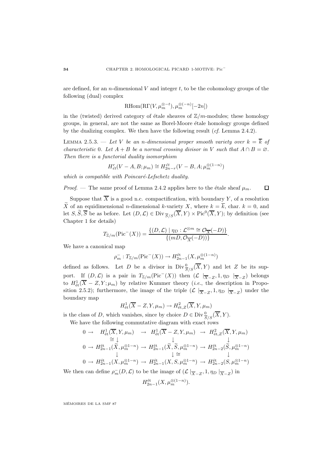are defined, for an  $n$ -dimensional  $V$  and integer  $t$ , to be the cohomology groups of the following (dual) complex

$$
\mathrm{RHom}(\mathrm{R}\Gamma(V,\mu_m^{\otimes -t}),\mu_m^{\otimes (-n)}[-2n])
$$

in the (twisted) derived category of étale sheaves of  $\mathbb{Z}/m$ -modules; these homology groups, in general, are not the same as Borel-Moore étale homology groups defined by the dualizing complex. We then have the following result  $(cf.$  Lemma 2.4.2).

LEMMA 2.5.3. — Let V be an n-dimensional proper smooth variety over  $k = \overline{k}$  of characteristic 0. Let  $A + B$  be a normal crossing divisor in V such that  $A \cap B = \emptyset$ . Then there is a functorial duality isomorphism

$$
H_{\acute{e}t}^{r}(V-A,B;\mu_{m})\cong H_{2n-r}^{\acute{e}t}(V-B,A;\mu_{m}^{\otimes (1-n)})
$$

which is compatible with  $Poincaré-Left'schetz$  duality.

*Proof.* — The same proof of Lemma 2.4.2 applies here to the étale sheaf  $\mu_m$ .  $\Box$ 

Suppose that  $\overline{X}$  is a good n.c. compactification, with boundary Y, of a resolution  $\widetilde{X}$  of an equidimensional *n*-dimensional *k*-variety X, where  $k = \overline{k}$ , char.  $k = 0$ , and let  $S, \widetilde{S}, \overline{S}$  be as before. Let  $(D, \mathcal{L}) \in \text{Div}_{\overline{S}/S}(\overline{X}, Y) \times \text{Pic}^0(\overline{X}, Y)$ ; by definition (see Chapter 1 for details)

$$
T_{\mathbb{Z}/m}(\text{Pic}^{-}(X)) = \frac{\{(D,\mathcal{L}) \mid \eta_D : \mathcal{L}^{\otimes m} \cong \mathcal{O}_{\overline{X}}(-D)\}}{\{(mD, \mathcal{O}_{\overline{X}}(-D))\}}.
$$

We have a canonical map

$$
\rho_m^-:T_{{\mathbb Z}/m}({\rm Pic}^-(X))\to H^{\mathrm{\acute{e}t}}_{2n-1}(X,\mu_m^{\otimes(1-n)})
$$

defined as follows. Let D be a divisor in  $\text{Div} \frac{0}{S/S}(\overline{X}, Y)$  and let Z be its support. If  $(D, \mathcal{L})$  is a pair in  $T_{\mathbb{Z}/m}(\text{Pic}^-(X))$  then  $(\mathcal{L} |_{\overline{X}-Z}, 1, \eta_D |_{\overline{X}-Z})$  belongs to  $H^1_{\text{\'et}}(\overline{X}-Z,Y;\mu_m)$  by relative Kummer theory (*i.e.*, the description in Proposition 2.5.2); furthermore, the image of the triple  $(\mathcal{L} | \overline{X} - Z, 1, \eta_D | \overline{X} - Z)$  under the boundary map

$$
H^1_{\text{\'et}}(\overline{X}-Z,Y,\mu_m)\to H^2_{\text{\'et},Z}(\overline{X},Y,\mu_m)
$$

is the class of D, which vanishes, since by choice  $D \in \text{Div}_{\overline{S}/S}^0(\overline{X}, Y)$ .

We have the following commutative diagram with exact rows

$$
0 \to H_{\text{\'et}}^1(\overline{X}, Y, \mu_m) \to H_{\text{\'et}}^1(\overline{X} - Z, Y, \mu_m) \to H_{\text{\'et}, Z}^2(\overline{X}, Y, \mu_m)
$$
  
\n
$$
\cong \downarrow \qquad \qquad \downarrow
$$
  
\n
$$
0 \to H_{2n-1}^{\text{\'et}}(\widetilde{X}, \mu_m^{\otimes 1-n}) \to H_{2n-1}^{\text{\'et}}(\widetilde{X}, \widetilde{S}, \mu_m^{\otimes 1-n}) \to H_{2n-2}^{\text{\'et}}(\widetilde{S}, \mu_m^{\otimes 1-n})
$$
  
\n
$$
\downarrow \cong \qquad \qquad \downarrow
$$
  
\n
$$
0 \to H_{2n-1}^{\text{\'et}}(X, \mu_m^{\otimes 1-n}) \to H_{2n-1}^{\text{\'et}}(X, S, \mu_m^{\otimes 1-n}) \to H_{2n-2}^{\text{\'et}}(S, \mu_m^{\otimes 1-n})
$$
  
\n
$$
\downarrow \leq \qquad \qquad \downarrow
$$
  
\n
$$
0 \to H_{2n-1}^{\text{\'et}}(X, \mu_m^{\otimes 1-n}) \to H_{2n-1}^{\text{\'et}}(X, S, \mu_m^{\otimes 1-n}) \to H_{2n-2}^{\text{\'et}}(S, \mu_m^{\otimes 1-n})
$$

We then can define  $\rho_m^-(D, \mathcal{L})$  to be the image of  $(\mathcal{L} \mid_{\overline{X}-Z}, 1, \eta_D \mid_{\overline{X}-Z})$  in

$$
H_{2n-1}^{\text{\'et}}(X,\mu_m^{\otimes(1-n)}).
$$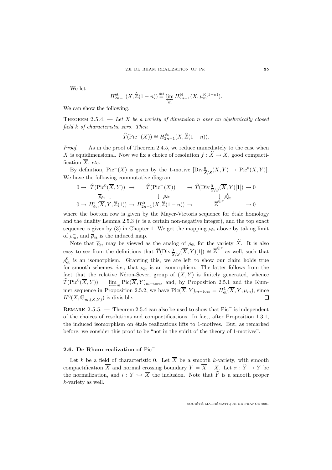We let

$$
H_{2n-1}^{\text{\'et}}(X, \widehat{\mathbb{Z}}(1-n)) \stackrel{\text{def}}{=} \varprojlim_m H_{2n-1}^{\text{\'et}}(X, \mu_m^{\otimes (1-n)}).
$$

We can show the following.

THEOREM 2.5.4.  $-$  Let X be a variety of dimension n over an algebraically closed field k of characteristic zero. Then

$$
\widehat{T}(\text{Pic}^-(X)) \cong H_{2n-1}^{\text{\'et}}(X, \widehat{\mathbb{Z}}(1-n)).
$$

*Proof.*  $\longrightarrow$  As in the proof of Theorem 2.4.5, we reduce immediately to the case when X is equidimensional. Now we fix a choice of resolution  $f : X \to X$ , good compactification  $\overline{X}$ , etc.

By definition, Pic<sup>-</sup>(X) is given by the 1-motive  $[\text{Div}\frac{0}{S/S}(\overline{X},Y) \to \text{Pic}^0(\overline{X},Y)].$ We have the following commutative diagram

$$
0 \to \widehat{T}(\text{Pic}^0(\overline{X}, Y)) \to \widehat{T}(\text{Pic}^-(X)) \to \widehat{T}(\text{Div}_{\overline{S}/S}^0(\overline{X}, Y)[1]) \to 0
$$
  
\n
$$
\overline{\rho}_{\text{\'et}} \downarrow \qquad \qquad \downarrow \rho_{\text{\'et}} \qquad \qquad \downarrow \rho_{\text{\'et}}^0
$$
  
\n
$$
0 \to H^1_{\text{\'et}}(\overline{X}, Y; \widehat{\mathbb{Z}}(1)) \to H^{\text{\'et}}_{2n-1}(X, \widehat{\mathbb{Z}}(1-n)) \to \widehat{\mathbb{Z}}^{\oplus r} \to 0
$$

where the bottom row is given by the Mayer-Vietoris sequence for étale homology and the duality Lemma 2.5.3  $(r \text{ is a certain non-negative integer})$ , and the top exact sequence is given by (3) in Chapter 1. We get the mapping  $\rho_{\text{\'et}}$  above by taking limit of  $\rho_m^-$ , and  $\overline{\rho}_{\text{\'et}}$  is the induced map.

Note that  $\overline{\rho}_{\text{\'et}}$  may be viewed as the analog of  $\rho_{\text{\'et}}$  for the variety  $\widetilde{X}$ . It is also easy to see from the definitions that  $\widehat{T}(\text{Div}_{\overline{S}/S}^0(\overline{X}, Y)[1]) \cong \widehat{\mathbb{Z}}^{\oplus r}$  as well, such that  $\rho_{\text{\'et}}^0$  is an isomorphism. Granting this, we are left to show our claim holds true for smooth schemes, *i.e.*, that  $\overline{\rho}_{\text{\'et}}$  is an isomorphism. The latter follows from the fact that the relative Néron-Severi group of  $(\overline{X}, Y)$  is finitely generated, whence  $\widehat{T}(\text{Pic}^0(\overline{X}, Y)) = \underline{\lim}_{m} \text{Pic}(\overline{X}, Y)_{m-\text{tors}},$  and, by Proposition 2.5.1 and the Kummer sequence in Proposition 2.5.2, we have  $Pic(\overline{X}, Y)_{m-\text{tors}} = H^1_{\text{\'et}}(\overline{X}, Y; \mu_m)$ , since  $H^0(X, \mathbb{G}_{m}(\overline{X}, Y))$  is divisible. П

Remark 2.5.5. — Theorem 2.5.4 can also be used to show that Pic<sup>−</sup> is independent of the choices of resolutions and compactifications. In fact, after Proposition 1.3.1, the induced isomorphism on étale realizations lifts to 1-motives. But, as remarked before, we consider this proof to be "not in the spirit of the theory of 1-motives".

#### **2.6. De Rham realization of** Pic<sup>−</sup>

Let k be a field of characteristic 0. Let  $\overline{X}$  be a smooth k-variety, with smooth compactification  $\overline{X}$  and normal crossing boundary  $Y = \overline{X} - X$ . Let  $\pi : \widetilde{Y} \to Y$  be the normalization, and  $i: Y \hookrightarrow \overline{X}$  the inclusion. Note that  $\widetilde{Y}$  is a smooth proper k-variety as well.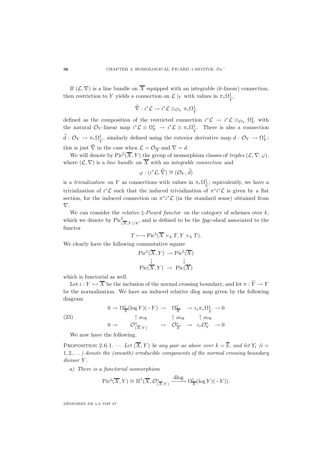If  $(\mathcal{L}, \nabla)$  is a line bundle on  $\overline{X}$  equipped with an integrable (k-linear) connection, then restriction to Y yields a connection on  $\mathcal{L}|_Y$  with values in  $\pi_*\Omega_{\widetilde{Y}}^1$ ,

$$
\widetilde{\nabla}: i^*{\mathcal L} \to i^*{\mathcal L} \otimes_{{\mathcal O}_Y} \pi_*\Omega^1_{\widetilde{Y}}
$$

defined as the composition of the restricted connection  $i^*\mathcal{L} \to i^*\mathcal{L} \otimes_{\mathcal{O}_Y} \Omega_Y^1$  with the natural  $\mathcal{O}_Y$ -linear map  $i^*\mathcal{L} \otimes \Omega^1_Y \to i^*\mathcal{L} \otimes \pi_*\Omega^1_{\widetilde{Y}}$ . There is also a connection  $d: \mathcal{O}_Y \to \pi_* \Omega^1_{\widetilde{Y}}$ , similarly defined using the exterior derivative map  $d: \mathcal{O}_Y \to \Omega^1_Y$ ; this is just  $\tilde{\nabla}$  in the case when  $\mathcal{L} = \mathcal{O}_{\overline{X}}$  and  $\nabla = d$ .

We will denote by  $Pic^{\natural}(\overline{X}, Y)$  the group of isomorphism classes of *triples*  $(\mathcal{L}, \nabla, \varphi)$ , where  $(\mathcal{L}, \nabla)$  is a line bundle on  $\overline{X}$  with an integrable connection and

$$
\varphi:(i^*\mathcal{L},\widetilde{\nabla})\cong(\mathcal{O}_Y,\widetilde{d})
$$

is a *trivialization* on Y as connections with values in  $\pi_* \Omega^1_{\widetilde{Y}}$ ; equivalently, we have a<br>trivialization of i<sup>\*</sup>C such that the induced trivialization of  $\pi^{**}$ C is given by a flat trivialization of  $i^*\mathcal{L}$  such that the induced trivialization of  $\pi^*i^*\mathcal{L}$  is given by a flat section, for the induced connection on  $\pi^*i^*\mathcal{L}$  (in the standard sense) obtained from ∇.

We can consider the *relative*  $\sharp$ -*Picard functor* on the category of schemes over k, which we denote by  $Pic^{\natural}_{(\overline{X},Y)/k}$ , and is defined to be the *fpqc*-sheaf associated to the functor

$$
T \longmapsto \mathrm{Pic}^{\natural}(\overline{X} \times_k T, Y \times_k T).
$$

We clearly have the following commutative square

$$
\begin{array}{ccc} \mathrm{Pic}^{\natural}(\overline{X}, Y) \to \mathrm{Pic}^{\natural}(\overline{X}) \\ \downarrow & & \downarrow \\ \mathrm{Pic}(\overline{X}, Y) \to \mathrm{Pic}(\overline{X}) \end{array}
$$

which is functorial as well.

Let  $i: Y \hookrightarrow \overline{X}$  be the inclusion of the normal crossing boundary, and let  $\pi: \widetilde{Y} \to Y$ be the normalization. We have an induced relative dlog map given by the following diagram

(23) 
$$
0 \to \Omega^1_{\overline{X}}(\log Y)(-Y) \to \Omega^1_{\overline{X}} \to i_* \pi_* \Omega^1_{\widetilde{Y}} \to 0
$$

$$
\uparrow \text{dlog} \qquad \uparrow \text{dlog} \qquad \uparrow \text{dlog} \qquad \uparrow \text{dlog}
$$

$$
0 \to \mathcal{O}^*_{(\overline{X}, Y)} \to \mathcal{O}^*_{\overline{X}} \to i_* \mathcal{O}^*_{Y} \to 0
$$

We now have the following.

PROPOSITION 2.6.1. — Let  $(\overline{X}, Y)$  be any pair as above over  $k = \overline{k}$ , and let  $Y_i$  (i =  $1, 2, \ldots$ ) denote the (smooth) irreducible components of the normal crossing boundary divisor Y.

a) There is a functorial isomorphism

$$
\operatorname{Pic}^{\natural}(\overline{X}, Y) \cong \mathbb{H}^1(\overline{X}, \mathcal{O}_{(\overline{X}, Y)}^* \xrightarrow{\operatorname{dlog}} \Omega^1_{\overline{X}}(\log Y)(-Y)).
$$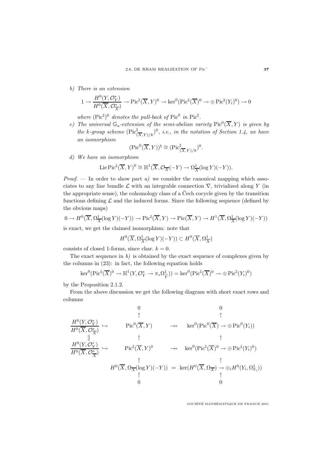b) There is an extension

$$
1 \to \frac{H^0(Y, \mathcal{O}_Y^*)}{H^0(\overline{X}, \mathcal{O}_{\overline{X}}^*)} \to \mathrm{Pic}^{\natural}(\overline{X}, Y)^0 \to \mathrm{ker}^0(\mathrm{Pic}^{\natural}(\overline{X})^0 \to \oplus \mathrm{Pic}^{\natural}(Y_i)^0) \to 0
$$

where  $(Pic^{\natural})^0$  denotes the pull-back of  $Pic^0$  in  $Pic^{\natural}$ .

c) The universal  $\mathbb{G}_a$ -extension of the semi-abelian variety  $Pic^0(\overline{X}, Y)$  is given by the k-group scheme  $(\text{Pic}^{\natural}_{(\overline{X},Y)/k})^0$ , i.e., in the notation of Section 1.4, we have an isomorphism

$$
(\mathrm{Pic}^0(\overline{X}, Y))^{\natural} \cong (\mathrm{Pic}_{(\overline{X}, Y)/k}^{\natural})^0.
$$

d) We have an isomorphism

Lie Pic<sup>†</sup>(
$$
\overline{X}, Y
$$
)<sup>0</sup>  $\cong$   $\mathbb{H}^1(\overline{X}, \mathcal{O}_{\overline{X}}(-Y) \to \Omega^1_{\overline{X}}(\log Y)(-Y)).$ 

*Proof.* — In order to show part  $a$ ) we consider the canonical mapping which associates to any line bundle  $\mathcal L$  with an integrable connection  $\nabla$ , trivialized along Y (in the appropriate sense), the cohomology class of a Čech cocycle given by the transition functions defining  $\mathcal L$  and the induced forms. Since the following sequence (defined by the obvious maps)

$$
0 \to H^0(\overline{X}, \Omega^1_{\overline{X}}(\log Y)(-Y)) \to \mathrm{Pic}^{\natural}(\overline{X}, Y) \to \mathrm{Pic}(\overline{X}, Y) \to H^1(\overline{X}, \Omega^1_{\overline{X}}(\log Y)(-Y))
$$

is exact, we get the claimed isomorphism: note that

$$
H^0(\overline{X}, \Omega^1_{\overline{X}}(\log Y)(-Y)) \subset H^0(\overline{X}, \Omega^1_{\overline{X}})
$$

consists of closed 1-forms, since char.  $k = 0$ .

The exact sequence in  $b$ ) is obtained by the exact sequence of complexes given by the columns in (23): in fact, the following equation holds

$$
\ker^0(\operatorname{Pic}^{\natural}(\overline{X})^0 \to \mathbb{H}^1(Y, \mathcal{O}_Y^* \to \pi_*\Omega_{\widetilde{Y}}^1)) = \ker^0(\operatorname{Pic}^{\natural}(\overline{X})^0 \to \oplus \operatorname{Pic}^{\natural}(Y_i)^0)
$$

by the Proposition 2.1.2.

From the above discussion we get the following diagram with short exact rows and columns

$$
\frac{H^0(Y, \mathcal{O}_Y^*)}{H^0(\overline{X}, \mathcal{O}_X^*)} \hookrightarrow \begin{array}{cc} 0 & 0 \\ \uparrow & \uparrow \\ \text{Pic}^0(\overline{X}, Y) & \to & \ker^0(\text{Pic}^0(\overline{X}) \to \oplus \text{Pic}^0(Y_i)) \\ \downarrow & \uparrow \\ \frac{H^0(Y, \mathcal{O}_Y^*)}{H^0(\overline{X}, \mathcal{O}_X^*)} \hookrightarrow \begin{array}{cc} \uparrow & \uparrow \\ \text{Pic}^{\natural}(\overline{X}, Y)^0 & \to & \ker^0(\text{Pic}^{\natural}(\overline{X})^0 \to \oplus \text{Pic}^{\natural}(Y_i)^0) \\ \downarrow & \uparrow \\ H^0(\overline{X}, \Omega_{\overline{X}}(\log Y)(-Y)) = \ker(H^0(\overline{X}, \Omega_{\overline{X}}) \to \oplus_i H^0(Y_i, \Omega_{Y_i}^1)) \\ \uparrow & \uparrow \\ 0 & 0 \end{array}
$$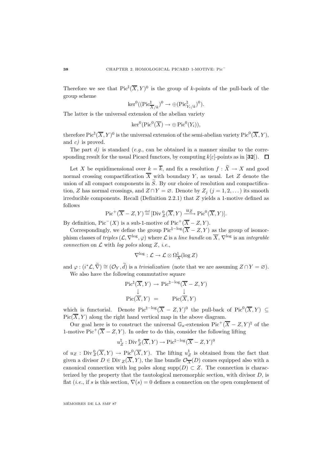Therefore we see that  $Pic^{\natural}(\overline{X}, Y)^{0}$  is the group of k-points of the pull-back of the group scheme

$$
\ker^0((\operatorname{Pic}^{\natural}_{\overline{X}/k})^0 \to \oplus(\operatorname{Pic}^{\natural}_{Y_i/k})^0).
$$

The latter is the universal extension of the abelian variety

$$
\ker^0(\operatorname{Pic}^0(\overline{X}) \to \oplus \operatorname{Pic}^0(Y_i)),
$$

therefore  $\text{Pic}^{\natural}(\overline{X}, Y)^0$  is the universal extension of the semi-abelian variety  $\text{Pic}^0(\overline{X}, Y)$ , and  $c$ ) is proved.

The part  $d$ ) is standard (e.g., can be obtained in a manner similar to the corresponding result for the usual Picard functors, by computing  $k[\varepsilon]$ -points as in [32]).  $\Box$ 

Let X be equidimensional over  $k = \overline{k}$ , and fix a resolution  $f : \widetilde{X} \to X$  and good normal crossing compactification  $\overline{X}$  with boundary Y, as usual. Let Z denote the union of all compact components in  $\widetilde{S}$ . By our choice of resolution and compactification, Z has normal crossings, and  $Z \cap Y = \emptyset$ . Denote by  $Z_j$   $(j = 1, 2, ...)$  its smooth irreducible components. Recall (Definition 2.2.1) that Z yields a 1-motive defined as follows

$$
\operatorname{Pic}^+(\overline{X} - Z, Y) \stackrel{\text{def}}{=} [\operatorname{Div}_{Z}^{0}(\overline{X}, Y) \xrightarrow{u_Z} \operatorname{Pic}^{0}(\overline{X}, Y)].
$$

By definition,  $Pic^{-}(X)$  is a sub-1-motive of  $Pic^{+}(\overline{X} - Z, Y)$ .

Correspondingly, we define the group Pic<sup> $\natural$ -log( $\overline{X}$  – Z, Y) as the group of isomor-</sup> phism classes of triples  $(\mathcal{L}, \nabla^{\log}, \varphi)$  where  $\mathcal{L}$  is a line bundle on  $\overline{X}, \nabla^{\log}$  is an integrable connection on  $\mathcal L$  with log poles along Z, i.e.,

$$
\nabla^{\log}: \mathcal{L} \to \mathcal{L} \otimes \Omega^1_{\overline{X}}(\log Z)
$$

and  $\varphi : (i^*\mathcal{L}, \tilde{\nabla}) \cong (\mathcal{O}_Y, \tilde{d})$  is a *trivialization* (note that we are assuming  $Z \cap Y = \varnothing$ ). We also have the following commutative square

$$
\begin{array}{rcl}\n\operatorname{Pic}^{\natural}(\overline{X}, Y) & \to \operatorname{Pic}^{\natural - \log}(\overline{X} - Z, Y) \\
\downarrow & & \downarrow \\
\operatorname{Pic}(\overline{X}, Y) & = & \operatorname{Pic}(\overline{X}, Y)\n\end{array}
$$

which is functorial. Denote Pic<sup> $\sharp -\log(\overline{X} - Z, Y)^0$ </sup> the pull-back of Pic<sup>0</sup>( $\overline{X}, Y$ ) ⊂  $Pic(\overline{X}, Y)$  along the right hand vertical map in the above diagram.

Our goal here is to construct the universal  $\mathbb{G}_a$ -extension Pic<sup>+</sup>( $\overline{X}$  – Z, Y)<sup> $\natural$ </sup> of the 1-motive Pic<sup>+</sup>( $\overline{X}$  – Z, Y). In order to do this, consider the following lifting

$$
u_Z^\natural: \mathrm{Div}\,^0_Z(\overline{X},Y)\to \mathrm{Pic}^{\natural-\log}(\overline{X}-Z,Y)^0
$$

of  $u_Z$ : Div $\frac{0}{Z}(\overline{X}, Y) \to \text{Pic}^{0}(\overline{X}, Y)$ . The lifting  $u_Z^{\natural}$  is obtained from the fact that given a divisor  $D \in \text{Div}_Z(X, Y)$ , the line bundle  $\mathcal{O}_{\overline{X}}(D)$  comes equipped also with a canonical connection with log poles along supp $(D) \subset Z$ . The connection is characterized by the property that the tautological meromorphic section, with divisor  $D$ , is flat (*i.e.*, if s is this section,  $\nabla(s) = 0$  defines a connection on the open complement of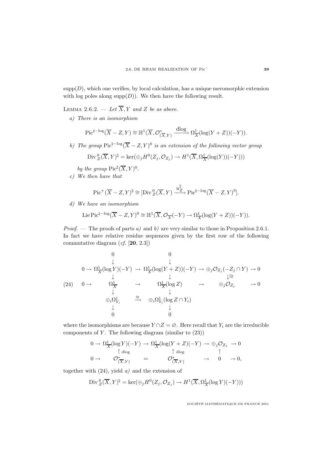$\text{supp}(D)$ , which one verifies, by local calculation, has a unique meromorphic extension with log poles along  $\text{supp}(D)$ ). We then have the following result.

LEMMA 2.6.2. — Let  $\overline{X}$ , Y and Z be as above.

a) There is an isomorphism

$$
\operatorname{Pic}^{\natural - \log}(\overline{X} - Z, Y) \cong \mathbb{H}^1(\overline{X}, \mathcal{O}_{(\overline{X}, Y)}^* \xrightarrow{\operatorname{dlog}} \Omega^1_{\overline{X}}(\log(Y + Z))(-Y)).
$$

b) The group Pic<sup> $\frac{1}{2}$ -log( $\overline{X} - Z$ , Y)<sup>0</sup> is an extension of the following vector group</sup>

$$
\operatorname{Div}_{Z}^{0}(\overline{X}, Y)^{\natural} = \ker(\oplus_{j} H^{0}(Z_{j}, \mathcal{O}_{Z_{j}}) \to H^{1}(\overline{X}, \Omega_{\overline{X}}^{1}(\log(Y))(-Y)))
$$

by the group  $\text{Pic}^{\natural}(\overline{X}, Y)^{0}$ .

c) We then have that

$$
\mathrm{Pic}^+(\overline{X}-Z,Y)^{\natural} \cong [\mathrm{Div}_{Z}^{0}(\overline{X},Y) \xrightarrow{u_{Z}^{\natural}} \mathrm{Pic}^{\natural-\log}(\overline{X}-Z,Y)^{0}].
$$

d) We have an isomorphism

Lie Pic<sup>$$
\natural
$$
-log</sup> $(\overline{X} - Z, Y)^0 \cong \mathbb{H}^1(\overline{X}, \mathcal{O}_{\overline{X}}(-Y) \to \Omega^1_{\overline{X}}(\log(Y + Z))(-Y)).$ 

*Proof.* — The proofs of parts a) and b) are very similar to those in Proposition 2.6.1. In fact we have relative residue sequences given by the first row of the following commutative diagram (cf. [**20**, 2.3])

$$
\begin{array}{ccccccc}\n & & & 0 & & 0 & \\
 & & \downarrow & & \downarrow & & \\
0 & \to \Omega_{\overline{X}}^{-1}(\log Y)(-Y) & \to \Omega_{\overline{X}}^{-1}(\log(Y+Z))(-Y) & \to \oplus_{j}\mathcal{O}_{Z_{j}}(-Z_{j} \cap Y) & \to 0 \\
 & & \downarrow & & \downarrow \cong & \\
(24) & 0 & \to & \Omega_{\overline{X}}^{1} & \to & \Omega_{\overline{X}}^{1}(\log Z) & \to & \oplus_{j}\mathcal{O}_{Z_{j}} & \to 0 \\
 & & \downarrow & & \downarrow & & \\
& & \oplus_{i}\Omega_{Y_{i}}^{1} & \xrightarrow{\cong} & \oplus_{i}\Omega_{Y_{i}}^{1}(\log Z \cap Y_{i}) & & \\
& & \downarrow & & \downarrow & & \\
0 & & 0 & & & \\
\end{array}
$$

where the isomorphisms are because  $Y \cap Z = \emptyset$ . Here recall that  $Y_i$  are the irreducible components of  $Y$ . The following diagram (similar to  $(23)$ )

$$
0 \to \Omega^1_{\overline{X}}(\log Y)(-Y) \to \Omega^1_{\overline{X}}(\log(Y+Z)(-Y) \to \oplus_j \mathcal{O}_{Z_j} \to 0
$$
  
\n
$$
0 \to \mathcal{O}_{(\overline{X},Y)}^* = \mathcal{O}_{(\overline{X},Y)}^* \to 0 \to 0,
$$

together with  $(24)$ , yield  $a)$  and the extension of

Div 
$$
{}_{Z}^{0}(\overline{X}, Y)^{\natural} = \ker(\bigoplus_{j} H^{0}(Z_{j}, \mathcal{O}_{Z_{j}}) \to H^{1}(\overline{X}, \Omega_{\overline{X}}^{1}(\log Y)(-Y)))
$$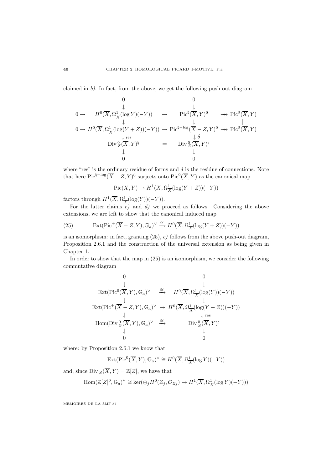claimed in b). In fact, from the above, we get the following push-out diagram

$$
0 \longrightarrow H^{0}(\overline{X}, \Omega_{\overline{X}}^{1}(\log Y)(-Y)) \longrightarrow Pic^{\natural}(\overline{X}, Y)^{0} \longrightarrow Pic^{0}(\overline{X}, Y)
$$
  
\n
$$
0 \longrightarrow H^{0}(\overline{X}, \Omega_{\overline{X}}^{1}(\log(Y+Z))(-Y)) \longrightarrow Pic^{\natural - \log}(\overline{X} - Z, Y)^{0} \longrightarrow Pic^{0}(\overline{X}, Y)
$$
  
\n
$$
\downarrow_{res} \qquad \qquad \downarrow \delta
$$
  
\n
$$
Div_{Z}^{0}(\overline{X}, Y)^{\natural} \qquad = \qquad Div_{Z}^{0}(\overline{X}, Y)^{\natural}
$$
  
\n
$$
\downarrow_{0}^{0}
$$

where "res" is the ordinary residue of forms and  $\delta$  is the residue of connections. Note that here Pic<sup> $\sharp$ –log( $\overline{X}$  – Z, Y)<sup>0</sup> surjects onto Pic<sup>0</sup>( $\overline{X}$ , Y) as the canonical map</sup>

$$
Pic(\overline{X}, Y) \to H^1(\overline{X}, \Omega^1_{\overline{X}}(\log(Y + Z))(-Y))
$$

factors through  $H^1(\overline{X}, \Omega^1_{\overline{X}}(\log(Y))(-Y)).$ 

For the latter claims  $c)$  and  $d)$  we proceed as follows. Considering the above extensions, we are left to show that the canonical induced map

(25) 
$$
\operatorname{Ext}(\operatorname{Pic}^+(\overline{X}-Z,Y),\mathbb{G}_a)^\vee \xrightarrow{\cong} H^0(\overline{X},\Omega^1_{\overline{X}}(\log(Y+Z))(-Y))
$$

is an isomorphism: in fact, granting  $(25)$ , c) follows from the above push-out diagram, Proposition 2.6.1 and the construction of the universal extension as being given in Chapter 1.

In order to show that the map in (25) is an isomorphism, we consider the following commutative diagram

$$
\begin{array}{cccc}\n0 & 0 & 0 \\
& \downarrow & & \downarrow \\
\text{Ext}(\text{Pic}^{0}(\overline{X}, Y), \mathbb{G}_{a})^{\vee} & \xrightarrow{\cong} & H^{0}(\overline{X}, \Omega^{1}_{\overline{X}}(\log(Y))(-Y)) \\
& \downarrow & & \downarrow \\
\text{Ext}(\text{Pic}^{+}(\overline{X} - Z, Y), \mathbb{G}_{a})^{\vee} & \to & H^{0}(\overline{X}, \Omega^{1}_{\overline{X}}(\log(Y + Z))(-Y)) \\
& \downarrow & & \downarrow \text{res} \\
\text{Hom}(\text{Div} \,{}_{Z}^{0}(\overline{X}, Y), \mathbb{G}_{a})^{\vee} & \xrightarrow{\cong} & \text{Div} \,{}_{Z}^{0}(\overline{X}, Y)^{\natural} \\
& \downarrow & & \downarrow \\
0 & 0 & 0\n\end{array}
$$

where: by Proposition 2.6.1 we know that

$$
\operatorname{Ext}(\operatorname{Pic}^0(\overline{X},Y),\mathbb{G}_a)^{\vee} \cong H^0(\overline{X},\Omega^1_{\overline{X}}(\log Y)(-Y))
$$

and, since Div  $Z(\overline{X}, Y) = \mathbb{Z}[Z]$ , we have that

$$
\text{Hom}(\mathbb{Z}[Z]^0, \mathbb{G}_a)^{\vee} \cong \text{ker}(\bigoplus_j H^0(Z_j, \mathcal{O}_{Z_j}) \to H^1(\overline{X}, \Omega_{\overline{X}}^1(\log Y)(-Y)))
$$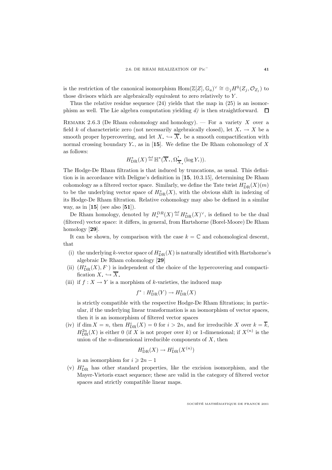is the restriction of the canonical isomorphism Hom( $\mathbb{Z}[Z], \mathbb{G}_a$ )<sup> $\vee \cong \bigoplus_i H^0(Z_i, \mathcal{O}_{Z_i})$  to</sup> those divisors which are algebraically equivalent to zero relatively to Y .

Thus the relative residue sequence  $(24)$  yields that the map in  $(25)$  is an isomorphism as well. The Lie algebra computation yielding d) is then straightforward.  $\Box$ 

REMARK 2.6.3 (De Rham cohomology and homology). — For a variety X over a field k of characteristic zero (not necessarily algebraically closed), let  $X \rightarrow X$  be a smooth proper hypercovering, and let  $X_{\bullet} \hookrightarrow \overline{X}_{\bullet}$  be a smooth compactification with normal crossing boundary Y<sub>c</sub>, as in [15]. We define the De Rham cohomology of X as follows:

$$
H^*_{\mathrm{DR}}(X) \stackrel{\text{def}}{=} \mathbb{H}^*(\overline{X}_\bullet, \Omega^{\bullet}_{\overline{X}_\bullet}(\log Y_\bullet)).
$$

The Hodge-De Rham filtration is that induced by truncations, as usual. This definition is in accordance with Deligne's definition in [**15**, 10.3.15], determining De Rham cohomology as a filtered vector space. Similarly, we define the Tate twist  $H^*_{\text{DR}}(X)(m)$ to be the underlying vector space of  $H^*_{\text{DR}}(X)$ , with the obvious shift in indexing of its Hodge-De Rham filtration. Relative cohomology may also be defined in a similar way, as in [**15**] (see also [**51**]).

De Rham homology, denoted by  $H_*^{DR}(X) \stackrel{\text{def}}{=} H_{\text{DR}}^*(X)^\vee$ , is defined to be the dual (filtered) vector space: it differs, in general, from Hartshorne (Borel-Moore) De Rham homology [**29**].

It can be shown, by comparison with the case  $k = \mathbb{C}$  and cohomological descent, that

- (i) the underlying k-vector space of  $H^*_{DR}(X)$  is naturally identified with Hartshorne's algebraic De Rham cohomology [**29**]
- (ii)  $(H_{DR}^*(X), F)$  is independent of the choice of the hypercovering and compactification  $X_{\bullet} \hookrightarrow \overline{X}_{\bullet}$ <br>(iii) if  $f : X \to Y$  is a morphism of k-varieties, the induced map
- 

$$
f^*: H^*_{\mathrm{DR}}(Y) \to H^*_{\mathrm{DR}}(X)
$$

is strictly compatible with the respective Hodge-De Rham filtrations; in particular, if the underlying linear transformation is an isomorphism of vector spaces, then it is an isomorphism of filtered vector spaces

(iv) if dim  $X = n$ , then  $H^i_{DR}(X) = 0$  for  $i > 2n$ , and for irreducible X over  $k = \overline{k}$ ,  $H_{\text{DR}}^{2n}(X)$  is either 0 (if X is not proper over k) or 1-dimensional; if  $X^{(n)}$  is the union of the *n*-dimensional irreducible components of  $X$ , then

$$
H^i_{\mathrm{DR}}(X) \to H^i_{\mathrm{DR}}(X^{(n)})
$$

is an isomorphism for  $i \geq 2n - 1$ 

(v)  $H_{\text{DR}}^*$  has other standard properties, like the excision isomorphism, and the Mayer-Vietoris exact sequence; these are valid in the category of filtered vector spaces and strictly compatible linear maps.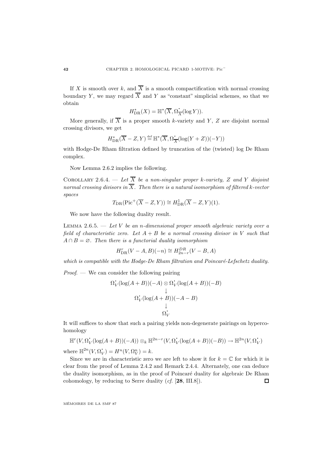If X is smooth over k, and  $\overline{X}$  is a smooth compactification with normal crossing boundary Y, we may regard  $\overline{X}$  and Y as "constant" simplicial schemes, so that we obtain

$$
H^*_{\mathrm{DR}}(X) = \mathbb{H}^*(\overline{X}, \Omega^{\bullet}_{\overline{X}}(\log Y)).
$$

More generally, if  $\overline{X}$  is a proper smooth k-variety and Y, Z are disjoint normal crossing divisors, we get

$$
H^*_{\mathrm{DR}}(\overline{X}-Z,Y) \mathbin{\stackrel{\rm def}{=}} \mathbb{H}^*(\overline{X},\Omega_{\overline{X}}^{\:\raisebox{3pt}{\text{\circle*{1.5}}}}(\log(Y+Z))(-Y))
$$

with Hodge-De Rham filtration defined by truncation of the (twisted) log De Rham complex.

Now Lemma 2.6.2 implies the following.

COROLLARY 2.6.4. — Let  $\overline{X}$  be a non-singular proper k-variety, Z and Y disjoint normal crossing divisors in  $\overline{X}$ . Then there is a natural isomorphism of filtered k-vector spaces

$$
T_{\rm DR}(\rm Pic^+(\overline{X}-Z,Y))\cong H^1_{\rm DR}(\overline{X}-Z,Y)(1).
$$

We now have the following duality result.

LEMMA 2.6.5.  $-$  Let V be an n-dimensional proper smooth algebraic variety over a field of characteristic zero. Let  $A + B$  be a normal crossing divisor in V such that  $A \cap B = \emptyset$ . Then there is a functorial duality isomorphism

$$
H_{\text{DR}}^r(V-A,B)(-n) \cong H_{2n-r}^{DR}(V-B,A)
$$

which is compatible with the Hodge-De Rham filtration and Poincaré-Lefschetz duality.

*Proof.* — We can consider the following pairing

$$
\Omega_V^{\raisebox{-3pt}{\text{\circle*{1.5}}}}(\log(A+B))(-A) \otimes \Omega_V^{\raisebox{-3pt}{\text{\circle*{1.5}}}}(\log(A+B))(-B)\\ \downarrow\\\Omega_V^{\raisebox{-3pt}{\text{\circle*{1.5}}}}(\log(A+B))(-A-B)\\ \downarrow\\\Omega_V^{\raisebox{-3pt}{\text{\circle*{1.5}}}}
$$

It will suffices to show that such a pairing yields non-degenerate pairings on hypercohomology

$$
\mathbb{H}^r(V,\Omega^{\textstyle\cdot}_V(\log(A+B))(-A))\otimes_k\mathbb{H}^{2n-r}(V,\Omega^{\textstyle\cdot}_V(\log(A+B))(-B))\to\mathbb{H}^{2n}(V,\Omega^{\textstyle\cdot}_V)
$$

where  $\mathbb{H}^{2n}(V, \Omega_V^{\bullet}) = H^n(V, \Omega_V^n) = k$ .

Since we are in characteristic zero we are left to show it for  $k = \mathbb{C}$  for which it is clear from the proof of Lemma 2.4.2 and Remark 2.4.4. Alternately, one can deduce the duality isomorphism, as in the proof of Poincaré duality for algebraic De Rham cohomology, by reducing to Serre duality (cf. [**28**, III.8]).  $\Box$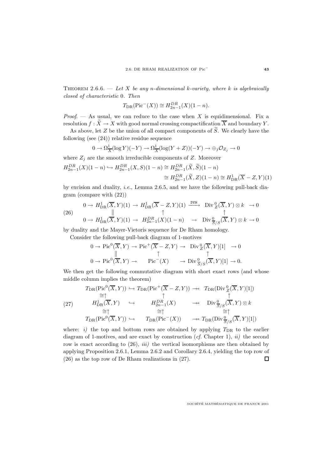THEOREM 2.6.6. — Let X be any n-dimensional k-variety, where k is algebraically closed of characteristic 0. Then

$$
T_{DR}(Pic^{-}(X)) \cong H_{2n-1}^{DR}(X)(1-n).
$$

*Proof.* — As usual, we can reduce to the case when X is equidimensional. Fix a resolution  $f : \widetilde{X} \to X$  with good normal crossing compactification  $\overline{X}$  and boundary Y.

As above, let Z be the union of all compact components of  $\widetilde{S}$ . We clearly have the following (see (24)) relative residue sequence

$$
0 \to \Omega^1_{\overline{X}}(\log Y)(-Y) \to \Omega^1_{\overline{X}}(\log(Y+Z))(-Y) \to \oplus_j \mathcal{O}_{Z_j} \to 0
$$

where  $Z_i$  are the smooth irreducible components of Z. Moreover

$$
H_{2n-1}^{DR}(X)(1-n) \hookrightarrow H_{2n-1}^{DR}(X, S)(1-n) \cong H_{2n-1}^{DR}(\widetilde{X}, \widetilde{S})(1-n)
$$
  

$$
\cong H_{2n-1}^{DR}(\widetilde{X}, Z)(1-n) \cong H_{DR}^{1}(\overline{X} - Z, Y)(1)
$$

by excision and duality, *i.e.*, Lemma 2.6.5, and we have the following pull-back diagram (compare with (22))

(26) 
$$
0 \to H_{\text{DR}}^1(\overline{X}, Y)(1) \to H_{\text{DR}}^1(\overline{X} - Z, Y)(1) \xrightarrow{\text{res}} \text{Div}_Z^0(\overline{X}, Y) \otimes k \to 0
$$
  
\n
$$
0 \to H_{\text{DR}}^1(\overline{X}, Y)(1) \to H_{\text{2n-1}}^{DR}(X)(1 - n) \to \text{Div}_{\overline{S}/S}^0(\overline{X}, Y) \otimes k \to 0
$$

by duality and the Mayer-Vietoris sequence for De Rham homology.

Consider the following pull-back diagram of 1-motives

$$
0 \to Pic^0(\overline{X}, Y) \to Pic^+(\overline{X} - Z, Y) \to \text{Div}_{Z}^0(\overline{X}, Y)[1] \to 0
$$
  

$$
0 \to Pic^0(\overline{X}, Y) \to \text{Pic}^-(X) \to \text{Div}_{\overline{S}/S}^0(\overline{X}, Y)[1] \to 0.
$$

We then get the following commutative diagram with short exact rows (and whose middle column implies the theorem)

$$
T_{\text{DR}}(\text{Pic}^{0}(\overline{X}, Y)) \hookrightarrow T_{\text{DR}}(\text{Pic}^{+}(\overline{X} - Z, Y)) \longrightarrow T_{\text{DR}}(\text{Div}_{Z}^{0}(\overline{X}, Y)[1])
$$
  
\n
$$
\cong \uparrow \qquad \qquad \uparrow \qquad \qquad \uparrow
$$
  
\n
$$
H_{\text{DR}}^{1}(\overline{X}, Y) \hookrightarrow H_{2n-1}^{DR}(X) \longrightarrow \text{Div}_{\overline{S}/S}^{0}(\overline{X}, Y) \otimes k
$$
  
\n
$$
\cong \uparrow \qquad \cong \uparrow \qquad \cong \uparrow
$$
  
\n
$$
T_{\text{DR}}(\text{Pic}^{0}(\overline{X}, Y)) \hookrightarrow T_{\text{DR}}(\text{Pic}^{-}(X)) \longrightarrow T_{\text{DR}}(\text{Div}_{\overline{S}/S}^{0}(\overline{X}, Y)[1])
$$

where: i) the top and bottom rows are obtained by applying  $T_{\text{DR}}$  to the earlier diagram of 1-motives, and are exact by construction  $(cf.$  Chapter 1),  $ii)$  the second row is exact according to  $(26)$ ,  $iii)$  the vertical isomorphisms are then obtained by applying Proposition 2.6.1, Lemma 2.6.2 and Corollary 2.6.4, yielding the top row of (26) as the top row of De Rham realizations in (27).  $\Box$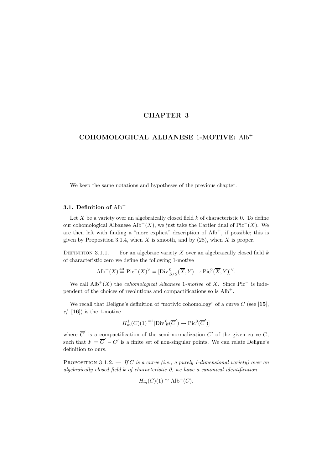## **CHAPTER 3**

# **COHOMOLOGICAL ALBANESE** 1**-MOTIVE:** Alb<sup>+</sup>

We keep the same notations and hypotheses of the previous chapter.

## **3.1. Definition of** Alb<sup>+</sup>

Let  $X$  be a variety over an algebraically closed field  $k$  of characteristic 0. To define our cohomological Albanese Alb<sup>+</sup>(X), we just take the Cartier dual of Pic<sup>−</sup>(X). We are then left with finding a "more explicit" description of  $\text{Alb}^+$ , if possible; this is given by Proposition 3.1.4, when  $X$  is smooth, and by  $(28)$ , when  $X$  is proper.

DEFINITION 3.1.1. — For an algebraic variety X over an algebraically closed field  $k$ of characteristic zero we define the following 1-motive

$$
\text{Alb}^+(X) \stackrel{\text{def}}{=} \text{Pic}^-(X)^\vee = [\text{Div} \frac{0}{S/S}(\overline{X}, Y) \to \text{Pic}^0(\overline{X}, Y)]^\vee.
$$

We call  $\text{Alb}^+(X)$  the *cohomological Albanese* 1-motive of X. Since Pic<sup>−</sup> is independent of the choices of resolutions and compactifications so is  $\text{Alb}^+$ .

We recall that Deligne's definition of "motivic cohomology" of a curve C (see [**15**], cf. [**16**]) is the 1-motive

$$
H_m^1(C)(1) \stackrel{\text{def}}{=} [\text{Div}_F^0(\overline{C}') \to \text{Pic}^0(\overline{C}')] \quad \text{and} \quad
$$

where  $\overline{C}'$  is a compactification of the semi-normalization  $C'$  of the given curve C, such that  $F = \overline{C}' - C'$  is a finite set of non-singular points. We can relate Deligne's definition to ours.

PROPOSITION 3.1.2.  $-$  If C is a curve (i.e., a purely 1-dimensional variety) over an algebraically closed field  $k$  of characteristic  $\theta$ , we have a canonical identification

$$
H_m^1(C)(1) \cong \text{Alb}^+(C).
$$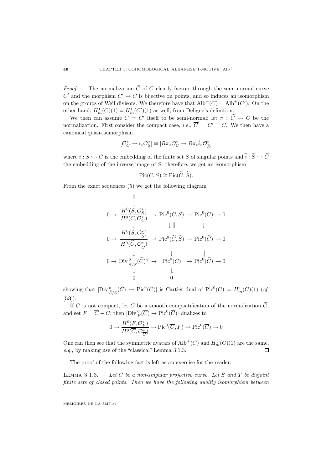*Proof.* — The normalization  $\tilde{C}$  of C clearly factors through the semi-normal curve C' and the morphism  $C' \rightarrow C$  is bijective on points, and so induces an isomorphism on the groups of Weil divisors. We therefore have that  $\text{Alb}^+(C) = \text{Alb}^+(C')$ . On the other hand,  $H_m^1(C)(1) = H_m^1(C')(1)$  as well, from Deligne's definition.

We then can assume  $C = C'$  itself to be semi-normal; let  $\pi : \widetilde{C} \to C$  be the normalization. First consider the compact case, *i.e.*,  $\overline{C}' = C' = C$ . We then have a canonical quasi-isomorphism

$$
[\mathcal{O}_C^* \to i_* \mathcal{O}_S^*] \cong [R\pi_* \mathcal{O}_C^* \to R\pi_* \widetilde{i}_* \mathcal{O}_{\widetilde{S}}^*]
$$

where  $i : S \hookrightarrow C$  is the embedding of the finite set S of singular points and  $\tilde{i} : \tilde{S} \hookrightarrow \tilde{C}$ the embedding of the inverse image of  $S$ : therefore, we get an isomorphism

$$
\operatorname{Pic}(C, S) \cong \operatorname{Pic}(\widetilde{C}, \widetilde{S}).
$$

From the exact sequences (5) we get the following diagram

$$
0 \to \frac{H^0(S, \mathcal{O}_S^*)}{H^0(C, \mathcal{O}_C^*)} \to \text{Pic}^0(C, S) \to \text{Pic}^0(C) \to 0
$$
  
\n
$$
0 \to \frac{H^0(\widetilde{S}, \mathcal{O}_S^*)}{H^0(\widetilde{C}, \mathcal{O}_{\widetilde{C}}^*)} \to \text{Pic}^0(\widetilde{C}, \widetilde{S}) \to \text{Pic}^0(\widetilde{C}) \to 0
$$
  
\n
$$
0 \to \text{Div}_{\widetilde{S}/S}^0(\widetilde{C})^\vee \to \text{Pic}^0(C) \to \text{Pic}^0(\widetilde{C}) \to 0
$$
  
\n
$$
\downarrow \qquad \qquad \downarrow \qquad \qquad \downarrow
$$
  
\n
$$
0 \qquad \qquad 0
$$

showing that  $[\text{Div}^0_{\widetilde{S}/S}(\widetilde{C}) \to \text{Pic}^0(\widetilde{C})]$  is Cartier dual of  $\text{Pic}^0(C) = H^1_m(C)(1)$  (*cf.* [**53**]).

If C is not compact, let  $\overline{C}$  be a smooth compactification of the normalization  $\widetilde{C}$ , and set  $F = \overline{C} - C$ ; then  $[\text{Div}_{F}^{0}(\overline{C}) \to \text{Pic}^{0}(\overline{C})]$  dualizes to

$$
0 \to \frac{H^0(F, \mathcal{O}_F^*)}{H^0(\overline{C}, \mathcal{O}_{\overline{C}}^*)} \to \text{Pic}^0(\overline{C}, F) \to \text{Pic}^0(\overline{C}) \to 0
$$

One can then see that the symmetric avatars of  $\text{Alb}^+(C)$  and  $H^1_m(C)(1)$  are the same, e.g., by making use of the "classical" Lemma 3.1.3.  $\Box$ 

The proof of the following fact is left as an exercise for the reader.

LEMMA 3.1.3.  $-$  Let C be a non-singular projective curve. Let S and T be disjoint finite sets of closed points. Then we have the following duality isomorphism between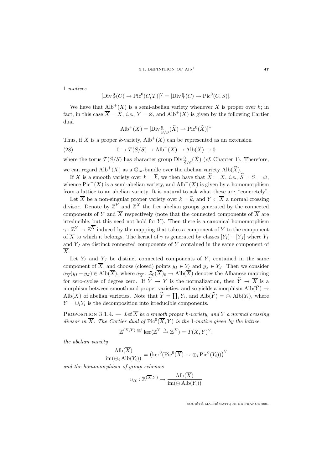1-motives

$$
[\mathrm{Div}^0_S(C) \to \mathrm{Pic}^0(C, T)]^\vee = [\mathrm{Div}^0_T(C) \to \mathrm{Pic}^0(C, S)].
$$

We have that  $\text{Alb}^+(X)$  is a semi-abelian variety whenever X is proper over k; in fact, in this case  $\overline{X} = \widetilde{X}$ , *i.e.*,  $Y = \emptyset$ , and Alb<sup>+</sup>(X) is given by the following Cartier dual

$$
\text{Alb}^+(X) = [\text{Div}^0_{\widetilde{S}/S}(\widetilde{X}) \to \text{Pic}^0(\widetilde{X})]^\vee
$$

Thus, if X is a proper k-variety,  $\text{Alb}^+(X)$  can be represented as an extension

(28) 
$$
0 \to T(\widetilde{S}/S) \to \text{Alb}^+(X) \to \text{Alb}(\widetilde{X}) \to 0
$$

where the torus  $T(\widetilde{S}/S)$  has character group  $Div^0_{\widetilde{S}/S}(\widetilde{X})$  (*cf.* Chapter 1). Therefore, we can regard  $\text{Alb}^+(X)$  as a  $\mathbb{G}_m$ -bundle over the abelian variety  $\text{Alb}(\widetilde{X})$ .

If X is a smooth variety over  $k = \overline{k}$ , we then have that  $\widetilde{X} = X$ , *i.e.*,  $\widetilde{S} = S = \emptyset$ , whence  $Pic^{-}(X)$  is a semi-abelian variety, and  $\text{Alb}^{+}(X)$  is given by a homomorphism from a lattice to an abelian variety. It is natural to ask what these are, "concretely".

Let  $\overline{X}$  be a non-singular proper variety over  $k = \overline{k}$ , and  $Y \subset \overline{X}$  a normal crossing divisor. Denote by  $\mathbb{Z}^Y$  and  $\mathbb{Z}^{\overline{X}}$  the free abelian groups generated by the connected components of Y and  $\overline{X}$  respectively (note that the connected components of  $\overline{X}$  are irreducible, but this need not hold for  $Y$ ). Then there is a canonical homomorphism  $\gamma : \mathbb{Z}^Y \to \mathbb{Z}^{\overline{X}}$  induced by the mapping that takes a component of Y to the component of  $\overline{X}$  to which it belongs. The kernel of  $\gamma$  is generated by classes  $[Y_I] - [Y_J]$  where  $Y_I$ and  $Y_J$  are distinct connected components of Y contained in the same component of  $\overline{X}$ .

Let  $Y_I$  and  $Y_J$  be distinct connected components of Y, contained in the same component of  $\overline{X}$ , and choose (closed) points  $y_I \in Y_I$  and  $y_J \in Y_J$ . Then we consider  $a_{\overline{X}}(y_I - y_J) \in \text{Alb}(\overline{X})$ , where  $a_{\overline{X}} : \mathcal{Z}_0(\overline{X})_0 \to \text{Alb}(\overline{X})$  denotes the Albanese mapping for zero-cycles of degree zero. If  $\widetilde{Y} \to Y$  is the normalization, then  $\widetilde{Y} \to \overline{X}$  is a morphism between smooth and proper varieties, and so yields a morphism  $\text{Alb}(\widetilde{Y}) \rightarrow$  $\text{Alb}(\overline{X})$  of abelian varieties. Note that  $\widetilde{Y} = \coprod_i Y_i$ , and  $\text{Alb}(\widetilde{Y}) = \bigoplus_i \text{Alb}(Y_i)$ , where  $Y = \bigcup_i Y_i$  is the decomposition into irreducible components.

PROPOSITION 3.1.4. — Let  $\overline{X}$  be a smooth proper k-variety, and Y a normal crossing divisor in  $\overline{X}$ . The Cartier dual of  $Pic^{0}(\overline{X}, Y)$  is the 1-motive given by the lattice  $\mathbb{Z}^{(\overline{X},Y)} \stackrel{\text{def}}{=} \ker(\mathbb{Z}^Y \stackrel{\gamma}{\to} \mathbb{Z}^{\overline{X}}) = T(\overline{X},Y)^\vee,$ 

the abelian variety

$$
\frac{\text{Alb}(\overline{X})}{\text{im}(\bigoplus_i \text{Alb}(Y_i))} = (\text{ker}^0(\text{Pic}^0(\overline{X}) \to \bigoplus_i \text{Pic}^0(Y_i)))^\vee
$$

and the homomorphism of group schemes

$$
u_X: \mathbb{Z}^{(\overline{X}, Y)} \to \frac{\text{Alb}(\overline{X})}{\text{im}(\oplus \text{Alb}(Y_i))}
$$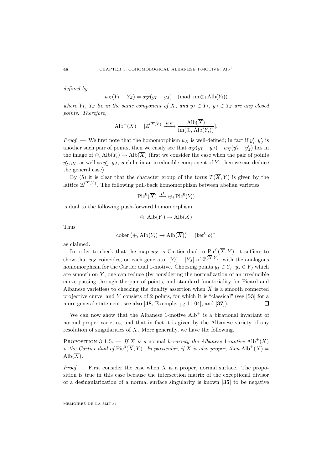defined by

 $u_X(Y_I - Y_J) = a_{\overline{X}}(y_I - y_J) \pmod{\text{im } \oplus_i \text{Alb}(Y_i)}$ 

where  $Y_I$ ,  $Y_J$  lie in the same component of X, and  $y_I \in Y_I$ ,  $y_J \in Y_J$  are any closed points. Therefore,

$$
\text{Alb}^+(X) = [\mathbb{Z}^{(\overline{X},Y)} \xrightarrow{u_X} \frac{\text{Alb}(\overline{X})}{\text{im}(\bigoplus_i \text{Alb}(Y_i))}].
$$

*Proof.* — We first note that the homomorphism  $u_X$  is well-defined; in fact if  $y'_I, y'_J$  is another such pair of points, then we easily see that  $a_{\overline{X}}(y_I - y_J) - a_{\overline{X}}(y'_I - y'_J)$  lies in the image of  $\oplus_i \text{Alb}(Y_i) \to \text{Alb}(\overline{X})$  (first we consider the case when the pair of points  $y'_I, y_I$ , as well as  $y'_J, y_J$ , each lie in an irreducible component of Y; then we can deduce the general case).

By (5) it is clear that the character group of the torus  $T(\overline{X}, Y)$  is given by the lattice  $\mathbb{Z}^{(X,Y)}$ . The following pull-back homomorphism between abelian varieties

$$
\operatorname{Pic}^0(\overline{X}) \xrightarrow{\rho} \oplus_i \operatorname{Pic}^0(Y_i)
$$

is dual to the following push-forward homomorphism

$$
\oplus_i \mathrm{Alb}(Y_i) \to \mathrm{Alb}(\overline{X})
$$

Thus

$$
coker\left(\oplus_i \text{Alb}(Y_i) \to \text{Alb}(\overline{X})\right) = (\ker^0 \rho)^{\vee}
$$

as claimed.

In order to check that the map  $u_X$  is Cartier dual to Pic<sup>0</sup>( $\overline{X}, Y$ ), it suffices to show that  $u_X$  coincides, on each generator  $[Y_I] - [Y_J]$  of  $\mathbb{Z}^{(X,Y)}$ , with the analogous homomorphism for the Cartier dual 1-motive. Choosing points  $y_I \in Y_I$ ,  $y_i \in Y_J$  which are smooth on  $Y$ , one can reduce (by considering the normalization of an irreducible curve passing through the pair of points, and standard functoriality for Picard and Albanese varieties) to checking the duality assertion when  $\overline{X}$  is a smooth connected projective curve, and Y consists of 2 points, for which it is "classical" (see [**53**] for a more general statement; see also [**48**, Exemple, pg.11-04], and [**37**]).  $\Box$ 

We can now show that the Albanese 1-motive  $\text{Alb}^+$  is a birational invariant of normal proper varieties, and that in fact it is given by the Albanese variety of any resolution of singularities of  $X$ . More generally, we have the following.

PROPOSITION 3.1.5. — If X is a normal k-variety the Albanese 1-motive  $\text{Alb}^+(X)$ is the Cartier dual of  $Pic^{0}(\overline{X}, Y)$ . In particular, if X is also proper, then  $\text{Alb}^{+}(X)$  =  $\text{Alb}(\overline{X})$ .

*Proof.* — First consider the case when X is a proper, normal surface. The proposition is true in this case because the intersection matrix of the exceptional divisor of a desingularization of a normal surface singularity is known [**35**] to be negative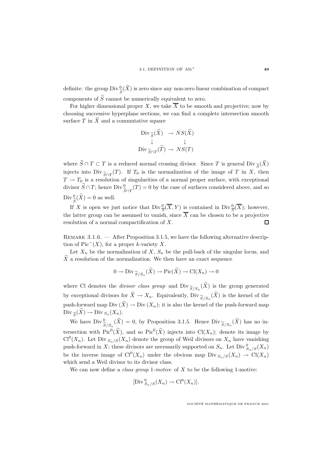definite: the group  $\text{Div} \frac{0}{S}(\tilde{X})$  is zero since any non-zero linear combination of compact components of  $\tilde{S}$  cannot be numerically equivalent to zero.

For higher dimensional proper X, we take  $\overline{X}$  to be smooth and projective; now by choosing successive hyperplane sections, we can find a complete intersection smooth surface T in  $\widetilde{X}$  and a commutative square

$$
\begin{array}{ccc}\n\text{Div}_{\widetilde{S}}(X) & \to NS(X) \\
\downarrow & & \downarrow \\
\text{Div}_{\widetilde{S} \cap T}(\widetilde{T}) & \to NS(T)\n\end{array}
$$

where  $\widetilde{S} \cap T \subset T$  is a reduced normal crossing divisor. Since T is general Div  $_{\widetilde{S}}(\widetilde{X})$ injects into Div $\tilde{\zeta}_{\cap T}(T)$ . If  $T_0$  is the normalization of the image of T in X, then  $T \to T_0$  is a resolution of singularities of a normal proper surface, with exceptional divisor  $\widetilde{S} \cap T$ ; hence  $\text{Div}^0_{\widetilde{S} \cap T}(T) = 0$  by the case of surfaces considered above, and so  $\text{Div}_{\widetilde{S}}^{0}(\widetilde{X}) = 0$  as well.

If X is open we just notice that  $\text{Div}_{\overline{S}}^0(\overline{X}, Y)$  is contained in  $\text{Div}_{\overline{S}}^0(\overline{X})$ ; however, the latter group can be assumed to vanish, since  $\overline{X}$  can be chosen to be a projective resolution of a normal compactification of X.  $\Box$ 

REMARK  $3.1.6.$  — After Proposition 3.1.5, we have the following alternative description of Pic<sup> $-$ </sup>(X), for a proper k-variety X.

Let  $X_n$  be the normalization of  $X$ ,  $S_n$  be the pull-back of the singular locus, and  $\widetilde{X}$  a resolution of the normalization. We then have an exact sequence

$$
0 \to \text{Div}_{\widetilde{S}/S_n}(\widetilde{X}) \to \text{Pic}(\widetilde{X}) \to \text{Cl}(X_n) \to 0
$$

where Cl denotes the *divisor class group* and  $\text{Div}_{\widetilde{S}/S_n}(X)$  is the group generated by exceptional divisors for  $X \to X_n$ . Equivalently, Div  $\widetilde{S}_{S/S_n}(X)$  is the kernel of the push-forward map Div  $(\widetilde{X}) \to \mathrm{Div}(X_n)$ ; it is also the kernel of the push-forward map  $\mathrm{Div}_{\widetilde{\mathcal{S}}}(X) \to \mathrm{Div}_{S_n}(X_n).$ 

We have  $Div_{\tilde{z}}^0$  $\frac{S}{S/S_n}(X) = 0$ , by Proposition 3.1.5. Hence  $\text{Div}_{\widetilde{S}/S_n}(X)$  has no intersection with  $Pic^{0}(\widetilde{X})$ , and so  $Pic^{0}(\widetilde{X})$  injects into  $Cl(X_{n})$ ; denote its image by  $Cl^{0}(X_{n})$ . Let Div  $S_{n}/S(X_{n})$  denote the group of Weil divisors on  $X_{n}$  have vanishing push-forward in X; these divisors are necessarily supported on  $S_n$ . Let  $\text{Div}_{S_n/S}^0(X_n)$ be the inverse image of  $Cl^0(X_n)$  under the obvious map Div  $S_n/S(X_n) \to Cl(X_n)$ which send a Weil divisor to its divisor class.

We can now define a *class group* 1-motive of  $X$  to be the following 1-motive:

$$
[\mathrm{Div}^0_{S_n/S}(X_n) \to \mathrm{Cl}^0(X_n)].
$$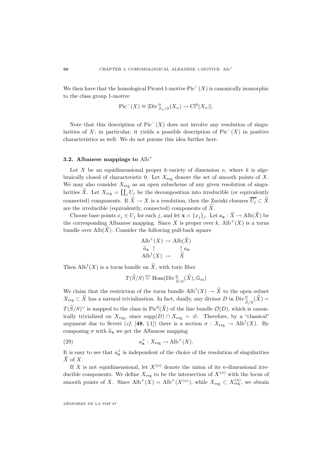We then have that the homological Picard 1-motive  $Pic^{-}(X)$  is canonically isomorphic to the class group 1-motive

$$
\mathrm{Pic}^-(X) \cong [\mathrm{Div}^0_{S_n/S}(X_n) \to \mathrm{Cl}^0(X_n)].
$$

Note that this description of Pic<sup> $-$ </sup>(X) does not involve any resolution of singularities of X; in particular, it yields a possible description of  $Pic^{-}(X)$  in positive characteristics as well. We do not pursue this idea further here.

### **3.2.** Albanese mappings to  $\text{Alb}^+$

Let X be an equidimensional proper k-variety of dimension n, where  $k$  is algebraically closed of characteristic 0. Let  $X_{reg}$  denote the set of smooth points of X. We may also consider  $X_{\text{reg}}$  as an open subscheme of any given resolution of singularities  $\widetilde{X}$ . Let  $X_{\text{reg}} = \coprod_j U_j$  be the decomposition into irreducible (or equivalently connected) components. If  $\widetilde{X} \to X$  is a resolution, then the Zariski closures  $\overline{U_j} \subset \widetilde{X}$ are the irreducible (equivalently, connected) components of  $\tilde{X}$ .

Choose base points  $x_j \in U_j$  for each j, and let  $\mathbf{x} = \{x_j\}_j$ . Let  $a_\mathbf{x} : \widetilde{X} \to \text{Alb}(\widetilde{X})$  be the corresponding Albanese mapping. Since X is proper over k,  $\text{Alb}^+(X)$  is a torus bundle over  $\mathrm{Alb}(X)$ . Consider the following pull-back square

$$
Alb^{+}(X) \rightarrow Alb(\widetilde{X})
$$

$$
\widetilde{a}_{\mathbf{x}} \uparrow \uparrow a_{\mathbf{x}}
$$

$$
Alb^{\dagger}(X) \rightarrow \widetilde{X}
$$

Then  $\text{Alb}^\text{T}(X)$  is a torus bundle on X, with toric fiber

$$
T(\widetilde{S}/S) \stackrel{\text{def}}{=} \text{Hom}(\text{Div}^0_{\widetilde{S}/S}(\widetilde{X}), \mathbb{G}_m)
$$

We claim that the restriction of the torus bundle  $\text{Alb}^{\dagger}(X) \to X$  to the open subset  $X_{\text{reg}} \subset \tilde{X}$  has a natural trivialization. In fact, dually, any divisor D in Div $\frac{0}{S/S}(\tilde{X}) = \frac{0}{S(S)}$  $T(\widetilde{S}/S)^\vee$  is mapped to the class in Pic<sup>0</sup>( $\widetilde{X}$ ) of the line bundle  $\mathcal{O}(D)$ , which is canonically trivialized on  $X_{\text{reg}}$ , since supp $(D) \cap X_{\text{reg}} = \emptyset$ . Therefore, by a "classical" argument due to Severi (cf. [48, §1]) there is a section  $\sigma : X_{reg} \to Alb^{T}(X)$ . By composing  $\sigma$  with  $\tilde{a}_x$  we get the Albanese mapping

(29) 
$$
a^+_{\mathbf{x}} : X_{\text{reg}} \to \text{Alb}^+(X).
$$

It is easy to see that  $a_{\mathbf{x}}^{+}$  is independent of the choice of the resolution of singularities  $\widetilde{X}$  of X.

If X is not equidimensional, let  $X^{(n)}$  denote the union of its *n*-dimensional irreducible components. We define  $X_{reg}$  to be the intersection of  $X^{(n)}$  with the locus of smooth points of X. Since  $\text{Alb}^+(X) = \text{Alb}^+(X^{(n)})$ , while  $X_{\text{reg}} \subset X^{(n)}_{\text{reg}}$ , we obtain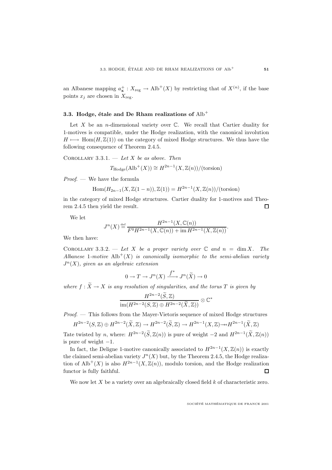an Albanese mapping  $a^+_{\mathbf{x}} : X_{\text{reg}} \to \text{Alb}^+(X)$  by restricting that of  $X^{(n)}$ , if the base points  $x_j$  are chosen in  $X_{\text{reg}}$ .

### **3.3. Hodge, étale and De Rham realizations of**  $\text{Alb}^+$

Let X be an *n*-dimensional variety over  $\mathbb{C}$ . We recall that Cartier duality for 1-motives is compatible, under the Hodge realization, with the canonical involution  $H \longmapsto \text{Hom}(H,\mathbb{Z}(1))$  on the category of mixed Hodge structures. We thus have the following consequence of Theorem 2.4.5.

COROLLARY  $3.3.1.$  — Let X be as above. Then

$$
T_{\text{Hodge}}(\text{Alb}^+(X)) \cong H^{2n-1}(X, \mathbb{Z}(n)) / (\text{torsion})
$$

Proof. — We have the formula

Hom
$$
(H_{2n-1}(X, \mathbb{Z}(1 - n)), \mathbb{Z}(1)) = H^{2n-1}(X, \mathbb{Z}(n)) / (\text{torsion})
$$

in the category of mixed Hodge structures. Cartier duality for 1-motives and Theorem 2.4.5 then yield the result.  $\Box$ 

We let

$$
J^{n}(X) \stackrel{\text{def}}{=} \frac{H^{2n-1}(X, \mathbb{C}(n))}{F^{0}H^{2n-1}(X, \mathbb{C}(n)) + \text{im } H^{2n-1}(X, \mathbb{Z}(n))}.
$$

We then have:

COROLLARY 3.3.2. — Let X be a proper variety over  $\mathbb C$  and  $n = \dim X$ . The Albanese 1-motive  $\mathrm{Alb}^{+}(X)$  is canonically isomorphic to the semi-abelian variety  $J<sup>n</sup>(X)$ , given as an algebraic extension

$$
0 \to T \to J^n(X) \xrightarrow{f^*} J^n(\widetilde{X}) \to 0
$$

where  $f : \widetilde{X} \to X$  is any resolution of singularities, and the torus T is given by

$$
\frac{H^{2n-2}(\widetilde{S},\mathbb{Z})}{\text{im}(H^{2n-2}(S,\mathbb{Z})\oplus H^{2n-2}(\widetilde{X},\mathbb{Z}))}\otimes \mathbb{C}^*
$$

Proof. — This follows from the Mayer-Vietoris sequence of mixed Hodge structures

$$
H^{2n-2}(S,{\mathbb Z})\oplus H^{2n-2}(\widetilde{X},{\mathbb Z})\to H^{2n-2}(\widetilde{S},{\mathbb Z})\to H^{2n-1}(X,{\mathbb Z})\to H^{2n-1}(\widetilde{X},{\mathbb Z})
$$

Tate twisted by n, where:  $H^{2n-2}(\tilde{S}, \mathbb{Z}(n))$  is pure of weight  $-2$  and  $H^{2n-1}(\tilde{X}, \mathbb{Z}(n))$ is pure of weight  $-1$ .

In fact, the Deligne 1-motive canonically associated to  $H^{2n-1}(X,\mathbb{Z}(n))$  is exactly the claimed semi-abelian variety  $J<sup>n</sup>(X)$  but, by the Theorem 2.4.5, the Hodge realization of Alb<sup>+</sup>(X) is also  $H^{2n-1}(X, \mathbb{Z}(n))$ , modulo torsion, and the Hodge realization functor is fully faithful.  $\Box$ 

We now let  $X$  be a variety over an algebraically closed field  $k$  of characteristic zero.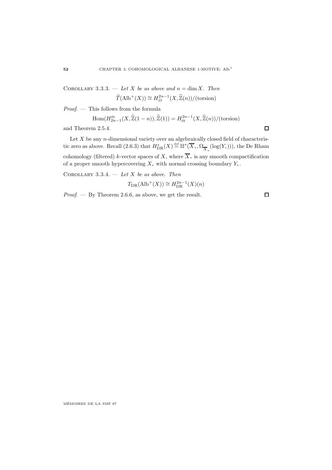COROLLARY 3.3.3. — Let X be as above and  $n = \dim X$ . Then  $\widehat{T}(\text{Alb}^+(X)) \cong H^{2n-1}_{\acute{e}t}(X, \widehat{\mathbb{Z}}(n)) / (\text{torsion})$ 

Proof. — This follows from the formula

$$
\text{Hom}(H_{2n-1}^{\text{\'et}}(X,\widehat{\mathbb{Z}}(1-n)),\widehat{\mathbb{Z}}(1))=H_{\text{\'et}}^{2n-1}(X,\widehat{\mathbb{Z}}(n))/(\text{torsion})
$$

and Theorem 2.5.4.

Let  $X$  be any *n*-dimensional variety over an algebraically closed field of characteristic zero as above. Recall  $(2.6.3)$  that  $H^*_{DR}(X) \stackrel{\text{def}}{=} \mathbb{H}^*(\overline{X}_*, \Omega_{\overline{X}_*}^{\cdot}(\log(Y_*))),$  the De Rham cohomology (filtered) k-vector spaces of X, where  $\overline{X}$  is any smooth compactification of a proper smooth hypercovering  $X$ , with normal crossing boundary  $Y$ .

COROLLARY 3.3.4. — Let X be as above. Then

$$
T_{\rm DR}(\mathrm{Alb}^+(X)) \cong H_{\rm DR}^{2n-1}(X)(n)
$$

Proof. — By Theorem 2.6.6, as above, we get the result.

 $\Box$ 

 $\Box$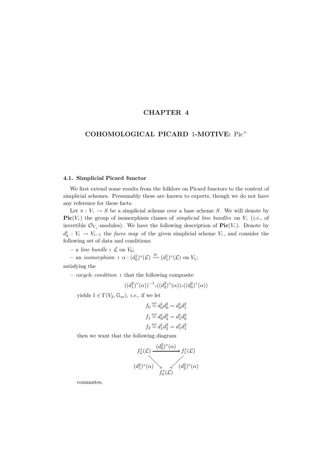## **CHAPTER 4**

## **COHOMOLOGICAL PICARD** 1**-MOTIVE:** Pic<sup>+</sup>

#### **4.1. Simplicial Picard functor**

We first extend some results from the folklore on Picard functors to the context of simplicial schemes. Presumably these are known to experts, though we do not have any reference for these facts.

Let  $\pi: V \to S$  be a simplicial scheme over a base scheme S. We will denote by **Pic** $(V)$  the group of isomorphism classes of *simplicial line bundles* on  $V$ . (*i.e.*, of invertible  $\mathcal{O}_V$ -modules). We have the following description of  $\text{Pic}(V)$ . Denote by  $d_k^i: V_i \to V_{i-1}$  the faces map of the given simplicial scheme V, and consider the following set of data and conditions:

 $-$  a *line bundle* **:**  $\mathcal{L}$  on  $V_0$ ;

 $-$  an *isomorphism* **:**  $\alpha$  :  $(d_0^1)^*(\mathcal{L}) \xrightarrow{\cong} (d_1^1)^*(\mathcal{L})$  on  $V_1$ ;

satisfying the

**–** cocycle condition **:** that the following composite

$$
((d_1^2)^*(\alpha))^{-1} \circ ((d_2^2)^*(\alpha)) \circ ((d_0^2)^*(\alpha))
$$

yields  $1 \in \Gamma(V_2, \mathbb{G}_m)$ , *i.e.*, if we let

$$
f_0 \stackrel{\text{def}}{=} d_0^1 d_0^2 = d_0^1 d_1^2
$$
  

$$
f_1 \stackrel{\text{def}}{=} d_0^1 d_2^2 = d_1^1 d_0^2
$$
  

$$
f_2 \stackrel{\text{def}}{=} d_1^1 d_2^2 = d_1^1 d_1^2
$$

then we want that the following diagram

$$
f_2^*(\mathcal{L}) \xrightarrow{(d_0^2)^*(\alpha)} f_1^*(\mathcal{L})
$$
  

$$
(d_1^2)^*(\alpha) \searrow \swarrow (d_2^2)^*(\alpha)
$$
  

$$
f_0^*(\mathcal{L})
$$

commutes.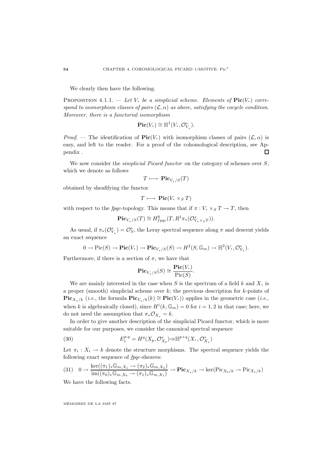We clearly then have the following.

**PROPOSITION** 4.1.1. — Let V, be a simplicial scheme. Elements of  $Pic(V)$  correspond to isomorphism classes of pairs  $(\mathcal{L}, \alpha)$  as above, satisfying the cocycle condition. Moreover, there is a functorial isomorphism

$$
\mathbf{Pic}(V_{\scriptscriptstyle\bullet})\cong {\mathbb H}^1(V_{\scriptscriptstyle\bullet}, {\mathcal O}_{V_{\scriptscriptstyle\bullet}}^*).
$$

Proof. — The identification of **Pic**(V<sub>c</sub>) with isomorphism classes of pairs  $(\mathcal{L}, \alpha)$  is easy, and left to the reader. For a proof of the cohomological description, see Appendix .  $\Box$ 

We now consider the *simplicial Picard functor* on the category of schemes over  $S$ , which we denote as follows

$$
T \longmapsto \mathrm{Pic}_{V_\bullet/S}(T)
$$

obtained by sheafifying the functor

$$
T \longmapsto \mathrm{Pic}(V_{\star} \times_S T)
$$

with respect to the fpqc-topology. This means that if  $\pi: V \times_S T \to T$ , then

$$
\mathbf{Pic}_{V_{\bullet}/S}(T) \cong H^0_{fpqc}(T, R^1 \pi_*(\mathcal{O}_{V_{\bullet} \times_S T}^*)).
$$

As usual, if  $\pi_*(\mathcal{O}_{V_\bullet}^*) = \mathcal{O}_{S}^*$ , the Leray spectral sequence along  $\pi$  and descent yields an exact sequence

$$
0 \to Pic(S) \to Pic(V_{\bullet}) \to Pic_{V_{\bullet}/S}(S) \to H^2(S, \mathbb{G}_m) \to \mathbb{H}^2(V_{\bullet}, \mathcal{O}_{V_{\bullet}}^*).
$$

Furthermore, if there is a section of  $\pi$ , we have that

$$
\mathbf{Pic}_{V_{\bullet}/S}(S) \cong \frac{\mathbf{Pic}(V_{\bullet})}{\mathrm{Pic}(S)}.
$$

We are mainly interested in the case when S is the spectrum of a field  $k$  and  $X$ , is a proper (smooth) simplicial scheme over  $k$ ; the previous description for  $k$ -points of **Pic**<sub>X⋅/k</sub> (*i.e.*, the formula  $\text{Pic}_{V_1/k}(k) \cong \text{Pic}(V_1)$ ) applies in the geometric case (*i.e.*, when k is algebraically closed), since  $H^{i}(k, \mathbb{G}_{m}) = 0$  for  $i = 1, 2$  in that case; here, we do not need the assumption that  $\pi_* \mathcal{O}_X = k$ .

In order to give another description of the simplicial Picard functor, which is more suitable for our purposes, we consider the canonical spectral sequence

(30) 
$$
E_1^{p,q} = H^q(X_p, \mathcal{O}_{X_p}^*) \Rightarrow \mathbb{H}^{p+q}(X_*, \mathcal{O}_{X_*}^*)
$$

Let  $\pi_i : X_i \to k$  denote the structure morphisms. The spectral sequence yields the following exact sequence of fpqc-sheaves:

$$
(31) \quad 0 \to \frac{\ker((\pi_1)_*\mathbb{G}_{m,X_1} \to (\pi_2)_*\mathbb{G}_{m,X_2})}{\operatorname{im}((\pi_0)_*\mathbb{G}_{m,X_0} \to (\pi_1)_*\mathbb{G}_{m,X_1})} \to \mathbf{Pic}_{X_\bullet/k} \to \ker(\operatorname{Pic}_{X_0/k} \to \operatorname{Pic}_{X_1/k})
$$

We have the following facts.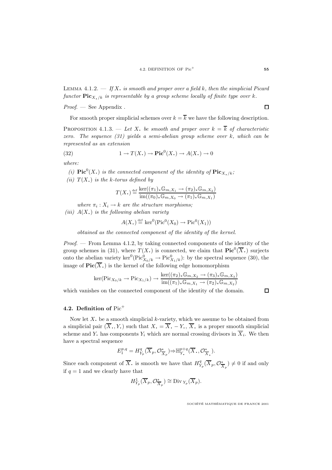LEMMA 4.1.2.  $\overline{\phantom{a}}$  If X, is smooth and proper over a field k, then the simplicial Picard functor  $\text{Pic}_{X, k}$  is representable by a group scheme locally of finite type over k.

 $Proof.$  — See Appendix.

For smooth proper simplicial schemes over  $k = \overline{k}$  we have the following description.

PROPOSITION 4.1.3. — Let X, be smooth and proper over  $k = \overline{k}$  of characteristic zero. The sequence  $(31)$  yields a semi-abelian group scheme over k, which can be represented as an extension

(32) 
$$
1 \to T(X_{\bullet}) \to \text{Pic}^0(X_{\bullet}) \to A(X_{\bullet}) \to 0
$$

where:

(i)  $\mathbf{Pic}^0(X)$  is the connected component of the identity of  $\mathbf{Pic}_{X,\kappa}(X)$ ;<br>(ii)  $\mathbf{C}(X)$  is the substitution of  $\mathbf{C}$ (ii)  $T(X_i)$  is the k-torus defined by

$$
T(X_{\scriptscriptstyle\bullet})\stackrel{\mathrm{def}}{=}\frac{\ker((\pi_1)_*\mathbb{G}_{m,X_1}\to(\pi_2)_*\mathbb{G}_{m,X_2})}{\mathrm{im}((\pi_0)_*\mathbb{G}_{m,X_0}\to(\pi_1)_*\mathbb{G}_{m,X_1})}
$$

where  $\pi_i : X_i \to k$  are the structure morphisms;

(iii)  $A(X_i)$  is the following abelian variety

$$
A(X_{\bullet}) \stackrel{\text{def}}{=} \ker^0(\text{Pic}^0(X_0) \to \text{Pic}^0(X_1))
$$

obtained as the connected component of the identity of the kernel.

*Proof.* — From Lemma 4.1.2, by taking connected components of the identity of the group schemes in (31), where  $T(X)$  is connected, we claim that  $\text{Pic}^0(\overline{X})$  surjects onto the abelian variety  $\ker^0(\text{Pic}^0_{X_0/k} \to \text{Pic}^0_{X_1/k})$ : by the spectral sequence (30), the image of  $\text{Pic}(\overline{X})$  is the kernel of the following edge homomorphism

$$
\ker(\operatorname{Pic}_{X_0/k} \to \operatorname{Pic}_{X_1/k}) \to \frac{\ker((\pi_2)_*\mathbb{G}_{m,X_2} \to (\pi_3)_*\mathbb{G}_{m,X_3})}{\operatorname{im}((\pi_1)_*\mathbb{G}_{m,X_1} \to (\pi_2)_*\mathbb{G}_{m,X_2})}
$$

which vanishes on the connected component of the identity of the domain.

 $\Box$ 

#### **4.2. Definition of** Pic<sup>+</sup>

Now let  $X$ , be a smooth simplicial k-variety, which we assume to be obtained from a simplicial pair  $(\overline{X}, Y)$  such that  $X = \overline{X}$ .  $-Y$ ,  $\overline{X}$ , is a proper smooth simplicial scheme and Y. has components  $Y_i$  which are normal crossing divisors in  $\overline{X}_i$ . We then have a spectral sequence

$$
E_1^{p,q} = H_{Y_p}^q(\overline{X}_p, \mathcal{O}_{\overline{X}_p}^*) \Rightarrow \mathbb{H}_{Y_\bullet}^{p+q}(\overline{X}_\bullet, \mathcal{O}_{\overline{X}_\bullet}^*)
$$

Since each component of  $\overline{X}$ , is smooth we have that  $H_{Y_p}^q(\overline{X}_p, \mathcal{O}_{\overline{X}_p}^*) \neq 0$  if and only if  $q = 1$  and we clearly have that

$$
H^1_{Y_p}(\overline{X}_p, \mathcal{O}_{\overline{X}_p}^*) \cong \text{Div}_{Y_p}(\overline{X}_p).
$$

SOCIÉTÉ MATHÉMATIQUE DE FRANCE 2001

 $\Box$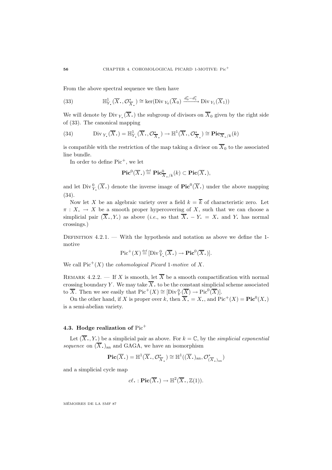From the above spectral sequence we then have

(33) 
$$
\mathbb{H}_{Y_{\bullet}}^1(\overline{X}_{\bullet}, \mathcal{O}_{\overline{X}_{\bullet}}^*) \cong \ker(\text{Div}_{Y_0}(\overline{X}_0) \xrightarrow{d_0^* - d_1^*} \text{Div}_{Y_1}(\overline{X}_1))
$$

We will denote by Div  $Y_r(X)$ , the subgroup of divisors on  $X_0$  given by the right side of (33). The canonical mapping

(34) 
$$
\text{Div}_{Y_{\bullet}}(\overline{X}_{\bullet}) = \mathbb{H}_{Y_{\bullet}}^{1}(\overline{X}_{\bullet}, \mathcal{O}_{\overline{X}_{\bullet}}^{*}) \to \mathbb{H}^{1}(\overline{X}_{\bullet}, \mathcal{O}_{\overline{X}_{\bullet}}^{*}) \cong \text{Pic}_{\overline{X}_{\bullet}/k}(k)
$$

is compatible with the restriction of the map taking a divisor on  $\overline{X}_0$  to the associated line bundle.

In order to define  $Pic^+$ , we let

$$
\mathbf{Pic}^0(\overline{X}_{\boldsymbol{\cdot}}) \stackrel{\text{def}}{=} \mathbf{Pic}^0_{\overline{X}_{\boldsymbol{\cdot}}/k}(k) \subset \mathbf{Pic}(\overline{X}_{\boldsymbol{\cdot}}),
$$

and let  $\text{Div}_{Y_\bullet}^0(\overline{X}_\bullet)$  denote the inverse image of  $\text{Pic}^0(\overline{X}_\bullet)$  under the above mapping (34).

Now let X be an algebraic variety over a field  $k = \overline{k}$  of characteristic zero. Let  $\pi: X_{\bullet} \to X$  be a smooth proper hypercovering of X, such that we can choose a simplicial pair  $(\overline{X}, Y)$  as above (*i.e.*, so that  $\overline{X}$ . – Y. = X. and Y. has normal crossings.)

DEFINITION  $4.2.1.$  — With the hypothesis and notation as above we define the 1motive

$$
\mathrm{Pic}^+(X) \stackrel{\text{def}}{=} [\mathrm{Div}_{Y_\bullet}^0(\overline{X}_\bullet) \to \mathrm{Pic}^0(\overline{X}_\bullet)].
$$

We call  $Pic^+(X)$  the *cohomological Picard* 1-motive of X.

REMARK 4.2.2. — If X is smooth, let  $\overline{X}$  be a smooth compactification with normal crossing boundary Y. We may take  $\overline{X}$  to be the constant simplicial scheme associated to  $\overline{X}$ . Then we see easily that  $\operatorname{Pic}^+(X) \cong [\operatorname{Div}_Y^0(\overline{X}) \to \operatorname{Pic}^0(\overline{X})]$ .

On the other hand, if X is proper over k, then  $\overline{X}_{\bullet} = X_{\bullet}$ , and  $\text{Pic}^{+}(X) = \text{Pic}^{0}(X_{\bullet})$ is a semi-abelian variety.

### **4.3. Hodge realization of** Pic<sup>+</sup>

Let  $(\overline{X}_\bullet, Y_\bullet)$  be a simplicial pair as above. For  $k = \mathbb{C}$ , by the *simplicial exponential* sequence on  $(\overline{X}_{\cdot})_{\text{an}}$  and GAGA, we have an isomorphism

$$
\mathbf{Pic}(\overline{X}_{\boldsymbol{\cdot}})=\mathbb{H}^1(\overline{X}_{\boldsymbol{\cdot}},\mathcal{O}_{\overline{X}_{\boldsymbol{\cdot}}}^*)\cong\mathbb{H}^1((\overline{X}_{\boldsymbol{\cdot}})_{\rm an},\mathcal{O}_{(\overline{X}_{\boldsymbol{\cdot}})_{\rm an}}^*)
$$

and a simplicial cycle map

$$
c\ell_{\boldsymbol{\cdot}}:\mathbf{Pic}(\overline{X}_{\boldsymbol{\cdot}})\to\mathbb{H}^2(\overline{X}_{\boldsymbol{\cdot}},\mathbb{Z}(1)).
$$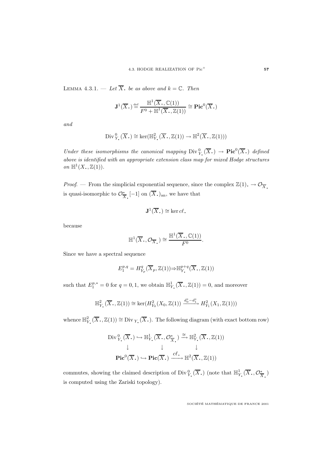LEMMA 4.3.1. — Let  $\overline{X}$ , be as above and  $k = \mathbb{C}$ . Then

$$
\mathbf{J}^1(\overline{X},\mathbf{C}) \stackrel{\text{def}}{=} \frac{\mathbb{H}^1(\overline{X},\mathbb{C}(1))}{F^0 + \mathbb{H}^1(\overline{X},\mathbb{Z}(1))} \cong \mathbf{Pic}^0(\overline{X},\mathbf{C})
$$

and

Div 
$$
\mathcal{V}_Y(\overline{X}_\cdot) \cong \ker(\mathbb{H}^2_{Y_\cdot}(\overline{X}_\cdot, \mathbb{Z}(1)) \to \mathbb{H}^2(\overline{X}_\cdot, \mathbb{Z}(1)))
$$

Under these isomorphisms the canonical mapping  $\text{Div}_Y^0(\overline{X}_\cdot) \to \text{Pic}^0(\overline{X}_\cdot)$  defined above is identified with an appropriate extension class map for mixed Hodge structures on  $\mathbb{H}^1(X_*,\mathbb{Z}(1))$ .

*Proof.* — From the simplicial exponential sequence, since the complex  $\mathbb{Z}(1) \to \mathcal{O}_{\overline{X}}$ .  $\frac{1}{X}$ [-1] on  $(X.)$ <sub>an</sub>, we have that

$$
\mathbf{J}^1(\overline{X}_\bullet) \cong \ker cl.
$$

because

$$
\mathbb{H}^1(\overline{X}_\cdot, \mathcal{O}_{\overline{X}_\cdot}) \cong \frac{\mathbb{H}^1(\overline{X}_\cdot, \mathbb{C}(1))}{F^0}.
$$

Since we have a spectral sequence

$$
E_1^{p,q} = H^q_{Y_p}(\overline{X}_p, \mathbb{Z}(1)) \Rightarrow \mathbb{H}_{Y_\bullet}^{p+q}(\overline{X}_\bullet, \mathbb{Z}(1))
$$

such that  $E_1^{p,*} = 0$  for  $q = 0, 1$ , we obtain  $\mathbb{H}^1_{Y}(\overline{X}, \mathbb{Z}(1)) = 0$ , and moreover

$$
\mathbb{H}_{Y_{\bullet}}^{2}(\overline{X}_{\bullet},\mathbb{Z}(1)) \cong \ker(H_{Y_{0}}^{2}(X_{0},\mathbb{Z}(1)) \xrightarrow{d_{0}^{*}-d_{1}^{*}} H_{Y_{1}}^{2}(X_{1},\mathbb{Z}(1)))
$$

whence  $\mathbb{H}_{Y}^2(\overline{X}_*, \mathbb{Z}(1)) \cong \text{Div}_{Y_*}(\overline{X}_*)$ . The following diagram (with exact bottom row)

$$
\mathrm{Div}_{Y_{\bullet}}^{0}(\overline{X}_{\bullet}) \hookrightarrow \mathbb{H}_{Y_{\bullet}}^{1}(\overline{X}_{\bullet}, \mathcal{O}_{\overline{X}_{\bullet}}^{*}) \xrightarrow{\cong} \mathbb{H}_{Y_{\bullet}}^{2}(\overline{X}_{\bullet}, \mathbb{Z}(1))
$$
  

$$
\downarrow \qquad \qquad \downarrow \qquad \qquad \downarrow
$$
  

$$
\mathrm{Pic}^{0}(\overline{X}_{\bullet}) \hookrightarrow \mathrm{Pic}(\overline{X}_{\bullet}) \xrightarrow{cl.} \mathbb{H}^{2}(\overline{X}_{\bullet}, \mathbb{Z}(1))
$$

commutes, showing the claimed description of Div $_{Y_\bullet}^0(\overline{X}_\bullet)$  (note that  $\mathbb{H}_{Y_\bullet}^1(\overline{X}_\bullet, \mathcal{O}_{\overline{X}_\bullet}^*)$ ) is computed using the Zariski topology).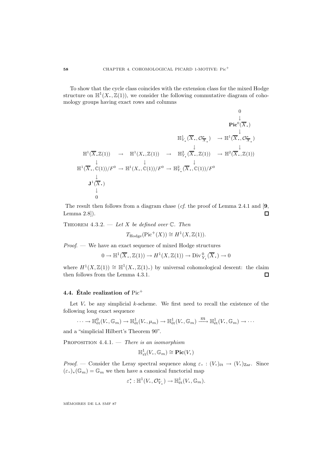To show that the cycle class coincides with the extension class for the mixed Hodge structure on  $\mathbb{H}^1(X,\mathbb{Z}(1))$ , we consider the following commutative diagram of cohomology groups having exact rows and columns

$$
\mathbb{H}^{1}(\overline{X},\mathbb{Z}(1)) \rightarrow \mathbb{H}^{1}(X,\mathbb{Z}(1)) \rightarrow \mathbb{H}^{2}(\overline{X},\mathbb{Z}(1)) \rightarrow \mathbb{H}^{2}(\overline{X},\mathbb{Z}(1)) \rightarrow \mathbb{H}^{2}(\overline{X},\mathbb{Z}(1)) \rightarrow \mathbb{H}^{2}(\overline{X},\mathbb{Z}(1)) \rightarrow \mathbb{H}^{2}(\overline{X},\mathbb{Z}(1))
$$
  

$$
\mathbb{H}^{1}(\overline{X},\mathbb{C}(1))/F^{0} \rightarrow \mathbb{H}^{1}(X,\mathbb{C}(1))/F^{0} \rightarrow \mathbb{H}^{2}_{Y}(\overline{X},\mathbb{C}(1))/F^{0}
$$
  

$$
\mathbf{J}^{1}(\overline{X},\mathbb{C})
$$
  

$$
\downarrow
$$
  
0

The result then follows from a diagram chase (cf. the proof of Lemma 2.4.1 and [**9**, Lemma 2.8]).  $\Box$ 

THEOREM 4.3.2.  $-\text{Let } X$  be defined over  $\mathbb{C}$ . Then

$$
T_{\text{Hodge}}(\text{Pic}^+(X)) \cong H^1(X, \mathbb{Z}(1)).
$$

Proof. — We have an exact sequence of mixed Hodge structures

 $0 \to \mathbb{H}^1(\overline{X}_\bullet, \mathbb{Z}(1)) \to H^1(X, \mathbb{Z}(1)) \to \text{Div}^0_{Y_\bullet}(\overline{X}_\bullet) \to 0$ 

where  $H^1(X,\mathbb{Z}(1)) \cong \mathbb{H}^1(X,\mathbb{Z}(1)$ .) by universal cohomological descent: the claim then follows from the Lemma 4.3.1.

## **4.4. Étale realization of** Pic<sup>+</sup>

Let  $V$ , be any simplicial  $k$ -scheme. We first need to recall the existence of the following long exact sequence

$$
\cdots \to \mathbb{H}^0_{\text{\'et}}(V, \mathbb{G}_m) \to \mathbb{H}^1_{\text{\'et}}(V, \mu_m) \to \mathbb{H}^1_{\text{\'et}}(V, \mathbb{G}_m) \xrightarrow{m} \mathbb{H}^1_{\text{\'et}}(V, \mathbb{G}_m) \to \cdots
$$

and a "simplicial Hilbert's Theorem 90".

PROPOSITION  $4.4.1.$  — There is an isomorphism

$$
\mathbb{H}^1_{\acute{e}t}(V, \mathbb{G}_m) \cong \mathbf{Pic}(V, )
$$

Proof. — Consider the Leray spectral sequence along  $\varepsilon$ . :  $(V_{\cdot})_{\text{\'et}} \to (V_{\cdot})_{\text{Zar}}$ . Since  $(\varepsilon_{\cdot})_*(\mathbb{G}_m) = \mathbb{G}_m$  we then have a canonical functorial map

$$
\varepsilon^* : \mathbb{H}^1(V, \mathcal{O}_V^*) \to \mathbb{H}^1_{\text{\'et}}(V, \mathbb{G}_m).
$$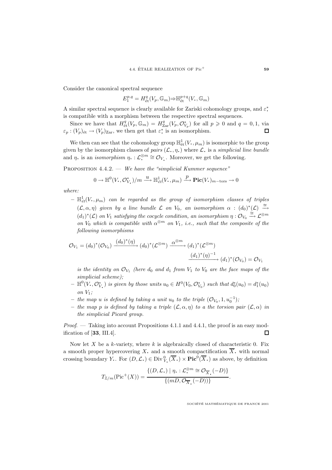Consider the canonical spectral sequence

 $E_1^{p,q} = H^q_{\text{\'et}}(V_p, \mathbb{G}_m) \Rightarrow \mathbb{H}^{p+q}_{\text{\'et}}(V, \mathbb{G}_m)$ 

A similar spectral sequence is clearly available for Zariski cohomology groups, and  $\varepsilon^*$ . is compatible with a morphism between the respective spectral sequences.

Since we have that  $H^q_{\text{\'et}}(V_p, \mathbb{G}_m) = H^q_{\text{Zar}}(V_p, \mathcal{O}_{V_p}^*)$  for all  $p \geq 0$  and  $q = 0, 1$ , via  $\varepsilon_p: (V_p)_{\text{\'et}} \to (V_p)_{\text{Zar}}$ , we then get that  $\varepsilon^*$  is an isomorphism.  $\Box$ 

We then can see that the cohomology group  $\mathbb{H}^1_{\text{\'et}}(V,\mu_m)$  is isomorphic to the group given by the isomorphism classes of pairs  $(\mathcal{L}, \eta)$  where  $\mathcal{L}$  is a simplicial line bundle and  $\eta$ , is an *isomorphism*  $\eta$ , :  $\mathcal{L}^{\otimes m} \cong \mathcal{O}_{V}$ . Moreover, we get the following.

PROPOSITION  $4.4.2.$  — We have the "simplicial Kummer sequence"

$$
0 \to \mathbb{H}^0(V, \mathcal{O}_{V_\bullet}^*)/m \xrightarrow{u} \mathbb{H}^1_{\acute{e}t}(V, \mu_m) \xrightarrow{p} \text{Pic}(V_\bullet)_{m-\text{tors}} \to 0
$$

where:

 $- \ \mathbb{H}^1_{\acute{e}t}(V, \mu_m)$  can be regarded as the group of isomorphism classes of triples  $(\mathcal{L}, \alpha, \eta)$  given by a line bundle  $\mathcal L$  on  $V_0$ , an isomorphism  $\alpha : (d_0)^*(\mathcal{L}) \stackrel{\cong}{\rightarrow}$  $(d_1)^*(\mathcal{L})$  on  $V_1$  satisfying the cocycle condition, an isomorphism  $\eta: \mathcal{O}_{V_0} \stackrel{\cong}{\longrightarrow} \mathcal{L}^{\otimes m}$ on  $V_0$  which is compatible with  $\alpha^{\otimes m}$  on  $V_1$ , i.e., such that the composite of the following isomorphisms

$$
\mathcal{O}_{V_1} = (d_0)^*(\mathcal{O}_{V_0}) \xrightarrow{(d_0)^*(\eta)} (d_0)^*(\mathcal{L}^{\otimes m}) \xrightarrow{\alpha^{\otimes m}} (d_1)^*(\mathcal{L}^{\otimes m})
$$

$$
\xrightarrow{(d_1)^*(\eta)^{-1}} (d_1)^*(\mathcal{O}_{V_0}) = \mathcal{O}_{V_1}
$$

is the identity on  $\mathcal{O}_{V_1}$  (here  $d_0$  and  $d_1$  from  $V_1$  to  $V_0$  are the face maps of the simplicial scheme);

- $-\mathbb{H}^0(V,\mathcal{O}_{V_\bullet}^*)$  is given by those units  $u_0 \in H^0(V_0,\mathcal{O}_{V_0}^*)$  such that  $d_0^*(u_0) = d_1^*(u_0)$ on  $V_1$ ;
- $-$  the map u is defined by taking a unit u<sub>0</sub> to the triple  $(\mathcal{O}_{V_0}, 1, u_0^{-1})$ ;
- the map p is defined by taking a triple  $(\mathcal{L}, \alpha, \eta)$  to a the torsion pair  $(\mathcal{L}, \alpha)$  in the simplicial Picard group.

Proof. — Taking into account Propositions 4.1.1 and 4.4.1, the proof is an easy modification of [**33**, III.4]. П

Now let  $X$  be a k-variety, where  $k$  is algebraically closed of characteristic 0. Fix a smooth proper hypercovering X. and a smooth compactification  $\overline{X}$ , with normal crossing boundary Y. For  $(D, \mathcal{L}) \in \text{Div}_{Y_\bullet}^0(\overline{X}_\bullet) \times \text{Pic}^0(\overline{X}_\bullet)$  as above, by definition

$$
T_{\mathbb{Z}/m}(\text{Pic}^{+}(X)) = \frac{\{(D,\mathcal{L}) \mid \eta_{\bullet} : \mathcal{L}_{\bullet}^{\otimes m} \cong \mathcal{O}_{\overline{X}_{\bullet}}(-D)\}}{\{(mD, \mathcal{O}_{\overline{X}_{\bullet}}(-D))\}}.
$$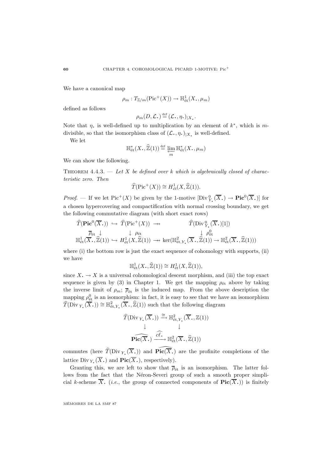We have a canonical map

$$
\rho_m: T_{\mathbb{Z}/m}(\mathrm{Pic}^+(X)) \to \mathbb{H}^1_{\text{\'et}}(X_*, \mu_m)
$$

defined as follows

$$
\rho_m(D,\mathcal{L}) \stackrel{\text{def}}{=} (\mathcal{L}, \eta.)_{|X_{\bullet}}.
$$

Note that  $\eta$ , is well-defined up to multiplication by an element of  $k^*$ , which is mdivisible, so that the isomorphism class of  $(\mathcal{L}, \eta, \mathcal{L})|X|$  is well-defined.

We let

$$
\mathbb{H}_{\text{\'et}}^*(X_*,\widehat{\mathbb{Z}}(1)) \stackrel{\text{def}}{=} \varprojlim_m \mathbb{H}_{\text{\'et}}^*(X_*,\mu_m)
$$

We can show the following.

THEOREM 4.4.3. — Let X be defined over k which is algebraically closed of characteristic zero. Then

$$
\widehat{T}(\mathrm{Pic}^+(X)) \cong H^1_{\acute{e}t}(X, \widehat{\mathbb{Z}}(1)).
$$

*Proof.* — If we let Pic<sup>+</sup>(X) be given by the 1-motive  $[\text{Div}_Y^0(\overline{X}_\cdot) \to \text{Pic}^0(\overline{X}_\cdot)]$  for a chosen hypercovering and compactification with normal crossing boundary, we get the following commutative diagram (with short exact rows)

$$
\widehat{T}(\text{Pic}^0(\overline{X},)) \hookrightarrow \widehat{T}(\text{Pic}^+(X)) \longrightarrow \widehat{T}(\text{Div}_{Y_\bullet}^0(\overline{X},)[1])
$$
\n
$$
\overline{\rho}_{\text{\'et}} \downarrow \qquad \qquad \downarrow \rho_{\text{\'et}} \qquad \qquad \downarrow \rho_{\text{\'et}}^0
$$
\n
$$
\mathbb{H}_{\text{\'et}}^1(\overline{X}_\bullet, \widehat{\mathbb{Z}}(1)) \hookrightarrow H_{\text{\'et}}^1(X, \widehat{\mathbb{Z}}(1)) \longrightarrow \text{ker}(\mathbb{H}_{\text{\'et},Y_\bullet}^2(\overline{X}_\bullet, \widehat{\mathbb{Z}}(1)) \longrightarrow \mathbb{H}_{\text{\'et}}^2(\overline{X}_\bullet, \widehat{\mathbb{Z}}(1)))
$$

where (i) the bottom row is just the exact sequence of cohomology with supports, (ii) we have

$$
\mathbb{H}^1_{\text{\'et}}(X_*,\widehat{\mathbb{Z}}(1)) \cong H^1_{\text{\'et}}(X,\widehat{\mathbb{Z}}(1)),
$$

since  $X \to X$  is a universal cohomological descent morphism, and (iii) the top exact sequence is given by (3) in Chapter 1. We get the mapping  $\rho_{\text{\'et}}$  above by taking the inverse limit of  $\rho_m$ ;  $\overline{\rho}_{\text{\'et}}$  is the induced map. From the above description the mapping  $\rho_{\text{\'et}}^0$  is an isomorphism: in fact, it is easy to see that we have an isomorphism  $\widehat{T}(\text{Div }_{Y_\bullet}(\overline{X}_\bullet)) \cong \mathbb{H}^2_{\text{\rm \'et}, Y_\bullet}(\overline{X}_\bullet, \widehat{\mathbb{Z}}(1))$  such that the following diagram

$$
\widehat{T}(\text{Div }_{Y_{\bullet}}(\overline{X}_{\bullet})) \xrightarrow{\cong} \mathbb{H}^{2}_{\text{\'et}, Y_{\bullet}}(\overline{X}_{\bullet}, \mathbb{Z}(1))
$$
\n
$$
\downarrow \qquad \qquad \downarrow
$$
\n
$$
\text{Pic}(\overline{X}_{\bullet}) \xrightarrow{\widehat{\mathcal{Cl}}} \mathbb{H}^{2}_{\text{\'et}}(\overline{X}_{\bullet}, \widehat{\mathbb{Z}}(1))
$$

commutes (here  $\widehat{T}(\text{Div}_Y(\overline{X}_\cdot))$  and  $\widehat{\text{Pic}(\overline{X}_\cdot)}$  are the profinite completions of the lattice Div  $Y_{\cdot}(\overline{X}_{\cdot})$  and  $\text{Pic}(\overline{X}_{\cdot})$ , respectively).

Granting this, we are left to show that  $\bar{\rho}_{\text{\'et}}$  is an isomorphism. The latter follows from the fact that the Néron-Severi group of such a smooth proper simplicial k-scheme  $\overline{X}$ . (*i.e.*, the group of connected components of  $\text{Pic}(\overline{X})$ ) is finitely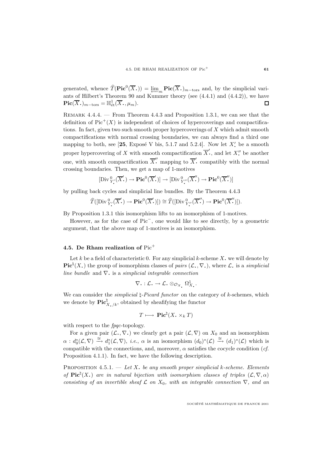generated, whence  $\widehat{T}(\mathbf{Pic}^0(\overline{X}_\cdot)) = \lim_{m \to \infty} \mathbf{Pic}(\overline{X}_\cdot)_{m-\text{tors}}$  and, by the simplicial variants of Hilbert's Theorem 90 and Kummer theory (see (4.4.1) and (4.4.2)), we have  $\textbf{Pic}(\overline{X}_{\boldsymbol{\cdot}})_{m-\text{tors}} = \mathbb{H}^1_{\text{\'et}}(\overline{X}_{\boldsymbol{\cdot}}, \mu_m).$  $\Box$ 

REMARK  $4.4.4.$  – From Theorem  $4.4.3$  and Proposition 1.3.1, we can see that the definition of  $Pic^+(X)$  is independent of choices of hypercoverings and compactifications. In fact, given two such smooth proper hypercoverings of X which admit smooth compactifications with normal crossing boundaries, we can always find a third one mapping to both, see [25, Exposé V bis, 5.1.7 and 5.2.4]. Now let  $X'$  be a smooth proper hypercovering of X with smooth compactification  $\overline{X}'$ , and let  $X''$  be another one, with smooth compactification  $\overline{X}$ <sup>"</sup> mapping to  $\overline{X}$ <sup>"</sup> compatibly with the normal crossing boundaries. Then, we get a map of 1-motives

$$
[\mathrm{Div}^0_{Y'_{\bullet}}(\overline{X}'_{\bullet}) \to \mathrm{Pic}^0(\overline{X}'_{\bullet})] \to [\mathrm{Div}^0_{Y''_{\bullet}}(\overline{X}''_{\bullet}) \to \mathrm{Pic}^0(\overline{X}'_{\bullet})]
$$

by pulling back cycles and simplicial line bundles. By the Theorem 4.4.3

$$
\widehat{T}([\text{Div}_{Y'}^0(\overline{X'})) \to \text{Pic}^0(\overline{X'})) \cong \widehat{T}([\text{Div}_{Y''}^0(\overline{X''}) \to \text{Pic}^0(\overline{X''})]).
$$

By Proposition 1.3.1 this isomorphism lifts to an isomorphism of 1-motives.

However, as for the case of Pic−, one would like to see directly, by a geometric argument, that the above map of 1-motives is an isomorphism.

## **4.5. De Rham realization of** Pic<sup>+</sup>

Let k be a field of characteristic 0. For any simplicial k-scheme X, we will denote by **Pic**<sup> $\dagger$ </sup>(*X***.**) the group of isomorphism classes of *pairs* (*L***,**,  $\nabla$ **,**), where *L***.** is a *simplicial* line bundle and  $\nabla$ • is a simplicial integrable connection

$$
\nabla. : \mathcal{L}. \to \mathcal{L}. \otimes_{\mathcal{O}_{X_\bullet}} \Omega^1_{X_\bullet}.
$$

We can consider the *simplicial*  $\sharp$ -*Picard functor* on the category of *k*-schemes, which we denote by  $\operatorname{Pic}^{\natural}_{X,\,k}$ , obtained by sheafifying the functor

$$
T \longmapsto \operatorname{Pic}^{\natural}(X, \times_k T)
$$

with respect to the  $fpqc$ -topology.

For a given pair  $(\mathcal{L}, \nabla)$  we clearly get a pair  $(\mathcal{L}, \nabla)$  on  $X_0$  and an isomorphism  $\alpha: d_0^*(\mathcal{L}, \nabla) \stackrel{\cong}{\longrightarrow} d_1^*(\mathcal{L}, \nabla),$  *i.e.*,  $\alpha$  is an isomorphism  $(d_0)^*(\mathcal{L}) \stackrel{\cong}{\longrightarrow} (d_1)^*(\mathcal{L})$  which is compatible with the connections, and, moreover,  $\alpha$  satisfies the cocycle condition (*cf.* Proposition 4.1.1). In fact, we have the following description.

PROPOSITION  $4.5.1.$  — Let X, be any smooth proper simplicial k-scheme. Elements of  $\text{Pic}^{\natural}(X)$  are in natural bijection with isomorphism classes of triples  $(\mathcal{L}, \nabla, \alpha)$ consisting of an invertible sheaf  $\mathcal L$  on  $X_0$ , with an integrable connection  $\nabla$ , and an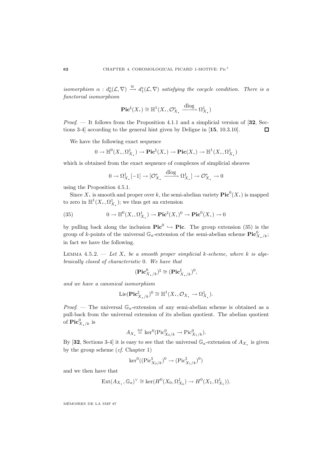isomorphism  $\alpha : d_0^*(\mathcal{L}, \nabla) \stackrel{\cong}{\longrightarrow} d_1^*(\mathcal{L}, \nabla)$  satisfying the cocycle condition. There is a functorial isomorphism

$$
\mathbf{Pic}^{\natural}(X_{\scriptscriptstyle\bullet})\cong \mathbb{H}^1(X_{\scriptscriptstyle\bullet},\mathcal{O}_{X_{\scriptscriptstyle\bullet}}^*\xrightarrow{\mathrm{dlog}}\Omega^1_{X_{\scriptscriptstyle\bullet}})
$$

Proof. — It follows from the Proposition 4.1.1 and a simplicial version of [**32**, Sections 3-4] according to the general hint given by Deligne in [**15**, 10.3.10]. 口

We have the following exact sequence

$$
0 \to \mathbb{H}^0(X_*, \Omega^1_{X_*}) \to \mathbf{Pic}^{\natural}(X_*) \to \mathbf{Pic}(X_*) \to \mathbb{H}^1(X_*, \Omega^1_{X_*})
$$

which is obtained from the exact sequence of complexes of simplicial sheaves

$$
0 \to \Omega^1_{X_\bullet}[-1] \to [\mathcal{O}^*_{X_\bullet} \xrightarrow{\text{dlog}} \Omega^1_{X_\bullet}] \to \mathcal{O}^*_{X_\bullet} \to 0
$$

using the Proposition 4.5.1.

Since X<sub>c</sub> is smooth and proper over k, the semi-abelian variety  $\text{Pic}^0(X)$  is mapped to zero in  $\mathbb{H}^1(X, \Omega_X^1)$ ; we thus get an extension

(35) 
$$
0 \to \mathbb{H}^0(X_*, \Omega^1_{X_*}) \to \mathbf{Pic}^{\natural}(X_*)^0 \to \mathbf{Pic}^0(X_*) \to 0
$$

by pulling back along the inclusion  $Pic^0 \hookrightarrow Pic$ . The group extension (35) is the group of k-points of the universal  $\mathbb{G}_a$ -extension of the semi-abelian scheme  $\mathbf{Pic}^0_{X,\kappa}$ ;<br>in fact we have the following in fact we have the following.

LEMMA 4.5.2. — Let X. be a smooth proper simplicial k-scheme, where k is algebraically closed of characteristic 0. We have that

$$
(\mathbf{Pic}^0_{X,\,k})^{\natural}\cong(\mathbf{Pic}^{\natural}_{X,\,k})^0,
$$

and we have a canonical isomorphism

$$
\operatorname{Lie}(\mathbf{Pic}^{\natural}_{X_{\bullet}/k})^{0} \cong \mathbb{H}^{1}(X_{\bullet}, \mathcal{O}_{X_{\bullet}} \to \Omega^{1}_{X_{\bullet}}).
$$

*Proof.* — The universal  $\mathbb{G}_a$ -extension of any semi-abelian scheme is obtained as a pull-back from the universal extension of its abelian quotient. The abelian quotient of  $\operatorname{Pic}^0_{X_\bullet/k}$  is

$$
A_{X_{\bullet}} \stackrel{\text{def}}{=} \ker^0(\operatorname{Pic}^0_{X_0/k} \to \operatorname{Pic}^0_{X_1/k}).
$$

By [32, Sections 3-4] it is easy to see that the universal  $\mathbb{G}_a$ -extension of  $A_X$ , is given by the group scheme  $(cf. Chapter 1)$ 

$$
\ker^0((\operatorname{Pic}^{\natural}_{X_0/k})^0\rightarrow(\operatorname{Pic}^{\natural}_{X_1/k})^0)
$$

and we then have that

$$
Ext(A_{X_{\bullet}}, \mathbb{G}_a)^{\vee} \cong ker(H^0(X_0, \Omega^1_{X_0}) \to H^0(X_1, \Omega^1_{X_1})).
$$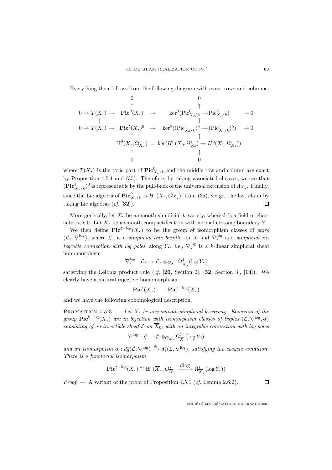Everything then follows from the following diagram with exact rows and columns,

$$
0
$$
\n
$$
0
$$
\n
$$
0
$$
\n
$$
0
$$
\n
$$
0 \rightarrow T(X.) \rightarrow \text{Pic}^{0}(X.) \rightarrow \ker^{0}(\text{Pic}^{0}_{X_{0}/k} \rightarrow \text{Pic}^{0}_{X_{1}/k}) \rightarrow 0
$$
\n
$$
0 \rightarrow T(X.) \rightarrow \text{Pic}^{\natural}(X.)^{0} \rightarrow \ker^{0}((\text{Pic}^{\natural}_{X_{0}/k})^{0} \rightarrow (\text{Pic}^{\natural}_{X_{1}/k})^{0}) \rightarrow 0
$$
\n
$$
\uparrow \uparrow \uparrow \uparrow
$$
\n
$$
\mathbb{H}^{0}(X_{\cdot}, \Omega^{1}_{X_{\cdot}}) = \ker(H^{0}(X_{0}, \Omega^{1}_{X_{0}}) \rightarrow H^{0}(X_{1}, \Omega^{1}_{X_{1}}))
$$
\n
$$
\uparrow \uparrow \uparrow
$$
\n
$$
0
$$

where  $T(X)$  is the toric part of  $\mathbf{Pic}^0_{X/k}$  and the middle row and column are exact by Proposition 4.5.1 and (35). Therefore, by taking associated sheaves, we see that  $(\mathbf{Pic}_{X,\,k}^{\natural})^0$  is representable by the pull-back of the universal extension of  $A_X$ . Finally, since the Lie algebra of  $\mathbf{Pic}^0_{X,\,k}$  is  $H^1(X,\,\mathcal{O}_X)$ , from (35), we get the last claim by taking Lie algebras (cf. [**32**]).  $\Box$ 

More generally, let X, be a smooth simplicial k-variety, where  $k$  is a field of characteristic 0. Let  $\overline{X}$ , be a smooth compactification with normal crossing boundary Y.

We then define  $\text{Pic}^{\natural-\log}(X)$  to be the group of isomorphism classes of *pairs*  $(\mathcal{L}, \nabla^{\log}_{\cdot})$ , where  $\mathcal{L}$  is a simplicial line bundle on  $\overline{X}$  and  $\nabla^{\log}_{\cdot}$  is a simplicial integrable connection with log poles along Y, *i.e.*,  $\nabla^{\log}$  is a k-linear simplicial sheaf homomorphism

$$
\nabla^{\log}_{\cdot} : \mathcal{L}_{\cdot} \to \mathcal{L}_{\cdot} \otimes_{\mathcal{O}_{X_{\bullet}}} \Omega^1_{\overline{X}_{\bullet}}(\log Y_{\cdot})
$$

satisfying the Leibniz product rule (cf. [**20**, Section 2], [**32**, Section 3], [**14**]). We clearly have a natural injective homomorphism

$$
\mathbf{Pic}^{\natural}(\overline{X}_{\scriptscriptstyle\bullet})\longrightarrow\mathbf{Pic}^{\natural-\mathrm{log}}(X_{\scriptscriptstyle\bullet})
$$

and we have the following cohomological description.

PROPOSITION 4.5.3. — Let X, be any smooth simplicial k-variety. Elements of the group **Pic**<sup> $\sharp$ -log(X,) are in bijection with isomorphism classes of triples ( $\mathcal{L}, \nabla^{\log}, \alpha$ )</sup> consisting of an invertible sheaf  $\mathcal L$  on  $\overline{X}_0$ , with an integrable connection with log poles

$$
\nabla^{\log}: \mathcal{L} \to \mathcal{L} \otimes_{\mathcal{O}_{X_0}} \Omega^1_{\overline{X}_0}(\log Y_0)
$$

and an isomorphism  $\alpha : d_0^*(\mathcal{L}, \nabla^{\log}) \stackrel{\cong}{\longrightarrow} d_1^*(\mathcal{L}, \nabla^{\log})$ , satisfying the cocycle condition. There is a functorial isomorphism

$$
\mathbf{Pic}^{\natural - \log}(X_{\bullet}) \cong \mathbb{H}^{1}(\overline{X}_{\bullet}, \mathcal{O}_{\overline{X}_{\bullet}}^{\ast} \xrightarrow{\mathrm{dlog}} \Omega_{\overline{X}_{\bullet}}^{1}(\log Y_{\bullet}))
$$

*Proof.* — A variant of the proof of Proposition 4.5.1 (*cf.* Lemma 2.6.2).

 $\Box$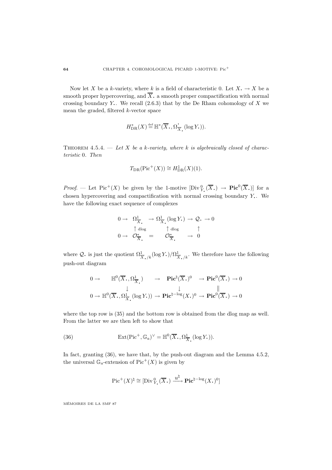Now let X be a k-variety, where k is a field of characteristic 0. Let  $X \rightarrow X$  be a smooth proper hypercovering, and  $\overline{X}$ , a smooth proper compactification with normal crossing boundary Y.. We recall  $(2.6.3)$  that by the De Rham cohomology of X we mean the graded, filtered k-vector space

$$
H^*_{\mathrm{DR}}(X) \stackrel{\text{def}}{=} \mathbb{H}^*(\overline{X}_\bullet, \Omega^{\bullet}_{\overline{X}_\bullet}(\log Y_\bullet)).
$$

THEOREM 4.5.4. — Let X be a k-variety, where k is algebraically closed of characteristic 0. Then

$$
T_{\rm DR}(\mathrm{Pic}^+(X)) \cong H^1_{\mathrm{DR}}(X)(1).
$$

Proof. — Let Pic<sup>+</sup>(X) be given by the 1-motive  $[\text{Div}_Y^0(\overline{X}) \to \text{Pic}^0(\overline{X})]$  for a chosen hypercovering and compactification with normal crossing boundary Y. We have the following exact sequence of complexes

$$
0 \to \Omega^1_{\overline{X}} \to \Omega^1_{\overline{X}} \text{ (log } Y) \to \mathcal{Q}. \to 0
$$
  

$$
0 \to \mathcal{O}^*_{\overline{X}} = \mathcal{O}^*_{\overline{X}} \to 0
$$

where Q. is just the quotient  $\Omega^1_{\overline{X}_\bullet/k}(\log Y_\bullet)/\Omega^1_{\overline{X}_\bullet/k}$ . We therefore have the following push-out diagram

$$
0 \to \mathbb{H}^{0}(\overline{X}_{\bullet}, \Omega^{1}_{\overline{X}_{\bullet}}) \to \mathbf{Pic}^{\natural}(\overline{X}_{\bullet})^{0} \to \mathbf{Pic}^{0}(\overline{X}_{\bullet}) \to 0
$$
  

$$
0 \to \mathbb{H}^{0}(\overline{X}_{\bullet}, \Omega^{1}_{\overline{X}_{\bullet}}(\log Y_{\bullet})) \to \mathbf{Pic}^{\natural-\log}(X_{\bullet})^{0} \to \mathbf{Pic}^{0}(\overline{X}_{\bullet}) \to 0
$$

where the top row is  $(35)$  and the bottom row is obtained from the dlog map as well. From the latter we are then left to show that

(36) 
$$
\operatorname{Ext}(\operatorname{Pic}^+, \mathbb{G}_a)^{\vee} = \mathbb{H}^0(\overline{X}_*, \Omega^1_{\overline{X}_*}(\log Y_*)).
$$

In fact, granting  $(36)$ , we have that, by the push-out diagram and the Lemma 4.5.2, the universal  $\mathbb{G}_a$ -extension of Pic<sup>+</sup>(X) is given by

$$
\mathrm{Pic}^+(X)^{\natural} \cong [\mathrm{Div}^0_{Y_{\bullet}}(\overline{X}_{\bullet}) \xrightarrow{u^{\natural}} \mathbf{Pic}^{\natural - \mathrm{log}}(X_{\bullet})^0]
$$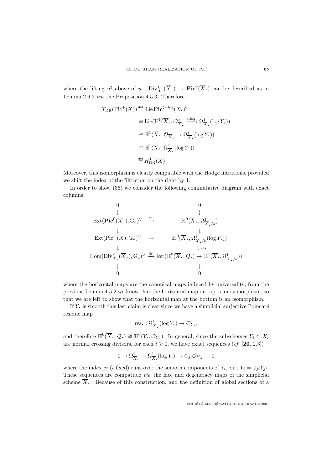where the lifting  $u^{\natural}$  above of  $u : Div^0_{Y}(\overline{X},.) \to Pic^0(\overline{X},.)$  can be described as in Lemma 2.6.2 via the Proposition 4.5.3. Therefore

$$
T_{\text{DR}}(\text{Pic}^{+}(X)) \stackrel{\text{def}}{=} \text{Lie} \cdot \text{Pic}^{\natural - \log}(X, )^{0}
$$
  
\n
$$
\cong \text{Lie}(\mathbb{H}^{1}(\overline{X}, \mathcal{O}_{\overline{X}}^{*}, \xrightarrow{\text{dlog}} \Omega_{\overline{X}}^{1} (\log Y, ))
$$
  
\n
$$
\cong \mathbb{H}^{1}(\overline{X}, \mathcal{O}_{\overline{X}}^{*}, \rightarrow \Omega_{\overline{X}}^{1} (\log Y, ))
$$
  
\n
$$
\cong \mathbb{H}^{1}(\overline{X}, \Omega_{\overline{X}}^{*} (\log Y, ))
$$
  
\n
$$
\stackrel{\text{def}}{=} H_{\text{DR}}^{1}(X)
$$

Moreover, this isomorphism is clearly compatible with the Hodge filtrations, provided we shift the index of the filtration on the right by 1.

In order to show (36) we consider the following commutative diagram with exact columns

0 0 ↓ ↓ Ext(**Pic**<sup>0</sup>(<sup>X</sup>·), <sup>G</sup>a)<sup>∨</sup> <sup>∼</sup><sup>=</sup> −→ <sup>H</sup><sup>0</sup>(<sup>X</sup>·, <sup>Ω</sup><sup>1</sup> <sup>X</sup>·/k) ↓ ↓ Ext(Pic<sup>+</sup>(X), <sup>G</sup>a)<sup>∨</sup> <sup>→</sup> <sup>H</sup><sup>0</sup>(<sup>X</sup>·, <sup>Ω</sup><sup>1</sup> <sup>X</sup>·/k(log <sup>Y</sup>·)) ↓ ↓ res Hom(Div <sup>0</sup> Y· (<sup>X</sup>·), <sup>G</sup>a)<sup>∨</sup> <sup>∼</sup><sup>=</sup> −→ ker(H<sup>0</sup>(<sup>X</sup>·, Q·) <sup>→</sup> <sup>H</sup><sup>1</sup>(<sup>X</sup>·, <sup>Ω</sup><sup>1</sup> <sup>X</sup>·/k)) ↓ ↓ 0 0

where the horizontal maps are the canonical maps induced by universality; from the previous Lemma 4.5.2 we know that the horizontal map on top is an isomorphism, so that we are left to show that the horizontal map at the bottom is an isomorphism.

If  $Y$ , is smooth this last claim is clear since we have a simplicial surjective Poincaré residue map

res. : 
$$
\Omega^1_{\overline{X}_\bullet}(\log Y_\bullet) \to \mathcal{O}_{Y_\bullet}
$$
,

and therefore  $\mathbb{H}^0(\overline{X}, \mathcal{Q}) \cong \mathbb{H}^0(Y, \mathcal{O}_Y)$ . In general, since the subschemes  $Y_i \subset X_i$ are normal crossing divisors, for each  $i \geq 0$ , we have exact sequences (*cf.* [20, 2.3])

$$
0 \to \Omega^1_{\overline{X}_i} \to \Omega^1_{\overline{X}_i}(\log Y_i) \to \oplus_{ji} \mathcal{O}_{Y_{ji}} \to 0
$$

where the index ji (i fixed) runs over the smooth components of  $Y_i$ , i.e.,  $Y_i = \bigcup_{ji} Y_{ji}$ . These sequences are compatible via the face and degeneracy maps of the simplicial scheme  $\overline{X}$ . Because of this construction, and the definition of global sections of a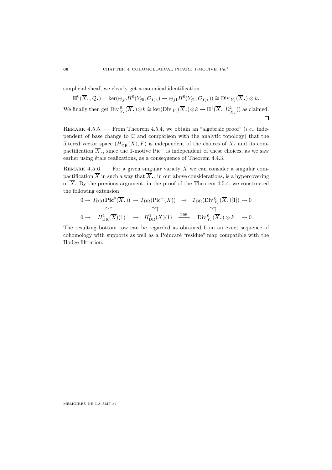simplicial sheaf, we clearly get a canonical identification

 $\mathbb{H}^0(\overline{X}_\bullet,\mathcal{Q}_\bullet)=\ker(\oplus_{j\infty}H^0(Y_{j0},\mathcal{O}_{Y_{j0}})\to \oplus_{j1}H^0(Y_{j1},\mathcal{O}_{Y_{j1}}))\cong \text{Div}_{Y_\bullet}(\overline{X}_\bullet)\otimes k.$ We finally then get  $\text{Div}_{Y_\bullet}^0(\overline{X}_\bullet) \otimes k \cong \ker(\text{Div}_{Y_\bullet}(\overline{X}_\bullet) \otimes k \to \mathbb{H}^1(\overline{X}_\bullet, \Omega^1_{\overline{X}_\bullet}))$  as claimed.  $\Box$ 

REMARK 4.5.5. — From Theorem 4.5.4, we obtain an "algebraic proof" (*i.e.*, independent of base change to C and comparison with the analytic topology) that the filtered vector space  $(H_{DR}^1(X), F)$  is independent of the choices of X. and its compactification  $\overline{X}$ , since the 1-motive Pic<sup>+</sup> is independent of these choices, as we saw earlier using étale realizations, as a consequence of Theorem 4.4.3.

REMARK 4.5.6. — For a given singular variety X we can consider a singular compactification  $\overline{X}$  in such a way that  $\overline{X}$ , in our above considerations, is a hypercovering of  $\overline{X}$ . By the previous argument, in the proof of the Theorem 4.5.4, we constructed the following extension

$$
0 \to T_{\text{DR}}(\text{Pic}^{0}(\overline{X},)) \to T_{\text{DR}}(\text{Pic}^{+}(X)) \to T_{\text{DR}}(\text{Div}_{Y_{\bullet}}^{0}(\overline{X},)[1]) \to 0
$$
  
\n
$$
\cong \uparrow \cong \uparrow \cong \uparrow \cong \uparrow
$$
  
\n
$$
0 \to H_{\text{DR}}^{1}(\overline{X})(1) \to H_{\text{DR}}^{1}(X)(1) \xrightarrow{\text{res}} \text{Div}_{Y_{\bullet}}^{0}(\overline{X},)\otimes k \to 0
$$

The resulting bottom row can be regarded as obtained from an exact sequence of cohomology with supports as well as a Poincaré "residue" map compatible with the Hodge filtration.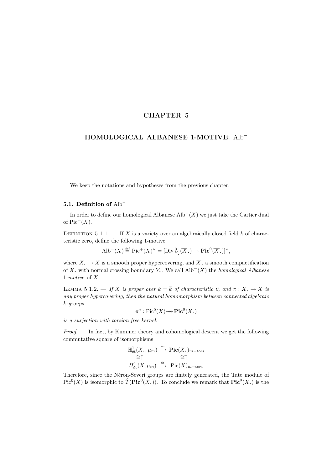# **CHAPTER 5**

# **HOMOLOGICAL ALBANESE** 1**-MOTIVE:** Alb<sup>−</sup>

We keep the notations and hypotheses from the previous chapter.

## **5.1. Definition of** Alb<sup>−</sup>

In order to define our homological Albanese  $\text{Alb}^-(X)$  we just take the Cartier dual of  $Pic^+(X)$ .

DEFINITION 5.1.1. — If X is a variety over an algebraically closed field  $k$  of characteristic zero, define the following 1-motive

$$
\text{Alb}^-(X) \stackrel{\text{def}}{=} \text{Pic}^+(X)^\vee = [\text{Div}_{Y_\bullet}^0(\overline{X}_\bullet) \to \text{Pic}^0(\overline{X}_\bullet)]^\vee,
$$

where  $X_{\bullet} \to X$  is a smooth proper hypercovering, and  $\overline{X}_{\bullet}$  a smooth compactification of X. with normal crossing boundary Y.. We call  $\text{Alb}^-(X)$  the *homological Albanese* 1-motive of X.

LEMMA 5.1.2. — If X is proper over  $k = \overline{k}$  of characteristic 0, and  $\pi : X \to X$  is any proper hypercovering, then the natural homomorphism between connected algebraic k-groups

$$
\pi^* : \mathrm{Pic}^0(X) \to \mathrm{Pic}^0(X_*)
$$

is a surjection with torsion free kernel.

 $Proof.$  — In fact, by Kummer theory and cohomological descent we get the following commutative square of isomorphisms

$$
\mathbb{H}^1_{\text{\'et}}(X, \mu_m) \xrightarrow{\cong} \text{Pic}(X)_{m-\text{tors}}
$$
  
\n
$$
\cong \uparrow \qquad \cong \uparrow
$$
  
\n
$$
H^1_{\text{\'et}}(X, \mu_m) \xrightarrow{\cong} \text{Pic}(X)_{m-\text{tors}}
$$

Therefore, since the Néron-Severi groups are finitely generated, the Tate module of  $Pic^{0}(X)$  is isomorphic to  $\widehat{T}(\text{Pic}^{0}(X))$ . To conclude we remark that  $\text{Pic}^{0}(X)$  is the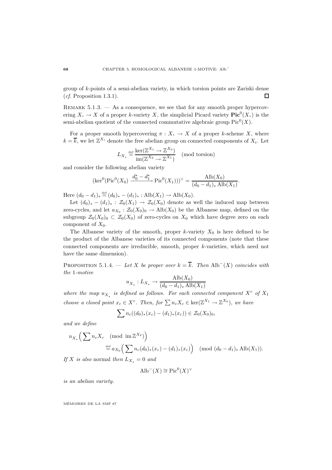group of k-points of a semi-abelian variety, in which torsion points are Zariski dense  $(cf.$  Proposition 1.3.1).  $\Box$ 

REMARK  $5.1.3.$  — As a consequence, we see that for any smooth proper hypercovering  $X \to X$  of a proper k-variety X, the simplicial Picard variety  $Pic^0(X)$  is the semi-abelian quotient of the connected commutative algebraic group  $Pic^0(X)$ .

For a proper smooth hypercovering  $\pi : X \to X$  of a proper k-scheme X, where  $k = \overline{k}$ , we let  $\mathbb{Z}^{X_i}$  denote the free abelian group on connected components of  $X_i$ . Let

$$
L_X. \stackrel{\text{def}}{=} \frac{\ker(\mathbb{Z}^{X_1} \to \mathbb{Z}^{X_0})}{\text{im}(\mathbb{Z}^{X_2} \to \mathbb{Z}^{X_1})} \pmod{\text{torsion}}
$$

and consider the following abelian variety

$$
(\ker^0(\text{Pic}^0(X_0) \xrightarrow{d_0^* - d_1^*} \text{Pic}^0(X_1)))^\vee = \frac{\text{Alb}(X_0)}{(d_0 - d_1)_* \text{Alb}(X_1)}.
$$

Here  $(d_0 - d_1)_* \stackrel{\text{def}}{=} (d_0)_* - (d_1)_* : \text{Alb}(X_1) \to \text{Alb}(X_0).$ 

Let  $(d_0)_* - (d_1)_* : \mathcal{Z}_0(X_1) \to \mathcal{Z}_0(X_0)$  denote as well the induced map between zero-cycles, and let  $a_{X_0} : \mathcal{Z}_0(X_0)_0 \to Alb(X_0)$  be the Albanese map, defined on the subgroup  $\mathcal{Z}_0(X_0)_0 \subset \mathcal{Z}_0(X_0)$  of zero-cycles on  $X_0$  which have degree zero on each component of  $X_0$ .

The Albanese variety of the smooth, proper k-variety  $X_0$  is here defined to be the product of the Albanese varieties of its connected components (note that these connected components are irreducible, smooth, proper k-varieties, which need not have the same dimension).

PROPOSITION 5.1.4. — Let X be proper over  $k = \overline{k}$ . Then Alb<sup>-</sup>(X) coincides with the 1-motive

$$
u_{X_{\bullet}}: L_{X_{\bullet}} \to \frac{\text{Alb}(X_0)}{(d_0 - d_1)_* \text{Alb}(X_1)}
$$

where the map  $u_{X_t}$  is defined as follows. For each connected component  $X^c$  of  $X_1$ choose a closed point  $x_c \in X^c$ . Then, for  $\sum n_c X_c \in \text{ker}(\mathbb{Z}^{X_1} \to \mathbb{Z}^{X_0})$ , we have

$$
\sum n_c((d_0)_*(x_c)-(d_1)_*(x_c))\in \mathcal{Z}_0(X_0)_0,
$$

and we define

$$
u_{X_{\bullet}}\left(\sum n_c X_c \pmod{\operatorname{im} \mathbb{Z}^{X_2}}\right)
$$
  

$$
\stackrel{\text{def}}{=} a_{X_0}\left(\sum n_c (d_0)_*(x_c) - (d_1)_*(x_c)\right) \pmod{(d_0 - d_1)_*\operatorname{Alb}(X_1)}.
$$

If X is also normal then  $L_{X_1} = 0$  and

$$
\text{Alb}^-(X) \cong \text{Pic}^0(X)^\vee
$$

is an abelian variety.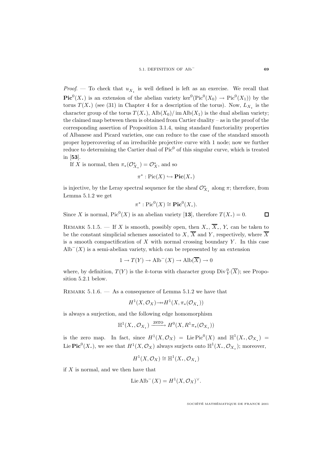Proof. — To check that  $u_X$  is well defined is left as an exercise. We recall that **Pic**<sup>0</sup>(X<sub>1</sub>) is an extension of the abelian variety ker<sup>0</sup>(Pic<sup>0</sup>(X<sub>0</sub>)  $\rightarrow$  Pic<sup>0</sup>(X<sub>1</sub>)) by the torus  $T(X)$  (see (31) in Chapter 4 for a description of the torus). Now,  $L_X$  is the character group of the torus  $T(X_i)$ ,  $\text{Alb}(X_0)/\text{im } \text{Alb}(X_1)$  is the dual abelian variety; the claimed map between them is obtained from Cartier duality – as in the proof of the corresponding assertion of Proposition 3.1.4, using standard functoriality properties of Albanese and Picard varieties, one can reduce to the case of the standard smooth proper hypercovering of an irreducible projective curve with 1 node; now we further reduce to determining the Cartier dual of  $Pic^0$  of this singular curve, which is treated in [**53**].

If X is normal, then  $\pi_*(\mathcal{O}_{X_\bullet}^*) = \mathcal{O}_X^*$ , and so

$$
\pi^* : \mathrm{Pic}(X) \hookrightarrow \mathrm{Pic}(X_*)
$$

is injective, by the Leray spectral sequence for the sheaf  $\mathcal{O}_{X_\bullet}^*$  along  $\pi$ ; therefore, from Lemma 5.1.2 we get

$$
\pi^* : \mathrm{Pic}^0(X) \cong \mathbf{Pic}^0(X_{\bullet}).
$$

Since X is normal,  $Pic^0(X)$  is an abelian variety [13], therefore  $T(X.) = 0$ .  $\Box$ 

REMARK 5.1.5. — If X is smooth, possibly open, then X,  $\overline{X}$ , Y, can be taken to be the constant simplicial schemes associated to X,  $\overline{X}$  and Y, respectively, where  $\overline{X}$ is a smooth compactification of  $X$  with normal crossing boundary  $Y$ . In this case  $\text{Alb}^{-}(X)$  is a semi-abelian variety, which can be represented by an extension

$$
1 \to T(Y) \to \text{Alb}^-(X) \to \text{Alb}(\overline{X}) \to 0
$$

where, by definition,  $T(Y)$  is the k-torus with character group  $\text{Div}^0_Y(\overline{X})$ ; see Proposition 5.2.1 below.

REMARK  $5.1.6.$  — As a consequence of Lemma  $5.1.2$  we have that

$$
H^1(X, \mathcal{O}_X) {\rightarrow} H^1(X, \pi_*(\mathcal{O}_X))
$$

is always a surjection, and the following edge homomorphism

$$
\mathbb{H}^1(X_\bullet, \mathcal{O}_{X_\bullet}) \xrightarrow{\mathrm{Zero}} H^0(X, R^1\pi_*(\mathcal{O}_{X_\bullet}))
$$

is the zero map. In fact, since  $H^1(X, \mathcal{O}_X) = \text{Lie Pic}^0(X)$  and  $\mathbb{H}^1(X, \mathcal{O}_X) =$ Lie **Pic**<sup>0</sup>(X,), we see that  $H^1(X, \mathcal{O}_X)$  always surjects onto  $\mathbb{H}^1(X, \mathcal{O}_X)$ ; moreover,

$$
H^1(X, \mathcal{O}_X) \cong \mathbb{H}^1(X_*, \mathcal{O}_{X_*})
$$

if  $X$  is normal, and we then have that

$$
Lie Alb^{-}(X) = H^{1}(X, \mathcal{O}_{X})^{\vee}.
$$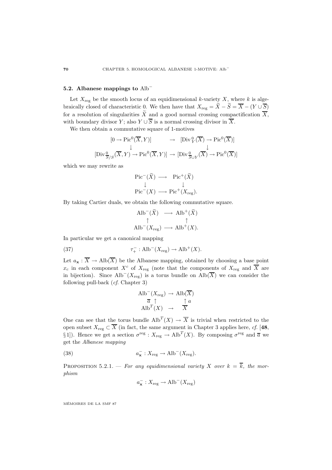### **5.2. Albanese mappings to** Alb<sup>−</sup>

Let  $X_{\text{reg}}$  be the smooth locus of an equidimensional k-variety X, where k is algebraically closed of characteristic 0. We then have that  $X_{\text{reg}} = \widetilde{X} - \widetilde{S} = \overline{X} - (Y \cup \overline{S})$ for a resolution of singularities  $\widetilde{X}$  and a good normal crossing compactification  $\overline{X}$ , with boundary divisor Y; also  $Y \cup \overline{S}$  is a normal crossing divisor in  $\overline{X}$ .

We then obtain a commutative square of 1-motives

$$
[0 \to Pic^0(\overline{X}, Y)] \qquad \to \quad [\text{Div}^0_Y(\overline{X}) \to \text{Pic}^0(\overline{X})]
$$
  
\n
$$
[\text{Div}^0_{\overline{S}/S}(\overline{X}, Y) \to \text{Pic}^0(\overline{X}, Y)] \to [\text{Div}^0_{\overline{S}\cup Y}(\overline{X}) \to \text{Pic}^0(\overline{X})]
$$

which we may rewrite as

$$
\begin{array}{ccc}\n\text{Pic}^-(\widetilde{X}) & \longrightarrow & \text{Pic}^+(\widetilde{X}) \\
\downarrow & & \downarrow \\
\text{Pic}^-(X) & \longrightarrow & \text{Pic}^+(X_{\text{reg}}).\n\end{array}
$$

By taking Cartier duals, we obtain the following commutative square.

$$
\begin{array}{ccc}\n\text{Alb}^{-}(\widetilde{X}) & \longrightarrow & \text{Alb}^{+}(\widetilde{X}) \\
\uparrow & & \uparrow \\
\text{Alb}^{-}(X_{\text{reg}}) & \longrightarrow & \text{Alb}^{+}(X).\n\end{array}
$$

In particular we get a canonical mapping

(37) 
$$
\tau^-_+ : \text{Alb}^-(X_{\text{reg}}) \to \text{Alb}^+(X).
$$

Let  $a_{\mathbf{x}} : \overline{X} \to \text{Alb}(\overline{X})$  be the Albanese mapping, obtained by choosing a base point  $x_c$  in each component  $X^c$  of  $X_{reg}$  (note that the components of  $X_{reg}$  and  $\overline{X}$  are in bijection). Since Alb<sup>-</sup>( $X_{reg}$ ) is a torus bundle on Alb( $\overline{X}$ ) we can consider the following pull-back (cf. Chapter 3)

$$
\begin{array}{ccc}\n\text{Alb}^{-}(X_{\text{reg}}) \rightarrow \text{Alb}(\overline{X}) \\
\overline{a} \uparrow & \uparrow a \\
\text{Alb}^{T}(X) \rightarrow & \overline{X}\n\end{array}
$$

One can see that the torus bundle  $\text{Alb}^T(X) \to \overline{X}$  is trivial when restricted to the open subset  $X_{\text{reg}} \subset \overline{X}$  (in fact, the same argument in Chapter 3 applies here, cf. [48, § 1]). Hence we get a section  $\sigma^{\text{reg}} : X_{\text{reg}} \to \text{Alb}^T(X)$ . By composing  $\sigma^{\text{reg}}$  and  $\overline{a}$  we get the Albanese mapping

(38) 
$$
a_{\mathbf{x}}^{-}: X_{\text{reg}} \to \text{Alb}^{-}(X_{\text{reg}}).
$$

PROPOSITION 5.2.1. — For any equidimensional variety X over  $k = \overline{k}$ , the morphism

$$
a_{\mathbf{x}}^{-}: X_{\text{reg}} \to \text{Alb}^{-}(X_{\text{reg}})
$$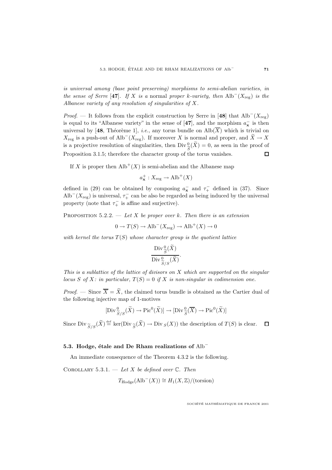is universal among (base point preserving) morphisms to semi-abelian varieties, in the sense of Serre [47]. If X is a normal proper k-variety, then Alb<sup>-</sup>( $X_{\text{reg}}$ ) is the Albanese variety of any resolution of singularities of X.

*Proof.* — It follows from the explicit construction by Serre in [48] that  $\text{Alb}^-(X_{\text{reg}})$ is equal to its "Albanese variety" in the sense of  $[47]$ , and the morphism  $a_{\mathbf{x}}^-$  is then universal by [48, Théorème 1], *i.e.*, any torus bundle on  $\text{Alb}(\overline{X})$  which is trivial on  $X_{\text{reg}}$  is a push-out of Alb<sup>-</sup>( $X_{\text{reg}}$ ). If moreover X is normal and proper, and  $\tilde{X} \to X$ is a projective resolution of singularities, then  $Div_{\widetilde{S}}^0(\widetilde{X}) = 0$ , as seen in the proof of<br>Proposition 2.1.5, therefore the character group of the torus republics Proposition 3.1.5; therefore the character group of the torus vanishes.

If X is proper then  $\text{Alb}^+(X)$  is semi-abelian and the Albanese map

 $a_{\mathbf{x}}^{+}: X_{\text{reg}} \to \text{Alb}^{+}(X)$ 

defined in (29) can be obtained by composing  $a_{\mathbf{x}}^-$  and  $\tau_+^-$  defined in (37). Since Alb<sup>-</sup>( $X_{\text{reg}}$ ) is universal,  $\tau_{+}^{-}$  can be also be regarded as being induced by the universal property (note that  $\tau_+^-$  is affine and surjective).

PROPOSITION  $5.2.2.$  — Let X be proper over k. Then there is an extension

 $0 \to T(S) \to \text{Alb}^-(X_{\text{reg}}) \to \text{Alb}^+(X) \to 0$ 

with kernel the torus  $T(S)$  whose character group is the quotient lattice

$$
\frac{\text{Div}_{\widetilde{S}}^{0}(\widetilde{X})}{\text{Div}_{\widetilde{S}/S}^{0}(\widetilde{X})}.
$$

This is a sublattice of the lattice of divisors on X which are supported on the singular locus S of X: in particular,  $T(S)=0$  if X is non-singular in codimension one.

*Proof.* — Since  $\overline{X} = \widetilde{X}$ , the claimed torus bundle is obtained as the Cartier dual of the following injective map of 1-motives

$$
[\mathrm{Div}^0_{\widetilde{S}/S}(\widetilde{X}) \to \mathrm{Pic}^0(\widetilde{X})] \to [\mathrm{Div}^0_{\widetilde{S}}(\overline{X}) \to \mathrm{Pic}^0(\widetilde{X})]
$$

Since  $\text{Div}_{\widetilde{S}/S}(\widetilde{X}) \stackrel{\text{def}}{=} \ker(\text{Div}_{\widetilde{S}}(\widetilde{X}) \to \text{Div}_{S}(X))$  the description of  $T(S)$  is clear.  $\Box$ 

## **5.3. Hodge, étale and De Rham realizations of** Alb<sup>−</sup>

An immediate consequence of the Theorem 4.3.2 is the following.

COROLLARY 5.3.1. — Let X be defined over  $\mathbb{C}$ . Then  $T_{\text{Hodge}}(\text{Alb}^-(X)) \cong H_1(X,\mathbb{Z})/(\text{torsion})$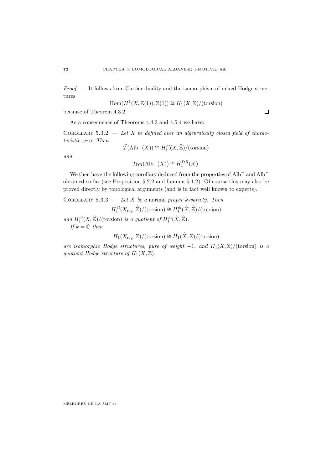Proof. — It follows from Cartier duality and the isomorphism of mixed Hodge structures

$$
Hom(H^1(X, \mathbb{Z}(1)), \mathbb{Z}(1)) \cong H_1(X, \mathbb{Z})/(\text{torsion})
$$

because of Theorem 4.3.2.

As a consequence of Theorems 4.4.3 and 4.5.4 we have:

COROLLARY 5.3.2. — Let X be defined over an algebraically closed field of characteristic zero. Then

$$
\widehat{T}(\text{Alb}^-(X)) \cong H_1^{\text{\'et}}(X, \widehat{\mathbb{Z}}) / (\text{torsion})
$$

and

$$
T_{\text{DR}}(\text{Alb}^-(X)) \cong H_1^{DR}(X).
$$

We then have the following corollary deduced from the properties of Alb<sup>−</sup> and Alb<sup>+</sup> obtained so far (see Proposition 5.2.2 and Lemma 5.1.2). Of course this may also be proved directly by topological arguments (and is in fact well known to experts).

COROLLARY 5.3.3. — Let X be a normal proper k-variety. Then

$$
H_1^{\text{\'et}}(X_{\text{reg}},\widehat{\mathbb{Z}})/(torsion) \cong H_1^{\text{\'et}}(\widetilde{X},\widehat{\mathbb{Z}})/(torsion)
$$

and  $H_1^{\'{e}t}(X,\mathbb{Z})/(\text{torsion})$  is a quotient of  $H_1^{\'{e}t}(X,\mathbb{Z})$ . If  $k = \mathbb{C}$  then

$$
H_1(X_{\text{reg}},\mathbb{Z})/(\text{torsion})\cong H_1(\widetilde{X},\mathbb{Z})/(\text{torsion})
$$

are isomorphic Hodge structures, pure of weight  $-1$ , and  $H_1(X,\mathbb{Z})/(\text{torsion})$  is a quotient Hodge structure of  $H_1(\widetilde{X}, \mathbb{Z})$ .

MEMOIRES DE LA SMF 87 ´

 $\Box$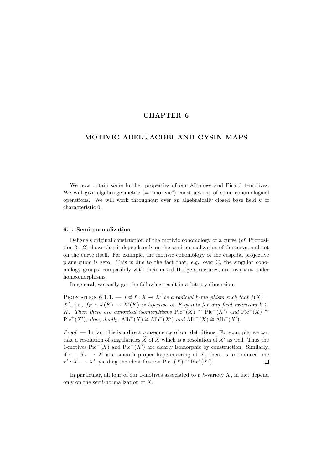## **CHAPTER 6**

# **MOTIVIC ABEL-JACOBI AND GYSIN MAPS**

We now obtain some further properties of our Albanese and Picard 1-motives. We will give algebro-geometric  $($  = "motivic") constructions of some cohomological operations. We will work throughout over an algebraically closed base field  $k$  of characteristic 0.

#### **6.1. Semi-normalization**

Deligne's original construction of the motivic cohomology of a curve (cf. Proposition 3.1.2) shows that it depends only on the semi-normalization of the curve, and not on the curve itself. For example, the motivic cohomology of the cuspidal projective plane cubic is zero. This is due to the fact that, e.g., over  $\mathbb{C}$ , the singular cohomology groups, compatibily with their mixed Hodge structures, are invariant under homeomorphisms.

In general, we easily get the following result in arbitrary dimension.

PROPOSITION 6.1.1. — Let  $f: X \to X'$  be a radicial k-morphism such that  $f(X) =$  $X'$ , i.e.,  $f_K: X(K) \to X'(K)$  is bijective on K-points for any field extension  $k \subseteq$ K. Then there are canonical isomorphisms  $Pic^{-}(X) \cong Pic^{-}(X')$  and  $Pic^{+}(X) \cong$  $Pic^+(X')$ , thus, dually,  $\text{Alb}^+(X) \cong \text{Alb}^+(X')$  and  $\text{Alb}^-(X) \cong \text{Alb}^-(X')$ .

Proof. — In fact this is a direct consequence of our definitions. For example, we can take a resolution of singularities X of X which is a resolution of  $X'$  as well. Thus the 1-motives Pic<sup> $-$ </sup>(X) and Pic<sup> $-$ </sup>(X') are clearly isomorphic by construction. Similarly, if  $\pi : X \to X$  is a smooth proper hypercovering of X, there is an induced one  $\pi' : X \to X'$ , vielding the identification  $Pic^+(X) \cong Pic^*(X')$ .  $\pi' : X \to X'$ , yielding the identification  $Pic^+(X) \cong Pic^*(X')$ .

In particular, all four of our 1-motives associated to a  $k$ -variety  $X$ , in fact depend only on the semi-normalization of X.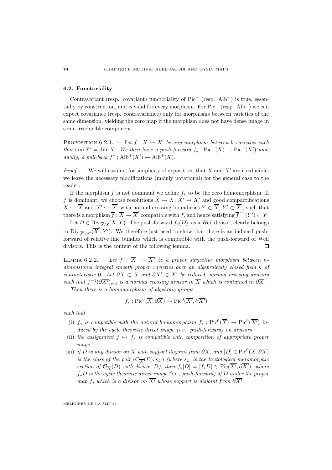### **6.2. Functoriality**

Contravariant (resp. covariant) functoriality of  $Pic<sup>+</sup>$  (resp. Alb<sup>-</sup>) is true, essentially by construction, and is valid for every morphism. For Pic<sup>−</sup> (resp. Alb<sup>+</sup>) we can expect covariance (resp. contravariance) only for morphisms between varieties of the same dimension, yielding the zero map if the morphism does not have dense image in some irreducible component.

PROPOSITION 6.2.1. — Let  $f: X \to X'$  be any morphism between k-varieties such that dim  $X' = \dim X$ . We then have a push-forward  $f_* : Pic^-(X) \to Pic^-(X')$  and, dually, a pull-back  $f^* : Alb^+(X') \to Alb^+(X)$ .

*Proof.* — We will assume, for simplicity of exposition, that X and X' are irreducible; we leave the necessary modifications (mainly notational) for the general case to the reader.

If the morphism f is not dominant we define  $f_*$  to be the zero homomorphism. If f is dominant, we choose resolutions  $\tilde{X} \to X$ ,  $\tilde{X}' \to X'$  and good compactifications  $\widetilde{X} \hookrightarrow \overline{X}$  and  $\widetilde{X}' \hookrightarrow \overline{X}'$  with normal crossing boundaries  $Y \subset \overline{X}$ ,  $Y' \subset \overline{X}'$ , such that there is a morphism  $\overline{f} : \overline{X} \to \overline{X}'$  compatible with f, and hence satisfying  $\overline{f}^{-1}(Y') \subset Y$ .

Let  $D \in \text{Div}_{\overline{S}/S}(\overline{X}, Y)$ . The push-forward  $f_*(D)$ , as a Weil divisor, clearly belongs to  $\text{Div}_{\overline{S}'/S'}(\overline{X}', Y')$ . We therefore just need to show that there is an induced pushforward of relative line bundles which is compatible with the push-forward of Weil divisors. This is the content of the following lemma.  $\Box$ 

LEMMA 6.2.2. — Let  $f : \overline{X} \rightarrow \overline{X'}$  be a proper surjective morphism between ndimensional integral smooth proper varieties over an algebraically closed field k of characteristic 0. Let  $\partial \overline{X} \subset \overline{X}$  and  $\partial \overline{X'} \subset \overline{X'}$  be reduced, normal crossing divisors such that  $f^{-1}(\partial \overline{X'})_{\text{red}}$  is a normal crossing divisor in  $\overline{X}$  which is contained in  $\partial \overline{X}$ .

Then there is a homomorphism of algebraic groups

$$
f_* : Pic^0(\overline{X}, \partial \overline{X}) \to Pic^0(\overline{X'}, \partial \overline{X'})
$$

such that

- (i)  $f_*$  is compatible with the natural homomorphism  $f_* : Pic^0(\overline{X}) \to Pic^0(\overline{X'})$  induced by the cycle theoretic direct image (i.e., push-forward) on divisors
- (ii) the assignment  $f \mapsto f_*$  is compatible with composition of appropriate proper maps
- (iii) if D is any divisor on  $\overline{X}$  with support disjoint from  $\partial \overline{X}$ , and  $[D] \in Pic^0(\overline{X}, \partial \overline{X})$ is the class of the pair  $(\mathcal{O}_{\overline{X}}(D), s_D)$  (where  $s_D$  is the tautological meromorphic section of  $\mathcal{O}_{\overline{X}}(D)$  with divisor D), then  $f_*[D] = [f_*D] \in Pic(X', \partial X')$ , where  $f_*D$  is the cycle theoretic direct image (i.e., push-forward) of D under the proper map f, which is a divisor on  $X'$  whose support is disjoint from  $\partial X'$ .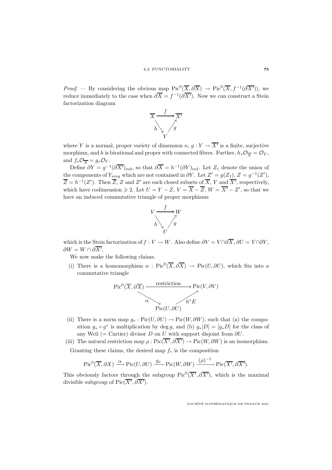*Proof.* — By considering the obvious map  $Pic^0(\overline{X}, \partial \overline{X}) \to Pic^0(\overline{X}, f^{-1}(\partial \overline{X}'))$ , we reduce immediately to the case when  $\partial \overline{X} = f^{-1}(\partial \overline{X'})$ . Now we can construct a Stein factorization diagram



where Y is a normal, proper variety of dimension  $n, g: Y \to \overline{X'}$  is a finite, surjective morphism, and h is birational and proper with connected fibres. Further,  $h_*\mathcal{O}_{\overline{X}} = \mathcal{O}_Y$ , and  $f_*\mathcal{O}_{\overline{X}} = g_*\mathcal{O}_Y$ .

Define  $\partial Y = g^{-1}(\partial \overline{X'})_{\text{red}}$ , so that  $\partial \overline{X} = h^{-1}(\partial Y)_{\text{red}}$ . Let  $Z_1$  denote the union of the components of  $Y_{sing}$  which are not contained in  $\partial Y$ . Let  $Z' = g(Z_1), Z = g^{-1}(Z'),$  $\overline{Z} = h^{-1}(Z')$ . Then  $\overline{Z}$ , Z and Z' are each closed subsets of  $\overline{X}$ , Y and  $\overline{X'}$ , respectively, which have codimension  $\geq 2$ . Let  $U = Y - Z$ ,  $V = X - Z$ ,  $W = X' - Z'$ , so that we have an induced commutative triangle of proper morphisms



which is the Stein factorization of  $f: V \to W$ . Also define  $\partial V = V \cap \partial \overline{X}$ ,  $\partial U = Y \cap \partial Y$ ,  $\partial W = W \cap \partial X'.$ 

We now make the following claims.

(i) There is a homomorphism  $\alpha$ : Pic $^0(\overline{X},\partial\overline{X}) \to Pic(U,\partial U)$ , which fits into a commutative triangle

$$
\operatorname{Pic}^{0}(\overline{X}, \partial \overline{X}) \xrightarrow{\text{restriction}} \operatorname{Pic}(V, \partial V)
$$
\n
$$
\xrightarrow{\alpha} \qquad \qquad h^* E
$$
\n
$$
\operatorname{Pic}(U, \partial U)
$$

- (ii) There is a norm map  $g_* : Pic(U, \partial U) \to Pic(W, \partial W)$ , such that (a) the composition  $g_* \circ g^*$  is multiplication by deg g, and (b)  $g_*[D]=[g_*D]$  for the class of any Weil (= Cartier) divisor D on U with support disjoint from  $\partial U$ .
- (iii) The natural restriction map  $\rho : Pic(X', \partial X') \to Pic(W, \partial W)$  is an isomorphism. Granting these claims, the desired map  $f_*$  is the composition

$$
\operatorname{Pic}^0(\overline{X}, \partial X) \xrightarrow{\alpha} \operatorname{Pic}(U, \partial U) \xrightarrow{g_*} \operatorname{Pic}(W, \partial W) \xrightarrow{(\rho)^{-1}} \operatorname{Pic}(\overline{X'}, \partial \overline{X'}).
$$

This obviously factors through the subgroup  $Pic^0(\overline{X'}, \partial \overline{X'})$ , which is the maximal divisible subgroup of  $Pic(\overline{X'}, \partial \overline{X'})$ .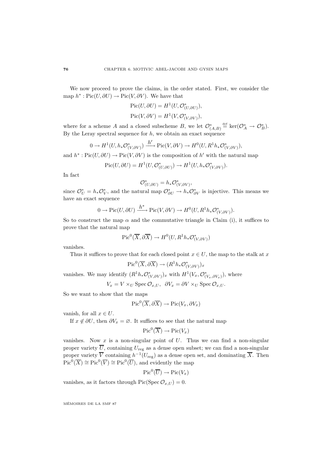We now proceed to prove the claims, in the order stated. First, we consider the map  $h^* : Pic(U, \partial U) \to Pic(V, \partial V)$ . We have that

$$
Pic(U, \partial U) = H^1(U, \mathcal{O}_{(U, \partial U)}^*),
$$
  
\n
$$
Pic(V, \partial V) = H^1(V, \mathcal{O}_{(V, \partial V)}^*),
$$

where for a scheme A and a closed subscheme B, we let  $\mathcal{O}_{(A,B)}^* \stackrel{\text{def}}{=} \text{ker}(\mathcal{O}_A^* \to \mathcal{O}_B^*).$ By the Leray spectral sequence for  $h$ , we obtain an exact sequence

$$
0 \to H^1(U, h_*\mathcal{O}_{(V,\partial V)}^*) \xrightarrow{h'} \text{Pic}(V,\partial V) \to H^0(U, R^1h_*\mathcal{O}_{(V,\partial V)}^*),
$$

and  $h^* : Pic(U, \partial U) \to Pic(V, \partial V)$  is the composition of h' with the natural map

$$
Pic(U, \partial U) = H^1(U, \mathcal{O}_{(U, \partial U)}^*) \to H^1(U, h_*\mathcal{O}_{(V, \partial V)}^*).
$$

In fact

$$
\mathcal{O}_{(U,\partial U)}^* = h_* \mathcal{O}_{(V,\partial V)}^*,
$$

since  $\mathcal{O}_U^* = h_* \mathcal{O}_V^*$ , and the natural map  $\mathcal{O}_{\partial U}^* \to h_* \mathcal{O}_{\partial V}^*$  is injective. This means we have an exact sequence

$$
0 \to Pic(U, \partial U) \xrightarrow{h^*} Pic(V, \partial V) \to H^0(U, R^1 h_* \mathcal{O}_{(V, \partial V)}^*).
$$

So to construct the map  $\alpha$  and the commutative triangle in Claim (i), it suffices to prove that the natural map

$$
{\rm Pic}^0(\overline{X}, \partial\overline{X})\to H^0(U, R^1h_*\mathcal{O}_{(V, \partial V)}^*)
$$

vanishes.

Thus it suffices to prove that for each closed point  $x \in U$ , the map to the stalk at x

$$
\mathrm{Pic}^0(\overline{X}, \partial \overline{X}) \to (R^1 h_* \mathcal{O}_{(V, \partial V)}^*)_x
$$

vanishes. We may identify  $(R^1h_*\mathcal{O}_{(V,\partial V)}^*)_x$  with  $H^1(V_x,\mathcal{O}_{(V_x,\partial V_x)}^*)$ , where

 $V_x = V \times_U \text{Spec } \mathcal{O}_{x,U}, \ \ \partial V_x = \partial V \times_U \text{Spec } \mathcal{O}_{x,U}.$ 

So we want to show that the maps

$$
\mathrm{Pic}^0(\overline{X}, \partial \overline{X}) \to \mathrm{Pic}(V_x, \partial V_x)
$$

vanish, for all  $x \in U$ .

If  $x \notin \partial U$ , then  $\partial V_x = \emptyset$ . It suffices to see that the natural map

$$
\mathrm{Pic}^0(\overline{X}) \to \mathrm{Pic}(V_x)
$$

vanishes. Now  $x$  is a non-singular point of  $U$ . Thus we can find a non-singular proper variety  $\overline{U}$ , containing  $U_{\text{reg}}$  as a dense open subset; we can find a non-singular proper variety  $\overline{V}$  containing  $h^{-1}(U_{\text{reg}})$  as a dense open set, and dominating  $\overline{X}$ . Then  $Pic^{0}(\overline{X}) \cong Pic^{0}(\overline{V}) \cong Pic^{0}(\overline{U})$ , and evidently the map

$$
\mathrm{Pic}^0(\overline{U}) \to \mathrm{Pic}(V_x)
$$

vanishes, as it factors through Pic(Spec  $\mathcal{O}_{x,U}$ ) = 0.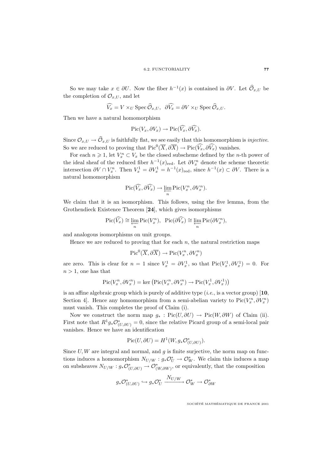So we may take  $x \in \partial U$ . Now the fiber  $h^{-1}(x)$  is contained in  $\partial V$ . Let  $\widehat{\mathcal{O}}_{x,U}$  be the completion of  $\mathcal{O}_{x,U}$ , and let

$$
\widehat{V_x} = V \times_U \text{Spec } \widehat{\mathcal{O}}_{x,U}, \ \ \partial \widehat{V_x} = \partial V \times_U \text{Spec } \widehat{\mathcal{O}}_{x,U}.
$$

Then we have a natural homomorphism

$$
\mathrm{Pic}(V_x,\partial V_x)\to \mathrm{Pic}(\widehat{V_x},\partial \widehat{V_x}).
$$

Since  $\mathcal{O}_{x,U} \to \widehat{\mathcal{O}}_{x,U}$  is faithfully flat, we see easily that this homomorphism is *injective*. So we are reduced to proving that  $Pic^0(\overline{X}, \partial \overline{X}) \to Pic(\widehat{V_x}, \partial \widehat{V_x})$  vanishes.

For each  $n \geq 1$ , let  $V_x^n \subset V_x$  be the closed subscheme defined by the *n*-th power of the ideal sheaf of the reduced fiber  $h^{-1}(x)_{\text{red}}$ . Let  $\partial V_x^n$  denote the scheme theoretic intersection  $\partial V \cap V_x^n$ . Then  $V_x^1 = \partial V_x^1 = h^{-1}(x)_{\text{red}}$ , since  $h^{-1}(x) \subset \partial V$ . There is a natural homomorphism

$$
\mathrm{Pic}(\widehat{V_x}, \partial \widehat{V_x}) \to \varprojlim_n \mathrm{Pic}(V_x^n, \partial V_x^n).
$$

We claim that it is an isomorphism. This follows, using the five lemma, from the Grothendieck Existence Theorem [**24**], which gives isomorphisms

$$
\operatorname{Pic}(\widehat{V_x}) \cong \varprojlim_n \operatorname{Pic}(V_x^n), \ \ \operatorname{Pic}(\partial \widehat{V_x}) \cong \varprojlim_n \operatorname{Pic}(\partial V_x^n),
$$

and analogous isomorphisms on unit groups.

Hence we are reduced to proving that for each  $n$ , the natural restriction maps

$$
\operatorname{Pic}^0(\overline{X}, \partial \overline{X}) \to \operatorname{Pic}(V_x^n, \partial V_x^n)
$$

are zero. This is clear for  $n = 1$  since  $V_x^1 = \partial V_x^1$ , so that  $Pic(V_x^1, \partial V_x^1) = 0$ . For  $n > 1$ , one has that

$$
Pic(V_x^n, \partial V_x^n) = \ker \left( Pic(V_x^n, \partial V_x^n) \to Pic(V_x^1, \partial V_x^1) \right)
$$

is an affine algebraic group which is purely of additive type (i.e., is a vector group) [**10**, Section 4]. Hence any homomorphism from a semi-abelian variety to  $Pic(V_x^n, \partial V_x^n)$ must vanish. This completes the proof of Claim (i).

Now we construct the norm map  $g_* : Pic(U, \partial U) \to Pic(W, \partial W)$  of Claim (ii). First note that  $R^1 g_* \mathcal{O}_{(U,\partial U)}^* = 0$ , since the relative Picard group of a semi-local pair vanishes. Hence we have an identification

$$
\text{Pic}(U,\partial U) = H^1(W, g_*\mathcal{O}_{(U,\partial U)}^*).
$$

Since  $U, W$  are integral and normal, and  $g$  is finite surjective, the norm map on functions induces a homomorphism  $N_{U/W}$  :  $g_*\mathcal{O}_U^* \to \mathcal{O}_W^*$ . We claim this induces a map on subsheaves  $N_{U/W}: g_*\mathcal{O}_{(U,\partial U)}^* \to \mathcal{O}_{(W,\partial W)}^*$ , or equivalently, that the composition

$$
g_*\mathcal{O}_{(U,\partial U)}^*\hookrightarrow g_*\mathcal{O}_U^*\xrightarrow{N_{U/W}}\mathcal{O}_W^*\to \mathcal{O}_{\partial W}^*
$$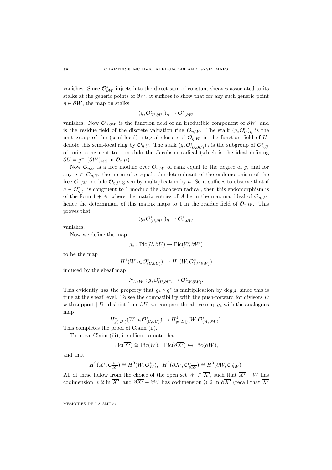vanishes. Since  $\mathcal{O}^*_{\partial W}$  injects into the direct sum of constant sheaves associated to its stalks at the generic points of  $\partial W$ , it suffices to show that for any such generic point  $\eta \in \partial W$ , the map on stalks

$$
(g_*\mathcal{O}_{(U,\partial U)}^*)_{\eta} \to \mathcal{O}_{\eta,\partial W}^*
$$

vanishes. Now  $\mathcal{O}_{n,\partial W}$  is the function field of an irreducible component of  $\partial W$ , and is the residue field of the discrete valuation ring  $\mathcal{O}_{\eta,W}$ . The stalk  $(g_*\mathcal{O}_U^*)_{\eta}$  is the unit group of the (semi-local) integral closure of  $\mathcal{O}_{n,W}$  in the function field of U; denote this semi-local ring by  $\mathcal{O}_{\eta,U}$ . The stalk  $(g_*\mathcal{O}_{(U,\partial U)}^*)_\eta$  is the subgroup of  $\mathcal{O}_{\eta,U}^*$ of units congruent to 1 modulo the Jacobson radical (which is the ideal defining  $\partial U = g^{-1}(\partial W)_{\text{red}}$  in  $\mathcal{O}_{n,U}$ .

Now  $\mathcal{O}_{n,U}$  is a free module over  $\mathcal{O}_{n,W}$  of rank equal to the degree of g, and for any  $a \in \mathcal{O}_{n,U}$ , the norm of a equals the determinant of the endomorphism of the free  $\mathcal{O}_{\eta,W}$ -module  $\mathcal{O}_{\eta,U}$  given by multiplication by a. So it suffices to observe that if  $a \in \mathcal{O}_{\eta,U}^{*}$  is congruent to 1 modulo the Jacobson radical, then this endomorphism is of the form  $1 + A$ , where the matrix entries of A lie in the maximal ideal of  $\mathcal{O}_{n,W}$ ; hence the determinant of this matrix maps to 1 in the residue field of  $\mathcal{O}_{\eta,W}$ . This proves that

$$
(g_*\mathcal{O}_{(U,\partial U)}^*)_{\eta} \to \mathcal{O}_{\eta,\partial W}^*
$$

vanishes.

Now we define the map

$$
g_*:\mathrm{Pic}(U,\partial U)\to \mathrm{Pic}(W,\partial W)
$$

to be the map

$$
H^1(W, g_*\mathcal{O}_{(U,\partial U)}^*) \to H^1(W, \mathcal{O}_{(W,\partial W)}^*)
$$

induced by the sheaf map

$$
N_{U/W}: g_*\mathcal{O}_{(U,\partial U)}^*\to \mathcal{O}_{(W,\partial W)}^*.
$$

This evidently has the property that  $g_* \circ g^*$  is multiplication by deg g, since this is true at the sheaf level. To see the compatibility with the push-forward for divisors D with support | D | disjoint from  $\partial U$ , we compare the above map  $g_*$  with the analogous map

$$
H^1_{g(|D|)}(W, g_*\mathcal{O}_{(U,\partial U)}^*) \to H^1_{g(|D|)}(W, \mathcal{O}_{(W,\partial W)}^*).
$$

This completes the proof of Claim (ii).

To prove Claim (iii), it suffices to note that

$$
Pic(\overline{X'}) \cong Pic(W), \ \ Pic(\partial \overline{X'}) \hookrightarrow Pic(\partial W),
$$

and that

$$
H^0(\overline{X'}, \mathcal{O}_{\overline{X'}}^*) \cong H^0(W, \mathcal{O}_W^*), \quad H^0(\partial \overline{X'}, \mathcal{O}_{\partial \overline{X'}}^*) \cong H^0(\partial W, \mathcal{O}_{\partial W}^*).
$$

All of these follow from the choice of the open set  $W \subset \overline{X'}$ , such that  $\overline{X'} - W$  has codimension  $\geq 2$  in  $\overline{X'}$ , and  $\partial \overline{X'} - \partial W$  has codimension  $\geq 2$  in  $\partial \overline{X'}$  (recall that  $\overline{X'}$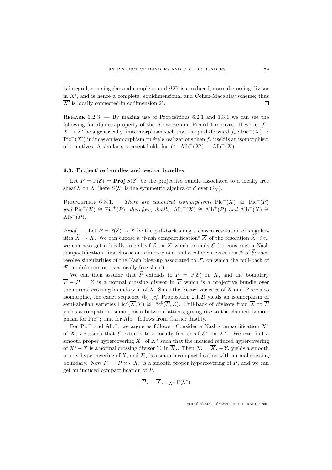is integral, non-singular and complete, and  $\partial \overline{X'}$  is a reduced, normal crossing divisor in  $X'$ , and is hence a complete, equidimensional and Cohen-Macaulay scheme; thus  $\overline{X'}$  is locally connected in codimension 2).  $\Box$ 

REMARK  $6.2.3.$  — By making use of Propositions  $6.2.1$  and  $1.3.1$  we can see the following faithfulness property of the Albanese and Picard 1-motives. If we let  $f$ :  $X \to X'$  be a generically finite morphism such that the push-forward  $f_* : Pic^- (X) \to Y'$  $Pic^-(X')$  induces an isomorphism on étale realizations then  $f_*$  itself is an isomorphism of 1-motives. A similar statement holds for  $f^* : Alb^+(X') \to Alb^+(X)$ .

#### **6.3. Projective bundles and vector bundles**

Let  $P = \mathbb{P}(\mathcal{E}) = \text{Proj } S(\mathcal{E})$  be the projective bundle associated to a locally free sheaf  $\mathcal E$  on X (here  $S(\mathcal E)$  is the symmetric algebra of  $\mathcal E$  over  $\mathcal O_X$ ).

PROPOSITION 6.3.1. — There are canonical isomorphisms  $Pic^{-}(X) \cong Pic^{-}(P)$ and Pic<sup>+</sup>(X) ≅ Pic<sup>+</sup>(P), therefore, dually,  $\text{Alb}^+(X) \cong \text{Alb}^+(P)$  and  $\text{Alb}^-(X) \cong$ Alb<sup> $-$ </sup> $(P)$ .

*Proof.* — Let  $P = \mathbb{P}(\mathcal{E}) \to X$  be the pull-back along a chosen resolution of singularities  $\widetilde{X} \to X$ . We can choose a "Nash compactification"  $\overline{X}$  of the resolution  $\widetilde{X}$ , *i.e.*, we can also get a locally free sheaf  $\mathcal E$  on X which extends  $\mathcal E$  (to construct a Nash compactification, first choose an arbitrary one, and a coherent extension  $\mathcal F$  of  $\mathcal E$ ; then resolve singularities of the Nash blow-up associated to  $\mathcal{F}$ , on which the pull-back of  $F$ , modulo torsion, is a locally free sheaf).

We can then assume that  $\widetilde{P}$  extends to  $\overline{P} = \mathbb{P}(\overline{\mathcal{E}})$  on  $\overline{X}$ , and the boundary  $\overline{P} - \widetilde{P} = Z$  is a normal crossing divisor in  $\overline{P}$  which is a projective bundle over the normal crossing boundary Y of  $\overline{X}$ . Since the Picard varieties of  $\overline{X}$  and  $\overline{P}$  are also isomorphic, the exact sequence (5) (*cf.* Proposition 2.1.2) yields an isomorphism of semi-abelian varieties  $Pic^0(\overline{X}, Y) \cong Pic^0(\overline{P}, Z)$ . Pull-back of divisors from  $\overline{X}$  to  $\overline{P}$ yields a compatible isomorphism between lattices, giving rise to the claimed isomorphism for Pic−; that for Alb<sup>+</sup> follows from Cartier duality.

For Pic<sup>+</sup> and Alb<sup>-</sup>, we argue as follows. Consider a Nash compactification  $X^*$ of X, *i.e.*, such that  $\mathcal E$  extends to a locally free sheaf  $\mathcal E^*$  on  $X^*$ . We can find a smooth proper hypercovering  $\overline{X}$ , of  $X^*$  such that the induced reduced hypercovering of  $X^* - X$  is a normal crossing divisor Y. in  $\overline{X}$ . Then  $X_* = \overline{X}_* - Y$ , yields a smooth proper hypercovering of X, and  $\overline{X}$ , is a smooth compactification with normal crossing boundary. Now  $P_{\bullet} = P \times_X X_{\bullet}$  is a smooth proper hypercovering of P, and we can get an induced compactification of P.

$$
\overline{P}_{\bullet} = \overline{X}_{\bullet} \times_{X^*} \mathbb{P}(\mathcal{E}^*)
$$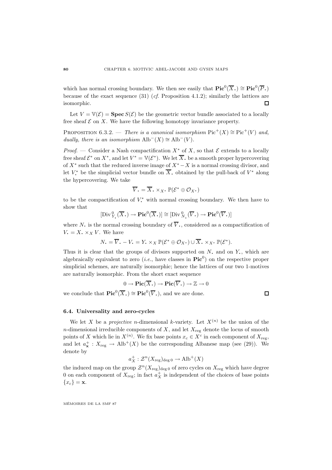which has normal crossing boundary. We then see easily that  $\text{Pic}^0(\overline{X}) \cong \text{Pic}^0(\overline{P})$ . because of the exact sequence  $(31)$  (*cf.* Proposition 4.1.2); similarly the lattices are isomorphic. П

Let  $V = V(\mathcal{E}) = \text{Spec } S(\mathcal{E})$  be the geometric vector bundle associated to a locally free sheaf  $\mathcal E$  on X. We have the following homotopy invariance property.

PROPOSITION 6.3.2. — There is a canonical isomorphism  $Pic^+(X) \cong Pic^+(V)$  and, dually, there is an isomorphism  $\text{Alb}^-(X) \cong \text{Alb}^-(V)$ .

*Proof.* — Consider a Nash compactification  $X^*$  of X, so that  $\mathcal E$  extends to a locally free sheaf  $\mathcal{E}^*$  on  $X^*$ , and let  $V^* = \mathbb{V}(\mathcal{E}^*)$ . We let  $\overline{X}$ , be a smooth proper hypercovering of  $X^*$  such that the reduced inverse image of  $X^* - X$  is a normal crossing divisor, and let  $V^*$  be the simplicial vector bundle on X. obtained by the pull-back of  $V^*$  along the hypercovering. We take

$$
\overline{V}_{\bullet} = \overline{X}_{\bullet} \times_{X^*} \mathbb{P}(\mathcal{E}^* \oplus \mathcal{O}_{X^*})
$$

to be the compactification of  $V^*$  with normal crossing boundary. We then have to show that

$$
[\mathrm{Div}_{Y_{\bullet}}^{0}(\overline{X}_{\bullet}) \to \mathrm{Pic}^{0}(\overline{X}_{\bullet})] \cong [\mathrm{Div}_{N_{\bullet}}^{0}(\overline{V}_{\bullet}) \to \mathrm{Pic}^{0}(\overline{V}_{\bullet})]
$$

where N. is the normal crossing boundary of  $\overline{V}$ , considered as a compactification of  $V_1 = X_2 \times_X V$ . We have

$$
N_{\bullet} = \overline{V}_{\bullet} - V_{\bullet} = Y_{\bullet} \times_X \mathbb{P}(\mathcal{E}^* \oplus \mathcal{O}_{X^*}) \cup \overline{X}_{\bullet} \times_{X^*} \mathbb{P}(\mathcal{E}^*).
$$

Thus it is clear that the groups of divisors supported on  $N$ , and on  $Y$ , which are algebraically equivalent to zero (*i.e.*, have classes in  $Pic^0$ ) on the respective proper simplicial schemes, are naturally isomorphic; hence the lattices of our two 1-motives are naturally isomorphic. From the short exact sequence

$$
0 \to \operatorname{Pic}(\overline{X}_{\scriptscriptstyle\bullet}) \to \operatorname{Pic}(\overline{V}_{\scriptscriptstyle\bullet}) \to \mathbb{Z} \to 0
$$

we conclude that  $\text{Pic}^0(\overline{X}_\cdot) \cong \text{Pic}^0(\overline{V}_\cdot)$ , and we are done.

$$
\Box
$$

#### **6.4. Universality and zero-cycles**

We let X be a *projective n*-dimensional *k*-variety. Let  $X^{(n)}$  be the union of the n-dimensional irreducible components of  $X$ , and let  $X_{\text{reg}}$  denote the locus of smooth points of X which lie in  $X^{(n)}$ . We fix base points  $x_c \in X^c$  in each component of  $X_{reg}$ , and let  $a_{\mathbf{x}}^+ : X_{\text{reg}} \to \text{Alb}^+(X)$  be the corresponding Albanese map (see (29)). We denote by

$$
a_X^+ : \mathcal{Z}^n(X_{\text{reg}})_{\text{deg }0} \to \text{Alb}^+(X)
$$

the induced map on the group  $\mathcal{Z}^n(X_{\mathsf{reg}})_{\deg 0}$  of zero cycles on  $X_{\mathsf{reg}}$  which have degree 0 on each component of  $X_{\text{reg}}$ ; in fact  $a_X^+$  is independent of the choices of base points  ${x_c} = \bf{x}$ .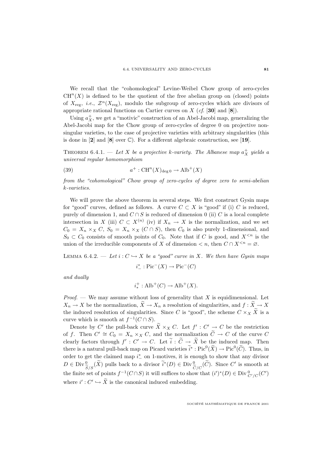We recall that the "cohomological" Levine-Weibel Chow group of zero-cycles  $CH<sup>n</sup>(X)$  is defined to be the quotient of the free abelian group on (closed) points of  $X_{\text{reg}}$ , *i.e.*,  $\mathcal{Z}^n(X_{\text{reg}})$ , modulo the subgroup of zero-cycles which are divisors of appropriate rational functions on Cartier curves on X (cf. [**30**] and [**8**]).

Using  $a_X^+$ , we get a "motivic" construction of an Abel-Jacobi map, generalizing the Abel-Jacobi map for the Chow group of zero-cycles of degree 0 on projective nonsingular varieties, to the case of projective varieties with arbitrary singularities (this is done in [**2**] and [**8**] over C). For a different algebraic construction, see [**19**].

THEOREM 6.4.1. — Let X be a projective k-variety. The Albanese map  $a_X^+$  yields a universal regular homomorphism

(39) 
$$
a^+ : \mathrm{CH}^n(X)_{\deg 0} \to \mathrm{Alb}^+(X)
$$

from the "cohomological" Chow group of zero-cycles of degree zero to semi-abelian k-varieties.

We will prove the above theorem in several steps. We first construct Gysin maps for "good" curves, defined as follows. A curve  $C \subset X$  is "good" if (i) C is reduced, purely of dimension 1, and  $C \cap S$  is reduced of dimension 0 (ii) C is a local complete intersection in X (iii)  $C \subset X^{(n)}$  (iv) if  $X_n \to X$  is the normalization, and we set  $C_0 = X_n \times_X C$ ,  $S_0 = X_n \times_X (C \cap S)$ , then  $C_0$  is also purely 1-dimensional, and  $S_0 \subset C_0$  consists of smooth points of  $C_0$ . Note that if C is good, and  $X^{\leq n}$  is the union of the irreducible components of X of dimension  $\lt n$ , then  $C \cap X^{\leq n} = \varnothing$ .

LEMMA 6.4.2. — Let  $i: C \hookrightarrow X$  be a "good" curve in X. We then have Gysin maps

$$
i^*_{-} : \text{Pic}^-(X) \to \text{Pic}^-(C)
$$

and dually

$$
i^+_* : \operatorname{Alb}^+(C) \to \operatorname{Alb}^+(X).
$$

*Proof.* — We may assume without loss of generality that X is equidimensional. Let  $X_n \to X$  be the normalization,  $\widetilde{X} \to X_n$  a resolution of singularities, and  $f : \widetilde{X} \to X$ the induced resolution of singularities. Since C is "good", the scheme  $C \times_X \tilde{X}$  is a curve which is smooth at  $f^{-1}(C \cap S)$ .

Denote by C' the pull-back curve  $\widetilde{X} \times_X C$ . Let  $f' : C' \to C$  be the restriction of f. Then  $C' \cong C_0 = X_n \times_X C$ , and the normalization  $\widetilde{C} \to C$  of the curve C clearly factors through  $f': C' \to C$ . Let  $\tilde{i}: \tilde{C} \to \tilde{X}$  be the induced map. Then there is a natural pull-back map on Picard varieties  $\tilde{i}^* : Pic^0(\tilde{X}) \to Pic^0(\tilde{C})$ . Thus, in order to get the claimed map  $i^*$  on 1-motives, it is enough to show that any divisor  $D \in \text{Div}^0_{S/S}(\tilde{X})$  pulls back to a divisor  $\tilde{i}^*(D) \in \text{Div}^0_{C/C}(\tilde{C})$ . Since C' is smooth at the finite set of points  $f^{-1}(C \cap S)$  it will suffices to show that  $(i')^*(D) \in \text{Div}_{C'/C}^0(C')$ where  $i': C' \hookrightarrow X$  is the canonical induced embedding.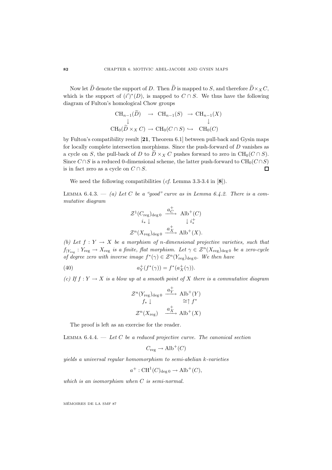Now let  $\widetilde{D}$  denote the support of D. Then  $\widetilde{D}$  is mapped to S, and therefore  $\widetilde{D}\times_X C$ , which is the support of  $(i')^*(D)$ , is mapped to  $C \cap S$ . We thus have the following diagram of Fulton's homological Chow groups

$$
\begin{array}{ccc}\n\text{CH}_{n-1}(D) & \to & \text{CH}_{n-1}(S) & \to & \text{CH}_{n-1}(X) \\
\downarrow & & \downarrow & & \downarrow \\
\text{CH}_{0}(\widetilde{D} \times_{X} C) & \to & \text{CH}_{0}(C \cap S) & \to & \text{CH}_{0}(C)\n\end{array}
$$

by Fulton's compatibility result [**21**, Theorem 6.1] between pull-back and Gysin maps for locally complete intersection morphisms. Since the push-forward of D vanishes as a cycle on S, the pull-back of D to  $\ddot{D} \times_X C$  pushes forward to zero in CH<sub>0</sub>( $C \cap S$ ). Since  $C \cap S$  is a reduced 0-dimensional scheme, the latter push-forward to  $\text{CH}_0(C \cap S)$ is in fact zero as a cycle on  $C \cap S$ .  $\Box$ 

We need the following compatibilities (cf. Lemma 3.3-3.4 in [**8**]).

LEMMA  $6.4.3. - (a)$  Let C be a "good" curve as in Lemma  $6.4.2.$  There is a commutative diagram

$$
\begin{array}{ccc}\n\mathcal{Z}^1(C_{\text{reg}})_{\text{deg }0} & \xrightarrow{a_C^+} & \text{Alb}^+(C) \\
i_* \downarrow & & \downarrow i_*^+ \\
\mathcal{Z}^n(X_{\text{reg}})_{\text{deg }0} & \xrightarrow{a_X^+} & \text{Alb}^+(X).\n\end{array}
$$

(b) Let  $f: Y \to X$  be a morphism of n-dimensional projective varieties, such that  $f|_{Y_{\text{reg}}} : Y_{\text{reg}} \to X_{\text{reg}}$  is a finite, flat morphism. Let  $\gamma \in \mathcal{Z}^n(X_{\text{reg}})_{\text{deg }0}$  be a zero-cycle of degree zero with inverse image  $f^*(\gamma) \in \mathcal{Z}^n(Y_{\text{reg}})_{\text{deg }0}$ . We then have

(40) 
$$
a_Y^+(f^*(\gamma)) = f^*(a_X^+(\gamma)).
$$

(c) If  $f: Y \to X$  is a blow up at a smooth point of X there is a commutative diagram

$$
\mathcal{Z}^n(Y_{\text{reg}})_{\text{deg }0} \xrightarrow{a_Y^+} \text{Alb}^+(Y)
$$
  

$$
f_* \downarrow \cong f^*
$$
  

$$
\mathcal{Z}^n(X_{\text{reg}}) \xrightarrow{a_X^+} \text{Alb}^+(X)
$$

The proof is left as an exercise for the reader.

LEMMA  $6.4.4.$  - Let C be a reduced projective curve. The canonical section

$$
C_{\text{reg}} \to \text{Alb}^+(C)
$$

yields a universal regular homomorphism to semi-abelian k-varieties

 $a^+$ : CH<sup>1</sup>(C)<sub>deg 0</sub>  $\rightarrow$  Alb<sup>+</sup>(C),

which is an isomorphism when C is semi-normal.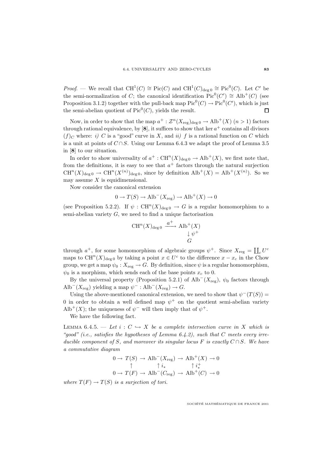*Proof.* — We recall that  $CH^1(C) \cong Pic(C)$  and  $CH^1(C)_{\text{deg }0} \cong Pic^0(C)$ . Let C' be the semi-normalization of C; the canonical identification  $Pic^0(C') \cong Alb^+(C)$  (see Proposition 3.1.2) together with the pull-back map  $Pic^0(C) \to Pic^0(C')$ , which is just the semi-abelian quotient of  $Pic^0(C)$ , yields the result.  $\Box$ 

Now, in order to show that the map  $a^+ : \mathcal{Z}^n(X_{\text{reg}})_{\text{deg }0} \to \text{Alb}^+(X)$   $(n > 1)$  factors through rational equivalence, by [8], it suffices to show that ker  $a^+$  contains all divisors  $(f)_C$  where: i) C is a "good" curve in X, and ii) f is a rational function on C which is a unit at points of  $C \cap S$ . Using our Lemma 6.4.3 we adapt the proof of Lemma 3.5 in [**8**] to our situation.

In order to show universality of  $a^+$ :  $CH^n(X)_{\text{deg }0} \to Alb^+(X)$ , we first note that, from the definitions, it is easy to see that  $a^+$  factors through the natural surjection  $CH^{n}(X)_{\text{deg }0} \to CH^{n}(X^{(n)})_{\text{deg }0}$ , since by definition  $\text{Alb}^{+}(X) = \text{Alb}^{+}(X^{(n)})$ . So we may assume  $X$  is equidimensional.

Now consider the canonical extension

$$
0 \to T(S) \to \text{Alb}^-(X_{\text{reg}}) \to \text{Alb}^+(X) \to 0
$$

(see Proposition 5.2.2). If  $\psi : CH^n(X)_{\text{deg }0} \to G$  is a regular homomorphism to a semi-abelian variety  $G$ , we need to find a unique factorisation

$$
CH^{n}(X)_{\deg 0} \xrightarrow{a^{+}} \text{Alb}^{+}(X)
$$
  

$$
\downarrow \psi^{+}
$$
  

$$
G
$$

through  $a^+$ , for some homomorphism of algebraic groups  $\psi^+$ . Since  $X_{\text{reg}} = \coprod_c U^c$ maps to  $\mathrm{CH}^n(X)_{\text{deg }0}$  by taking a point  $x \in U^c$  to the difference  $x - x_c$  in the Chow group, we get a map  $\psi_0: X_{\text{reg}} \to G$ . By definition, since  $\psi$  is a regular homomorphism,  $\psi_0$  is a morphism, which sends each of the base points  $x_c$  to 0.

By the universal property (Proposition 5.2.1) of Alb<sup>-</sup>( $X_{\text{reg}}$ ),  $\psi_0$  factors through Alb<sup>-</sup> $(X_{reg})$  yielding a map  $\psi^- : Alb^-(X_{reg}) \to G$ .

Using the above-mentioned canonical extension, we need to show that  $\psi^{-}(T(S)) =$ 0 in order to obtain a well defined map  $\psi^+$  on the quotient semi-abelian variety Alb<sup>+</sup>(X); the uniqueness of  $\psi^-$  will then imply that of  $\psi^+$ .

We have the following fact.

LEMMA 6.4.5. — Let  $i: C \hookrightarrow X$  be a complete intersection curve in X which is "good" (i.e., satisfies the hypotheses of Lemma  $6.4.2$ ), such that C meets every irreducible component of S, and moreover its singular locus F is exactly  $C \cap S$ . We have a commutative diagram

$$
0 \to T(S) \to \text{Alb}^-(X_{\text{reg}}) \to \text{Alb}^+(X) \to 0
$$
  

$$
\uparrow i_* \qquad \uparrow i_*^+
$$
  

$$
0 \to T(F) \to \text{Alb}^-(C_{\text{reg}}) \to \text{Alb}^+(C) \to 0
$$

where  $T(F) \to T(S)$  is a surjection of tori.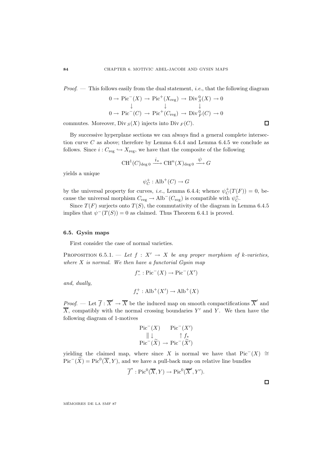*Proof.*  $\blacksquare$  This follows easily from the dual statement, *i.e.*, that the following diagram

$$
0 \to Pic^{-}(X) \to Pic^{+}(X_{reg}) \to Div_{S}^{0}(X) \to 0
$$
  

$$
\downarrow \qquad \qquad \downarrow
$$
  

$$
0 \to Pic^{-}(C) \to Pic^{+}(C_{reg}) \to Div_{F}^{0}(C) \to 0
$$

commutes. Moreover, Div  $_S(X)$  injects into Div  $_F(C)$ .

By successive hyperplane sections we can always find a general complete intersection curve C as above; therefore by Lemma 6.4.4 and Lemma 6.4.5 we conclude as follows. Since  $i: C_{\text{reg}} \hookrightarrow X_{\text{reg}}$ , we have that the composite of the following

$$
\mathrm{CH}^1(C)_{\deg 0} \xrightarrow{i_*} \mathrm{CH}^n(X)_{\deg 0} \xrightarrow{\psi} G
$$

yields a unique

 $\psi_C^+:\text{Alb}^+(C)\to G$ 

by the universal property for curves, *i.e.*, Lemma 6.4.4; whence  $\psi_C^+(T(F)) = 0$ , because the universal morphism  $C_{reg} \to \text{Alb}^-(C_{reg})$  is compatible with  $\psi_C^+$ .

Since  $T(F)$  surjects onto  $T(S)$ , the commutativity of the diagram in Lemma 6.4.5 implies that  $\psi^{-}(T(S)) = 0$  as claimed. Thus Theorem 6.4.1 is proved.

### **6.5. Gysin maps**

First consider the case of normal varieties.

PROPOSITION 6.5.1. — Let  $f: X' \rightarrow X$  be any proper morphism of k-varieties, where  $X$  is normal. We then have a functorial Gysin map

$$
f^*_{-} : \mathrm{Pic}^-(X) \to \mathrm{Pic}^-(X')
$$

and, dually,

$$
f_*^+ : \operatorname{Alb}^+(X') \to \operatorname{Alb}^+(X)
$$

*Proof.* — Let  $\overline{f}$  :  $\overline{X}' \to \overline{X}$  be the induced map on smooth compactifications  $\overline{X}'$  and  $\overline{X}$ , compatibly with the normal crossing boundaries Y' and Y. We then have the following diagram of 1-motives

$$
\begin{array}{ccc}\n\text{Pic}^-(X) & \text{Pic}^-(X') \\
\parallel \downarrow & \uparrow f_* \\
\text{Pic}^-(\tilde{X}) & \to \text{Pic}^-(\tilde{X}')\n\end{array}
$$

yielding the claimed map, where since X is normal we have that  $Pic^{-}(X) \cong$  $Pic^{-}(\widetilde{X}) = Pic^{0}(\overline{X}, Y)$ , and we have a pull-back map on relative line bundles

$$
\overline{f}^* : Pic^0(\overline{X}, Y) \to Pic^0(\overline{X}', Y').
$$

MEMOIRES DE LA SMF 87 ´

 $\Box$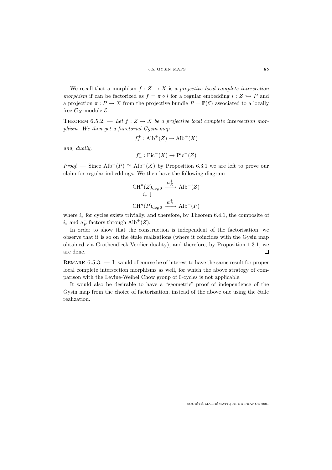We recall that a morphism  $f: Z \to X$  is a projective local complete intersection morphism if can be factorized as  $f = \pi \circ i$  for a regular embedding  $i : Z \hookrightarrow P$  and a projection  $\pi : P \to X$  from the projective bundle  $P = \mathbb{P}(\mathcal{E})$  associated to a locally free  $\mathcal{O}_X$ -module  $\mathcal{E}$ .

THEOREM 6.5.2. — Let  $f: Z \to X$  be a projective local complete intersection morphism. We then get a functorial Gysin map

$$
f_*^+ : \operatorname{Alb}^+(Z) \to \operatorname{Alb}^+(X)
$$

and, dually,

$$
f^*_{-} : \mathrm{Pic}^-(X) \to \mathrm{Pic}^-(Z)
$$

*Proof.* — Since  $\text{Alb}^+(P) \cong \text{Alb}^+(X)$  by Proposition 6.3.1 we are left to prove our claim for regular imbeddings. We then have the following diagram

$$
\begin{aligned}\n\text{CH}^n(Z)_{\text{deg}\,0} & \xrightarrow{a_Z^+} \text{Alb}^+(Z) \\
& i_* \downarrow \\
\text{CH}^n(P)_{\text{deg}\,0} & \xrightarrow{a_P^+} \text{Alb}^+(P)\n\end{aligned}
$$

where  $i_*$  for cycles exists trivially, and therefore, by Theorem 6.4.1, the composite of  $i_*$  and  $a_P^+$  factors through  $\text{Alb}^+(Z)$ .

In order to show that the construction is independent of the factorisation, we observe that it is so on the étale realizations (where it coincides with the Gysin map obtained via Grothendieck-Verdier duality), and therefore, by Proposition 1.3.1, we are done.  $\Box$ 

Remark 6.5.3. — It would of course be of interest to have the same result for proper local complete intersection morphisms as well, for which the above strategy of comparison with the Levine-Weibel Chow group of 0-cycles is not applicable.

It would also be desirable to have a "geometric" proof of independence of the Gysin map from the choice of factorization, instead of the above one using the étale realization.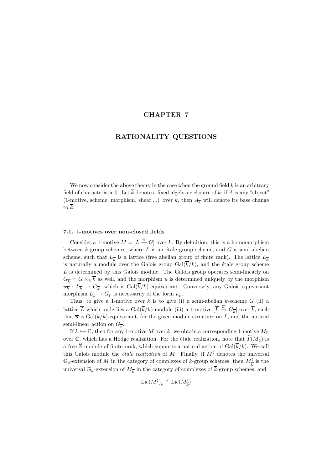# **CHAPTER 7**

## **RATIONALITY QUESTIONS**

We now consider the above theory in the case when the ground field  $k$  is an arbitrary field of characteristic 0. Let  $\overline{k}$  denote a fixed algebraic closure of k; if A is any "object" (1-motive, scheme, morphism, sheaf ...) over k, then  $A_{\overline{k}}$  will denote its base change to  $\overline{k}$ .

#### **7.1.** 1**-motives over non-closed fields**

Consider a 1-motive  $M = [L \stackrel{u}{\rightarrow} G]$  over k. By definition, this is a homomorphism between  $k$ -group schemes, where  $L$  is an étale group scheme, and  $G$  a semi-abelian scheme, such that  $L_{\overline{k}}$  is a lattice (free abelian group of finite rank). The lattice  $L_{\overline{k}}$ is naturally a module over the Galois group  $Gal(\overline{k}/k)$ , and the étale group scheme  $L$  is determined by this Galois module. The Galois group operates semi-linearly on  $G_{\overline{k}} = G \times_k \overline{k}$  as well, and the morphism u is determined uniquely by the morphism  $u_{\overline{k}}: L_{\overline{k}} \to G_{\overline{k}}$ , which is  $Gal(\overline{k}/k)$ -equivariant. Conversely, any Galois equivariant morphism  $L_{\overline{k}} \to G_{\overline{k}}$  is necessarily of the form  $u_{\overline{k}}$ .

Thus, to give a 1-motive over  $k$  is to give (i) a semi-abelian  $k$ -scheme  $G$  (ii) a lattice  $\overline{L}$  which underlies a  $Gal(\overline{k}/k)$ -module (iii) a 1-motive  $[\overline{L} \stackrel{\overline{u}}{\rightarrow} G_{\overline{k}}]$  over  $\overline{k}$ , such that  $\overline{u}$  is Gal( $\overline{k}/k$ )-equivariant, for the given module structure on  $\overline{L}$ , and the natural semi-linear action on  $G_{\overline{k}}$ .

If  $k \hookrightarrow \mathbb{C}$ , then for any 1-motive M over k, we obtain a corresponding 1-motive  $M_{\mathbb{C}}$ over C, which has a Hodge realization. For the étale realization, note that  $\widehat{T}(M_{\overline{k}})$  is a free  $\widehat{\mathbb{Z}}$ -module of finite rank, which supports a natural action of  $Gal(\overline{k}/k)$ . We call this Galois module the *étale realization* of M. Finally, if  $M^{\dagger}$  denotes the universal  $\mathbb{G}_a$ -extension of M in the category of complexes of k-group schemes, then  $M_{\overline{k}}^{\sharp}$  is the universal  $\mathbb{G}_a$ -extension of  $M_k$  in the category of complexes of  $\overline{k}$ -group schemes, and

$$
\mathrm{Lie}(M^\natural)_{\overline{k}} \cong \mathrm{Lie}(M^\natural_{\overline{k}})
$$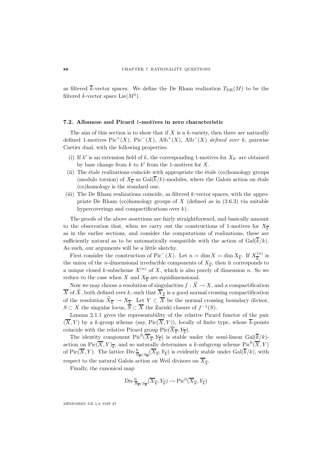as filtered  $\bar{k}$ -vector spaces. We define the De Rham realization  $T_{\text{DR}}(M)$  to be the filtered k-vector space Lie $(M^{\natural})$ .

### **7.2. Albanese and Picard** 1**-motives in zero characteristic**

The aim of this section is to show that if X is a  $k$ -variety, then there are naturally defined 1-motives  $Pic^+(X)$ ,  $Pic^-(X)$ ,  $Alb^+(X)$ ,  $Alb^-(X)$  defined over k, pairwise Cartier dual, with the following properties.

- (i) If k' is an extension field of k, the corresponding 1-motives for  $X_{k'}$  are obtained by base change from  $k$  to  $k'$  from the 1-motives for X.
- (ii) The étale realizations coincide with appropriate the étale (co)homology groups (modulo torsion) of  $X_{\overline{k}}$  as  $Gal(\overline{k}/k)$ -modules, where the Galois action on étale (co)homology is the standard one.
- (iii) The De Rham realizations coincide, as filtered k-vector spaces, with the appropriate De Rham (co)homology groups of  $X$  (defined as in  $(2.6.3)$  via suitable hypercoverings and compactifications over  $k$ ).

The proofs of the above assertions are fairly straightforward, and basically amount to the observation that, when we carry out the constructions of 1-motives for  $X_{\overline{k}}$ as in the earlier sections, and consider the computations of realizations, these are sufficiently natural as to be automatically compatible with the action of  $Gal(\overline{k}/k)$ . As such, our arguments will be a little sketchy.

First consider the construction of Pic<sup>-</sup>(X). Let  $n = \dim X = \dim X_{\overline{k}}$ . If  $X_{\overline{k}}^{(n)}$  is the union of the *n*-dimensional irreducible components of  $X_{\overline{k}}$ , then it corresponds to a unique closed k-subscheme  $X^{(n)}$  of X, which is also purely of dimension n. So we reduce to the case when X and  $X_{\overline{k}}$  are equidimensional.

Now we may choose a resolution of singularities  $f : \tilde{X} \to X$ , and a compactification  $\overline{X}$  of  $\widetilde{X}$ , both defined over k, such that  $\overline{X}_{\overline{k}}$  is a good normal crossing compactification of the resolution  $\widetilde{X}_{\overline{k}} \to X_{\overline{k}}$ . Let  $Y \subset \overline{X}$  be the normal crossing boundary divisor,  $S \subset X$  the singular locus,  $\overline{S} \subset \overline{X}$  the Zariski closure of  $f^{-1}(S)$ .

Lemma 2.1.1 gives the representability of the relative Picard functor of the pair  $(\overline{X}, Y)$  by a k-group scheme (say, Pic $(\overline{X}, Y)$ ), locally of finite type, whose  $\overline{k}$ -points coincide with the relative Picard group Pic( $\overline{X}_{\overline{k}}$ ,  $Y_{\overline{k}}$ ).

The identity component  $Pic^0(\overline{X}_{\overline{k}}, Y_{\overline{k}})$  is stable under the semi-linear  $Gal(\overline{k}/k)$ action on Pic $(\overline{\overline{X}}, Y)_{\overline{k}}$ , and so naturally determines a k-subgroup scheme Pic<sup>0</sup> $(\overline{\overline{X}}, Y)$ of Pic( $\overline{X}, Y$ ). The lattice  $\text{Div}_{\overline{S_{\overline{k}}}/S_{\overline{k}}}(\overline{X}_{\overline{k}}, Y_{\overline{k}})$  is evidently stable under  $\text{Gal}(\overline{k}/k)$ , with respect to the natural Galois action on Weil divisors on  $\overline{X}_{\overline{k}}$ .

Finally, the canonical map

$$
\mathrm{Div} \tfrac{0}{S_{\overline{k}}/S_{\overline{k}}} (\overline{X}_{\overline{k}}, Y_{\overline{k}}) \to \mathrm{Pic}^0 (\overline{X}_{\overline{k}}, Y_{\overline{k}})
$$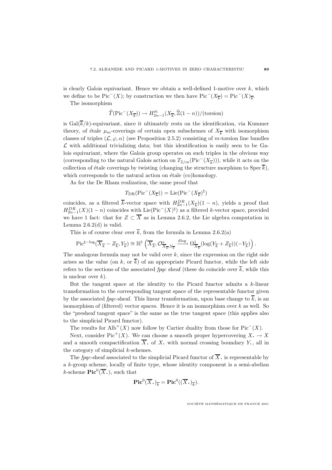is clearly Galois equivariant. Hence we obtain a well-defined 1-motive over  $k$ , which we define to be Pic<sup>−</sup>(X); by construction we then have Pic<sup>−</sup>(X<sub>k</sub>) = Pic<sup>−</sup>(X)<sub>k</sub>.

The isomorphism

$$
\widehat{T}(\mathrm{Pic}^-(X_{\overline{k}})) \to H_{2n-1}^{\text{\'et}}(X_{\overline{k}}, \widehat{\mathbb{Z}}(1-n)) / (\text{torsion})
$$

is  $Gal(\overline{k}/k)$ -equivariant, since it ultimately rests on the identification, via Kummer theory, of étale  $\mu_m$ -coverings of certain open subschemes of  $X_{\overline{k}}$  with isomorphism classes of triples  $(\mathcal{L}, \varphi, \alpha)$  (see Proposition 2.5.2) consisting of m-torsion line bundles  $\mathcal L$  with additional trivializing data; but this identification is easily seen to be Galois equivariant, where the Galois group operates on such triples in the obvious way (corresponding to the natural Galois action on  $T_{\mathbb{Z}/m}(\text{Pic}^-(X_{\overline{k}}))$ ), while it acts on the collection of étale coverings by twisting (changing the structure morphism to Spec  $\overline{k}$ ), which corresponds to the natural action on  $\acute{e}t$  and  $\acute{e}$  (co)homology.

As for the De Rham realization, the same proof that

$$
T_{\mathrm{DR}}(\mathrm{Pic}^-(X_{\overline{k}}))=\mathrm{Lie}(\mathrm{Pic}^-(X_{\overline{k}})^\natural)
$$

coincides, as a filtered  $\overline{k}$ -vector space with  $H_{2n-1}^{DR}(X_{\overline{k}})(1-n)$ , yields a proof that  $H_{2n-1}^{DR}(X)(1-n)$  coincides with Lie(Pic<sup>-</sup>(X)<sup>|t</sup>) as a filtered k-vector space, provided we have 1 fact: that for  $Z \subset \overline{X}$  as in Lemma 2.6.2, the Lie algebra computation in Lemma  $2.6.2(d)$  is valid.

This is of course clear over  $\overline{k}$ , from the formula in Lemma 2.6.2(a)

$$
\operatorname{Pic}^{\natural - \log}(\overline{X}_{\overline{k}} - Z_{\overline{k}}, Y_{\overline{k}}) \cong \mathbb{H}^1\left(\overline{X}_{\overline{k}}, \mathcal{O}_{\overline{X}_{\overline{k}}, Y_{\overline{k}}}^* \xrightarrow{\operatorname{dlog}} \Omega^1_{\overline{X}_{\overline{k}}}(\log(Y_{\overline{k}} + Z_{\overline{k}}))(-Y_{\overline{k}})\right).
$$

The analogous formula may not be valid over  $k$ , since the expression on the right side arises as the value (on k, or  $\overline{k}$ ) of an appropriate Picard functor, while the left side refers to the sections of the associated *fpqc* sheaf (these do coincide over  $\overline{k}$ , while this is unclear over  $k$ ).

But the tangent space at the identity to the Picard functor admits a  $k$ -linear transformation to the corresponding tangent space of the representable functor given by the associated fpqc-sheaf. This linear transformation, upon base change to  $\overline{k}$ , is an isomorphism of (filtered) vector spaces. Hence it is an isomorphism over  $k$  as well. So the "presheaf tangent space" is the same as the true tangent space (this applies also to the simplicial Picard functor).

The results for Alb<sup>+</sup>(X) now follow by Cartier duality from those for Pic<sup>-</sup>(X).

Next, consider Pic<sup>+</sup>(X). We can choose a smooth proper hypercovering  $X \to X$ and a smooth compactification  $\overline{X}$ . of X. with normal crossing boundary Y., all in the category of simplicial  $k$ -schemes.

The fpqc-sheaf associated to the simplicial Picard functor of  $\overline{X}$ . is representable by a k-group scheme, locally of finite type, whose identity component is a semi-abelian k-scheme  $\text{Pic}^0(\overline{X}_\cdot)$ , such that

$$
\mathbf{Pic}^0(\overline{X}_{\boldsymbol{\cdot}})_{\overline{k}} = \mathbf{Pic}^0((\overline{X}_{\boldsymbol{\cdot}})_{\overline{k}}).
$$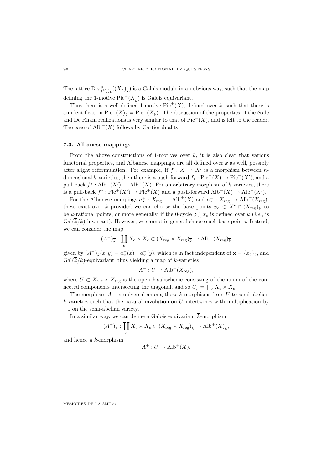The lattice  $\text{Div}_{(Y_\bullet)_k^-}^0(\overline{X}_\bullet)_{\overline{k}}$  is a Galois module in an obvious way, such that the map defining the 1-motive  $Pic^+(X_{\overline{k}})$  is Galois equivariant.

Thus there is a well-defined 1-motive  $Pic^+(X)$ , defined over k, such that there is an identification  $Pic^+(X)_{\overline{k}} = Pic^+(X_{\overline{k}})$ . The discussion of the properties of the étale and De Rham realizations is very similar to that of  $Pic^{-1}(X)$ , and is left to the reader. The case of  $\text{Alb}^-(X)$  follows by Cartier duality.

### **7.3. Albanese mappings**

From the above constructions of 1-motives over  $k$ , it is also clear that various functorial properties, and Albanese mappings, are all defined over  $k$  as well, possibly after slight reformulation. For example, if  $f : X \to X'$  is a morphism between ndimensional k-varieties, then there is a push-forward  $f_* : Pic^-(X) \to Pic^-(X')$ , and a pull-back  $f^* : Alb^+(X') \to Alb^+(X)$ . For an arbitrary morphism of k-varieties, there is a pull-back  $f^* : Pic^+(X') \to Pic^+(X)$  and a push-forward  $\text{Alb}^-(X) \to \text{Alb}^-(X').$ 

For the Albanese mappings  $a_x^+ : X_{\text{reg}} \to \text{Alb}^+(X)$  and  $a_x^- : X_{\text{reg}} \to \text{Alb}^-(X_{\text{reg}})$ , these exist over k provided we can choose the base points  $x_c \in X^c \cap (X_{reg})_{\overline{k}}$  to be k-rational points, or more generally, if the 0-cycle  $\sum_c x_c$  is defined over k (*i.e.*, is  $Gal(\overline{k}/k)$ -invariant). However, we cannot in general choose such base-points. Instead, we can consider the map

$$
(A^-)_{\overline{k}}: \coprod_c X_c \times X_c \subset (X_{\text{reg}} \times X_{\text{reg}})_{\overline{k}} \to \text{Alb}^-(X_{\text{reg}})_{\overline{k}}
$$

given by  $(A^-)_{\overline{k}}(x,y) = a_{\mathbf{x}}(x) - a_{\mathbf{x}}(y)$ , which is in fact independent of  $\mathbf{x} = \{x_c\}_c$ , and  $Gal(\overline{k}/k)$ -equivariant, thus yielding a map of k-varieties

$$
A^-: U \to \text{Alb}^-(X_{\text{reg}}),
$$

where  $U \subset X_{\text{reg}} \times X_{\text{reg}}$  is the open k-subscheme consisting of the union of the connected components intersecting the diagonal, and so  $U_{\overline{k}} = \coprod_c X_c \times X_c$ .

The morphism  $A^-$  is universal among those k-morphisms from U to semi-abelian  $k$ -varieties such that the natural involution on U intertwines with multiplication by −1 on the semi-abelian variety.

In a similar way, we can define a Galois equivariant  $\overline{k}$ -morphism

$$
(A^+)_{\overline{k}}: \coprod_c X_c \times X_c \subset (X_{\text{reg}} \times X_{\text{reg}})_{\overline{k}} \to \text{Alb}^+(X)_{\overline{k}},
$$

and hence a k-morphism

$$
A^+: U \to \text{Alb}^+(X).
$$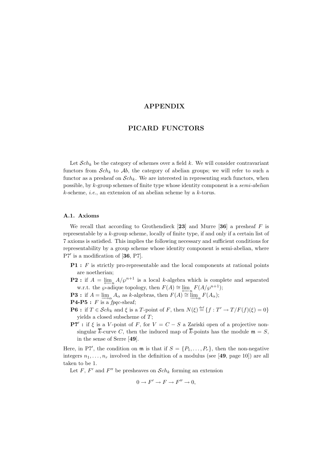## **APPENDIX**

## **PICARD FUNCTORS**

Let  $Sch_k$  be the category of schemes over a field k. We will consider contravariant functors from  $Sch_k$  to  $Ab$ , the category of abelian groups; we will refer to such a functor as a presheaf on  $Sch_k$ . We are interested in representing such functors, when possible, by k-group schemes of finite type whose identity component is a semi-abelian  $k$ -scheme, *i.e.*, an extension of an abelian scheme by a  $k$ -torus.

### **A.1. Axioms**

We recall that according to Grothendieck [**23**] and Murre [**36**] a presheaf F is representable by a k-group scheme, locally of finite type, if and only if a certain list of 7 axioms is satisfied. This implies the following necessary and sufficient conditions for representability by a group scheme whose identity component is semi-abelian, where P7 is a modification of [**36**, P7].

- **P1** : F is strictly pro-representable and the local components at rational points are noetherian;
- **P2 :** if  $A = \lim_{h \to 0} A/\wp^{n+1}$  is a local k-algebra which is complete and separated w.r.t. the ⊗-adique topology, then  $F(A) \cong \lim_{n \to \infty} F(A/\wp^{n+1});$
- **P3 :** if  $A = \lim_{\Delta} A_{\alpha}$  as k-algebras, then  $F(A) \cong \lim_{\Delta} F(A_{\alpha})$ ;
- $P4-P5$ : F is a *fpqc*-sheaf;
- **P6**: if  $T \in Sch_k$  and  $\xi$  is a T-point of F, then  $N(\xi) \stackrel{\text{def}}{=} \{f : T' \to T/F(f)(\xi) = 0\}$ yields a closed subscheme of  $T$ ;
- **P7** : if  $\xi$  is a V-point of F, for  $V = C S$  a Zariski open of a projective nonsingular  $\overline{k}$ -curve C, then the induced map of  $\overline{k}$ -points has the module  $\mathfrak{m} = S$ , in the sense of Serre [**49**].

Here, in P7', the condition on  $\mathfrak{m}$  is that if  $S = \{P_1, \ldots, P_r\}$ , then the non-negative integers  $n_1, \ldots, n_r$  involved in the definition of a modulus (see [49, page 10]) are all taken to be 1.

Let F, F' and F'' be presheaves on  $\mathcal{S}ch_k$  forming an extension

$$
0 \to F' \to F \to F'' \to 0,
$$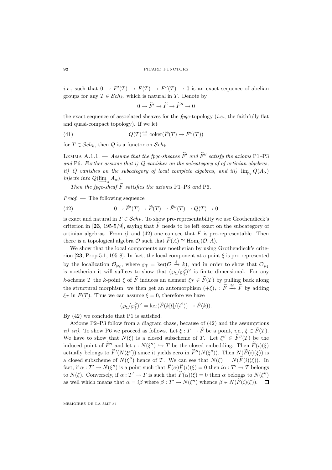*i.e.*, such that  $0 \to F'(T) \to F(T) \to F''(T) \to 0$  is an exact sequence of abelian groups for any  $T \in \mathcal{S}ch_k$ , which is natural in T. Denote by

 $0 \to \widetilde{F}' \to \widetilde{F} \to \widetilde{F}'' \to 0$ 

the exact sequence of associated sheaves for the  $fpqc$ -topology (*i.e.*, the faithfully flat and quasi-compact topology). If we let

(41) 
$$
Q(T) \stackrel{\text{def}}{=} \text{coker}(\widetilde{F}(T) \to \widetilde{F}''(T))
$$

for  $T \in \mathcal{S}ch_k$ , then Q is a functor on  $\mathcal{S}ch_k$ .

LEMMA A.1.1. — Assume that the fpqc-sheaves  $\widetilde{F}'$  and  $\widetilde{F}''$  satisfy the axioms P1-P3 and P6. Further assume that  $i)$  Q vanishes on the subcategory of of artinian algebras, ii) Q vanishes on the subcategory of local complete algebras, and iii) lim<sub>→</sub>  $Q(A_{\alpha})$ injects into  $Q(\lim A_{\alpha}).$ 

Then the fpqc-sheaf  $\tilde{F}$  satisfies the axioms P1–P3 and P6.

 $Proof.$  — The following sequence

(42) 
$$
0 \to \widetilde{F}'(T) \to \widetilde{F}(T) \to \widetilde{F}''(T) \to Q(T) \to 0
$$

is exact and natural in  $T \in \mathcal{S}ch_k$ . To show pro-representability we use Grothendieck's criterion in [23, 195-5/9], saying that  $\tilde{F}$  needs to be left exact on the subcategory of artinian algebras. From  $i$  and (42) one can see that F is pro-representable. Then there is a topological algebra  $\mathcal O$  such that  $\widetilde F(A) \cong \text{Hom}_c(\mathcal O, A)$ .

We show that the local components are noetherian by using Grothendieck's criterion  $[23, Prop.5.1, 195-8]$ . In fact, the local component at a point  $\xi$  is pro-represented by the localization  $\mathcal{O}_{\wp_{\xi}}$ , where  $\wp_{\xi} = \text{ker}(\mathcal{O} \stackrel{\xi}{\to} k)$ , and in order to show that  $\mathcal{O}_{\wp_{\xi}}$ is noetherian it will suffices to show that  $(\wp_{\xi}/\wp_{\xi}^2)^{\vee}$  is finite dimensional. For any k-scheme T the k-point  $\xi$  of  $\widetilde{F}$  induces an element  $\xi_T \in \widetilde{F}(T)$  by pulling back along the structural morphism; we then get an automorphism  $(+\xi)_* : \widetilde{F} \stackrel{\cong}{\longrightarrow} \widetilde{F}$  by adding  $\xi_T$  in  $F(T)$ . Thus we can assume  $\xi = 0$ , therefore we have

$$
(\wp_{\xi}/\wp_{\xi}^2)^{\vee} = \ker(\widetilde{F}(k[t]/(t^2)) \to \widetilde{F}(k)).
$$

By (42) we conclude that P1 is satisfied.

Axioms P2–P3 follow from a diagram chase, because of (42) and the assumptions *ii*)–*iii*). To show P6 we proceed as follows. Let  $\xi : T \to \widetilde{F}$  be a point, *i.e.*,  $\xi \in \widetilde{F}(T)$ . We have to show that  $N(\xi)$  is a closed subscheme of T. Let  $\xi'' \in \widetilde{F}''(T)$  be the induced point of  $\widetilde{F}''$  and let  $i : N(\xi'') \hookrightarrow T$  be the closed embedding. Then  $\widetilde{F}(i)(\xi)$ actually belongs to  $F'(N(\xi''))$  since it yields zero in  $F''(N(\xi''))$ . Then  $N(F(i)(\xi))$  is a closed subscheme of  $N(\xi'')$  hence of T. We can see that  $N(\xi) = N(\widetilde{F}(i)(\xi))$ . In fact, if  $\alpha: T' \to N(\xi'')$  is a point such that  $\widetilde{F}(\alpha)\widetilde{F}(i)(\xi) = 0$  then  $i\alpha: T' \to T$  belongs to  $N(\xi)$ . Conversely, if  $\alpha: T' \to T$  is such that  $\widetilde{F}(\alpha)(\xi) = 0$  then  $\alpha$  belongs to  $N(\xi'')$ as well which means that  $\alpha = i\beta$  where  $\beta : T' \to N(\xi'')$  whence  $\beta \in N(\widetilde{F}(i)(\xi))$ .  $\Box$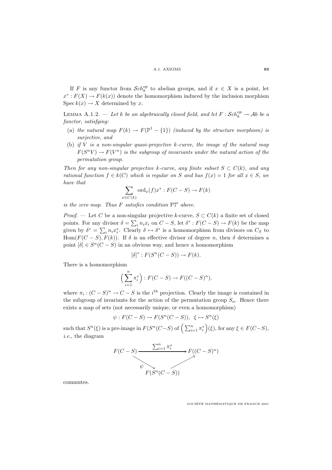If F is any functor from  $Sch_k^{op}$  to abelian groups, and if  $x \in X$  is a point, let  $x^* : F(X) \to F(k(x))$  denote the homomorphism induced by the inclusion morphism  $\operatorname{Spec} k(x) \to X$  determined by x.

LEMMA A.1.2. — Let k be an algebraically closed field, and let  $F: \mathcal{S}ch_k^{op} \to \mathcal{A}b$  be a functor, satisfying:

- (a) the natural map  $F(k) \to F(\mathbb{P}^1 \{1\})$  (induced by the structure morphism) is surjective, and
- (b) if V is a non-singular quasi-projective k-curve, the image of the natural map  $F(S^nV) \to F(V^n)$  is the subgroup of invariants under the natural action of the permutation group.

Then for any non-singular projective k-curve, any finite subset  $S \subset C(k)$ , and any rational function  $f \in k(C)$  which is regular on S and has  $f(x)=1$  for all  $x \in S$ , we have that

$$
\sum_{x \in C(k)} \text{ord}_x(f)x^* : F(C - S) \to F(k)
$$

is the zero map. Thus  $F$  satisfies condition  $P7'$  above.

*Proof.* — Let C be a non-singular projective k-curve,  $S \subset C(k)$  a finite set of closed points. For any divisor  $\delta = \sum_i n_i x_i$  on  $C - S$ , let  $\delta^* : F(C - S) \to F(k)$  be the map given by  $\delta^* = \sum_i n_i x_i^*$ . Clearly  $\delta \mapsto \delta^*$  is a homomorphism from divisors on  $C_S$  to Hom( $F(C - S)$ ,  $F(k)$ ). If  $\delta$  is an effective divisor of degree n, then  $\delta$  determines a point  $[\delta] \in S^n(C-S)$  in an obvious way, and hence a homomorphism

$$
[\delta]^* : F(S^n(C - S)) \to F(k).
$$

There is a homomorphism

$$
\left(\sum_{i=1}^n \pi_i^*\right) : F(C-S) \to F((C-S)^n),
$$

where  $\pi_i : (C - S)^n \to C - S$  is the i<sup>th</sup> projection. Clearly the image is contained in the subgroup of invariants for the action of the permutation group  $S_n$ . Hence there exists a map of sets (not necessarily unique, or even a homomorphism)

$$
\psi: F(C-S) \to F(S^n(C-S)), \xi \mapsto S^n(\xi)
$$

such that  $S^n(\xi)$  is a pre-image in  $F(S^n(C-S)$  of  $\Big(\sum_{i=1}^n \pi_i^*$  $(c)$ , for any  $\xi \in F(C-S)$ , i.e., the diagram



commutes.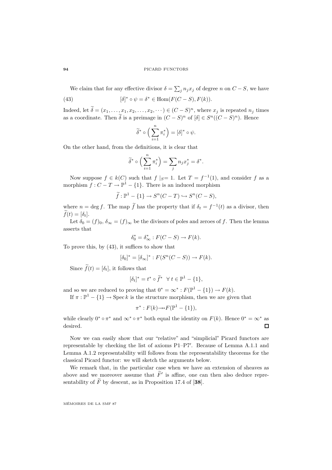#### **94** PICARD FUNCTORS

We claim that for any effective divisor  $\delta = \sum_j n_j x_j$  of degree n on  $C - S$ , we have

(43) 
$$
[\delta]^* \circ \psi = \delta^* \in \text{Hom}(F(C-S), F(k)).
$$

Indeed, let  $\delta = (x_1, \ldots, x_1, x_2, \ldots, x_2, \cdots) \in (C - S)^n$ , where  $x_j$  is repeated  $n_j$  times as a coordinate. Then  $\tilde{\delta}$  is a preimage in  $(C - S)^n$  of  $[\delta] \in S^n((C - S)^n)$ . Hence

$$
\widetilde{\delta}^* \circ \Big( \sum_{i=1}^n \pi_i^* \Big) = [\delta]^* \circ \psi.
$$

On the other hand, from the definitions, it is clear that

$$
\widetilde{\delta}^* \circ \left( \sum_{i=1}^n \pi_i^* \right) = \sum_j n_j x_j^* = \delta^*.
$$

Now suppose  $f \in k(C)$  such that  $f |_{S} = 1$ . Let  $T = f^{-1}(1)$ , and consider f as a morphism  $f: C - T \to \mathbb{P}^1 - \{1\}$ . There is an induced morphism

$$
\widetilde{f}: \mathbb{P}^1 - \{1\} \to S^n(C - T) \hookrightarrow S^n(C - S),
$$

where  $n = \deg f$ . The map  $\tilde{f}$  has the property that if  $\delta_t = f^{-1}(t)$  as a divisor, then  $f(t)=[\delta_t].$ 

Let  $\delta_0 = (f)_0$ ,  $\delta_{\infty} = (f)_{\infty}$  be the divisors of poles and zeroes of f. Then the lemma asserts that

$$
\delta_0^* = \delta_\infty^* : F(C - S) \to F(k).
$$

To prove this, by (43), it suffices to show that

$$
[\delta_0]^* = [\delta_\infty]^* : F(S^n(C - S)) \to F(k).
$$

Since  $f(t) = [\delta_t]$ , it follows that

$$
[\delta_t]^*=t^*\circ \widetilde{f}^*\ \ \forall\ t\in \mathbb{P}^1-\{1\},
$$

and so we are reduced to proving that  $0^* = \infty^* : F(\mathbb{P}^1 - \{1\}) \to F(k)$ .

If  $\pi : \mathbb{P}^1 - \{1\} \to \operatorname{Spec} k$  is the structure morphism, then we are given that

$$
\pi^*: F(k) {\longrightarrow} F(\mathbb{P}^1 - \{1\}),
$$

while clearly  $0^* \circ \pi^*$  and  $\infty^* \circ \pi^*$  both equal the identity on  $F(k)$ . Hence  $0^* = \infty^*$  as desired.  $\Box$ 

Now we can easily show that our "relative" and "simplicial" Picard functors are representable by checking the list of axioms P1–P7 . Because of Lemma A.1.1 and Lemma A.1.2 representability will follows from the representability theorems for the classical Picard functor: we will sketch the arguments below.

We remark that, in the particular case when we have an extension of sheaves as above and we moreover assume that  $\tilde{F}'$  is affine, one can then also deduce representability of  $\widetilde{F}$  by descent, as in Proposition 17.4 of [38].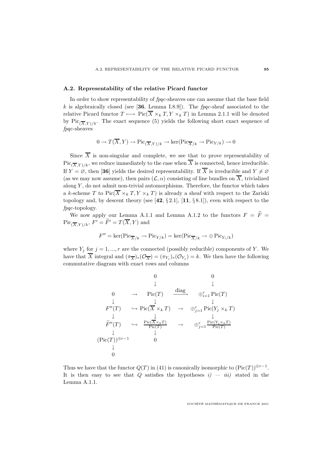### **A.2. Representability of the relative Picard functor**

In order to show representability of fpqc-sheaves one can assume that the base field  $k$  is algebraically closed (see  $[36, \text{ Lemma I.8.9}].$  The fpqc-sheaf associated to the relative Picard functor  $T \mapsto Pic(\overline{X} \times_k T, Y \times_k T)$  in Lemma 2.1.1 will be denoted by Pic<sub>( $\overline{X}$ Y)/k. The exact sequence (5) yields the following short exact sequence of</sub> fpqc-sheaves

$$
0 \to T(\overline{X}, Y) \to \mathrm{Pic}_{(\overline{X}, Y)/k} \to \mathrm{ker}(\mathrm{Pic}_{\overline{X}/k} \to \mathrm{Pic}_{Y/k}) \to 0
$$

Since  $\overline{X}$  is non-singular and complete, we see that to prove representability of  $Pic_{(\overline{X},Y)/k}$ , we reduce immediately to the case when  $\overline{X}$  is connected, hence irreducible. If  $Y = \emptyset$ , then [36] yields the desired representability. If  $\overline{X}$  is irreducible and  $Y \neq \emptyset$ (as we may now assume), then pairs  $(\mathcal{L}, \alpha)$  consisting of line bundles on  $\overline{X}$ , trivialized along  $Y$ , do not admit non-trivial automorphisms. Therefore, the functor which takes a k-scheme T to  $Pic(\overline{X} \times_k T, Y \times_k T)$  is already a sheaf with respect to the Zariski topology and, by descent theory (see [**42**, § 2.1], [**11**, § 8.1]), even with respect to the fpqc-topology.

We now apply our Lemma A.1.1 and Lemma A.1.2 to the functors  $F = \widetilde{F}$  =  $Pic_{(\overline{X},Y)/k}, F' = F' = T(\overline{X},Y)$  and

$$
F'' = \ker(\operatorname{Pic}_{\overline{X}/k} \to \operatorname{Pic}_{Y/k}) = \ker(\operatorname{Pic}_{\overline{X}/k} \to \oplus \operatorname{Pic}_{Y_i/k})
$$

where  $Y_j$  for  $j = 1, ..., r$  are the connected (possibly reducible) components of Y. We have that  $\overline{X}$  integral and  $(\pi_{\overline{X}})_*(\mathcal{O}_{\overline{X}})=(\pi_{Y_i})_*(\mathcal{O}_{Y_i}) = k$ . We then have the following commutative diagram with exact rows and columns

0 0 ↓ ↓ <sup>0</sup> <sup>→</sup> Pic(<sup>T</sup> ) diag −−−−→ ⊕<sup>r</sup> <sup>i</sup>=1 Pic(T ) ↓↓ ↓ F(T ) → Pic(X ×<sup>k</sup> T ) → ⊕<sup>r</sup> <sup>j</sup>=1 Pic(Y<sup>j</sup> ×<sup>k</sup> T ) ↓↓ ↓ <sup>F</sup>(<sup>T</sup> ) <sup>→</sup> Pic(X×kT) Pic(T) → ⊕<sup>r</sup> j=1 Pic(Yj×kT) Pic(T) ↓ ↓ (Pic(T ))⊕r−<sup>1</sup> 0 ↓ 0

Thus we have that the functor  $Q(T)$  in (41) is canonically isomorphic to  $(\text{Pic}(T))\oplus r^{-1}$ . It is then easy to see that Q satisfies the hypotheses  $i$ )  $-$  iii) stated in the Lemma A.1.1.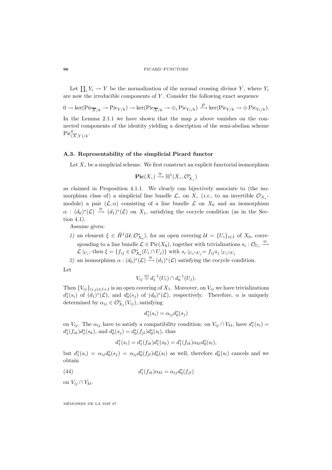#### **96** PICARD FUNCTORS

Let  $\coprod_i Y_i \to Y$  be the normalization of the normal crossing divisor Y, where  $Y_i$ are now the irreducible components of  $Y$ . Consider the following exact sequence

 $0 \to \text{ker}(\text{Pic}_{\overline{X}/k} \to \text{Pic}_{Y/k}) \to \text{ker}(\text{Pic}_{\overline{X}/k} \to \oplus_i \text{Pic}_{Y_i/k}) \xrightarrow{\rho} \text{ker}(\text{Pic}_{Y/k} \to \oplus \text{Pic}_{Y_i/k}).$ In the Lemma 2.1.1 we have shown that the map  $\rho$  above vanishes on the connected components of the identity yielding a description of the semi-abelian scheme  $Pic^0_{\overline{(X},Y)/k}.$ 

### **A.3. Representability of the simplicial Picard functor**

Let  $X$ , be a simplicial scheme. We first construct an explicit functorial isomorphism

$$
\operatorname{Pic}(X_{\scriptscriptstyle\bullet})\xrightarrow{\cong} \mathbb{H}^1(X_{\scriptscriptstyle\bullet},\mathcal{O}_{X_{\scriptscriptstyle\bullet}}^*)
$$

as claimed in Proposition 4.1.1. We clearly can bijectively associate to (the isomorphism class of) a simplicial line bundle  $\mathcal{L}$ , on X. (*i.e.*, to an invertible  $\mathcal{O}_X$ . module) a pair  $(\mathcal{L}, \alpha)$  consisting of a line bundle  $\mathcal L$  on  $X_0$  and an isomorphism  $\alpha$ :  $(d_0)^*(\mathcal{L}) \stackrel{\cong}{\to} (d_1)^*(\mathcal{L})$  on  $X_1$ , satisfying the cocycle condition (as in the Section 4.1).

Assume given:

- 1) an element  $\xi \in \check{H}^1(\mathcal{U}, \mathcal{O}_{X_0}^*)$ , for an open covering  $\mathcal{U} = \{U_i\}_{i \in I}$  of  $X_0$ , corresponding to a line bundle  $\mathcal{L} \in Pic(X_0)$ , together with trivializations  $s_i: \mathcal{O}_{U_i} \stackrel{\cong}{\to}$  $\mathcal{L}\mid_{U_i}$ ; then  $\xi = \{f_{ij} \in \mathcal{O}_{X_0}^*(U_i \cap U_j)\}$  with  $s_i \mid_{U_i \cap U_j} = f_{ij} s_j \mid_{U_i \cap U_j}$
- 2) an isomorphism  $\alpha : (d_0)^*(\mathcal{L}) \stackrel{\cong}{\longrightarrow} (d_1)^*(\mathcal{L})$  satisfying the cocycle condition. Let

$$
V_{ij} \stackrel{\text{def}}{=} d_1^{-1}(U_i) \cap d_0^{-1}(U_j).
$$

Then  ${V_{ij}}_{(i,j)\in I\times I}$  is an open covering of  $X_1$ . Moreover, on  $V_{ij}$  we have trivializations  $d_1^*(s_i)$  of  $(d_1)^*(\mathcal{L})$ , and  $d_0^*(s_j)$  of  $(d_0)^*(\mathcal{L})$ , respectively. Therefore,  $\alpha$  is uniquely determined by  $\alpha_{ij} \in \mathcal{O}_{X_1}^*(V_{ij})$ , satisfying

$$
d_1^*(s_i) = \alpha_{ij} d_0^*(s_j)
$$

on  $V_{ij}$ . The  $\alpha_{ij}$  have to satisfy a compatibility condition: on  $V_{ij} \cap V_{kl}$ , have  $d_1^*(s_i) =$  $d_1^*(f_{ik})d_1^*(s_k)$ , and  $d_0^*(s_j) = d_0^*(f_{jl})d_0^*(s_l)$ , thus

$$
d_1^*(s_i) = d_1^*(f_{ik})d_1^*(s_k) = d_1^*(f_{ik})\alpha_{kl}d_0^*(s_l),
$$

but  $d_1^*(s_i) = \alpha_{ij}d_0^*(s_j) = \alpha_{ij}d_0^*(f_{jl})d_0^*(s_l)$  as well, therefore  $d_0^*(s_l)$  cancels and we obtain

(44) 
$$
d_1^*(f_{ik})\alpha_{kl} = \alpha_{ij}d_0^*(f_{jl})
$$

on  $V_{ij} \cap V_{kl}$ .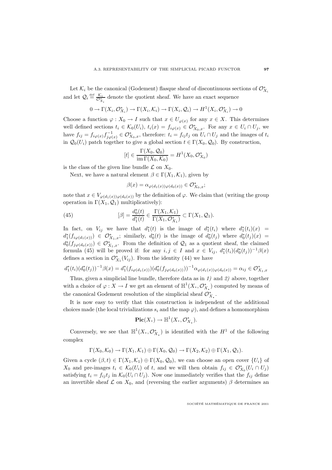Let  $\mathcal{K}_i$  be the canonical (Godement) flasque sheaf of discontinuous sections of  $\mathcal{O}_{X_i}^*$ and let  $\mathcal{Q}_i \stackrel{\text{def}}{=} \frac{\mathcal{K}_i}{\mathcal{O}_{X_i}^*}$  denote the quotient sheaf. We have an exact sequence

$$
0 \to \Gamma(X_i, \mathcal{O}_{X_i}^*) \to \Gamma(X_i, \mathcal{K}_i) \to \Gamma(X_i, \mathcal{Q}_i) \to H^1(X_i, \mathcal{O}_{X_i}^*) \to 0
$$

Choose a function  $\varphi: X_0 \to I$  such that  $x \in U_{\varphi(x)}$  for any  $x \in X$ . This determines well defined sections  $t_i \in \mathcal{K}_0(U_i)$ ,  $t_i(x) = f_{i\varphi(x)} \in \mathcal{O}_{X_0,x}^*$ . For any  $x \in U_i \cap U_j$ , we have  $f_{ij} = f_{i\varphi(x)} f_{j\varphi(x)}^{-1} \in \mathcal{O}_{X_0,x}^*$ , therefore:  $t_i = f_{ij} t_j$  on  $U_i \cap U_j$  and the images of  $t_i$ in  $\mathcal{Q}_0(U_i)$  patch together to give a global section  $t \in \Gamma(X_0, \mathcal{Q}_0)$ . By construction,

$$
[t] \in \frac{\Gamma(X_0, \mathcal{Q}_0)}{\operatorname{im} \Gamma(X_0, \mathcal{K}_0)} = H^1(X_0, \mathcal{O}_{X_0}^*)
$$

is the class of the given line bundle  $\mathcal L$  on  $X_0$ .

Next, we have a natural element  $\beta \in \Gamma(X_1, \mathcal{K}_1)$ , given by

 $\beta(x) = \alpha_{\varphi(d_1(x))\varphi(d_0(x))} \in \mathcal{O}_{X_0,x}^*;$ 

note that  $x \in V_{\varphi(d_1(x))\varphi(d_0(x))}$  by the definition of  $\varphi$ . We claim that (writing the group operation in  $\Gamma(X_1, \mathcal{Q}_1)$  multiplicatively):

(45) 
$$
[\beta] = \frac{d_0^*(t)}{d_1^*(t)} \in \frac{\Gamma(X_1, \mathcal{K}_1)}{\Gamma(X_1, \mathcal{O}_{X_1}^*)} \subset \Gamma(X_1, \mathcal{Q}_1).
$$

In fact, on  $V_{ij}$  we have that  $d_1^*(t)$  is the image of  $d_1^*(t_i)$  where  $d_1^*(t_i)(x)$  =  $d_1^*(f_{i\varphi(d_1(x))}) \in \mathcal{O}_{X_1,x}^*$ ; similarly,  $d_0^*(t)$  is the image of  $d_0^*(t_j)$  where  $d_0^*(t_j)(x) =$  $d_0^*(f_{j\varphi(d_0(x))}) \in \mathcal{O}_{X_1,x}^*$ . From the definition of  $\mathcal{Q}_1$  as a quotient sheaf, the claimed formula (45) will be proved if: for any  $i, j \in I$  and  $x \in V_{ij}$ ,  $d_1^*(t_i)(d_0^*(t_j))^{-1}\beta(x)$ defines a section in  $\mathcal{O}_{X_1}^*(V_{ij})$ . From the identity (44) we have

$$
d_1^*(t_i)(d_0^*(t_j))^{-1}\beta(x) = d_1^*(f_{i\varphi(d_1(x))})(d_0^*(f_{j\varphi(d_0(x))}))^{-1}\alpha_{\varphi(d_1(x))\varphi(d_0(x))} = \alpha_{ij} \in \mathcal{O}_{X_1,x}^*
$$

Thus, given a simplicial line bundle, therefore data as in 1) and 2) above, together with a choice of  $\varphi: X \to I$  we get an element of  $\mathbb{H}^1(X, \mathcal{O}_X^*)$  computed by means of the canonical Godement resolution of the simplicial sheaf  $\mathcal{O}_{X}^*$ .

It is now easy to verify that this construction is independent of the additional choices made (the local trivializations  $s_i$  and the map  $\varphi$ ), and defines a homomorphism

$$
\mathrm{Pic}(X_{\scriptscriptstyle\bullet})\to {\mathbb H}^1(X_{\scriptscriptstyle\bullet}, {\mathcal O}_{X_{\scriptscriptstyle\bullet}}^*).
$$

Conversely, we see that  $\mathbb{H}^1(X, \mathcal{O}_X^*)$  is identified with the  $H^1$  of the following complex

$$
\Gamma(X_0,\mathcal{K}_0)\to \Gamma(X_1,\mathcal{K}_1)\oplus \Gamma(X_0,\mathcal{Q}_0)\to \Gamma(X_2,\mathcal{K}_2)\oplus \Gamma(X_1,\mathcal{Q}_1).
$$

Given a cycle  $(\beta, t) \in \Gamma(X_1, \mathcal{K}_1) \oplus \Gamma(X_0, \mathcal{Q}_0)$ , we can choose an open cover  $\{U_i\}$  of  $X_0$  and pre-images  $t_i \in \mathcal{K}_0(U_i)$  of t, and we will then obtain  $f_{ij} \in \mathcal{O}_{X_0}^*(U_i \cap U_j)$ satisfying  $t_i = f_{ij} t_j$  in  $\mathcal{K}_0(U_i \cap U_j)$ . Now one immediately verifies that the  $f_{ij}$  define an invertible sheaf  $\mathcal L$  on  $X_0$ , and (reversing the earlier arguments)  $\beta$  determines an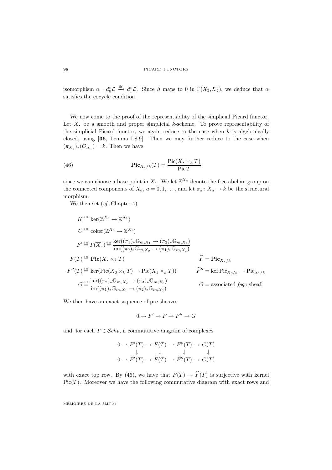#### **98** PICARD FUNCTORS

isomorphism  $\alpha : d_0^* \mathcal{L} \stackrel{\cong}{\longrightarrow} d_1^* \mathcal{L}$ . Since  $\beta$  maps to 0 in  $\Gamma(X_2, \mathcal{K}_2)$ , we deduce that  $\alpha$ satisfies the cocycle condition.

We now come to the proof of the representability of the simplicial Picard functor. Let  $X$ , be a smooth and proper simplicial  $k$ -scheme. To prove representability of the simplicial Picard functor, we again reduce to the case when  $k$  is algebraically closed, using [**36**, Lemma I.8.9]. Then we may further reduce to the case when  $(\pi_{X_{\bullet}})_{*}(\mathcal{O}_{X_{\bullet}})=k$ . Then we have

(46) 
$$
\mathbf{Pic}_{X_{\bullet}/k}(T) = \frac{\operatorname{Pic}(X_{\bullet} \times_k T)}{\operatorname{Pic} T}
$$

since we can choose a base point in X.. We let  $\mathbb{Z}^{X_a}$  denote the free abelian group on the connected components of  $X_a$ ,  $a = 0, 1, \ldots$ , and let  $\pi_a : X_a \to k$  be the structural morphism.

We then set (cf. Chapter 4)

$$
K \stackrel{\text{def}}{=} \ker(\mathbb{Z}^{X_0} \to \mathbb{Z}^{X_1})
$$
  
\n
$$
C \stackrel{\text{def}}{=} \operatorname{coker}(\mathbb{Z}^{X_0} \to \mathbb{Z}^{X_1})
$$
  
\n
$$
F' \stackrel{\text{def}}{=} T(\overline{X}_{\cdot}) \stackrel{\text{def}}{=} \frac{\ker((\pi_1)_* \mathbb{G}_{m, X_1} \to (\pi_2)_* \mathbb{G}_{m, X_2})}{\operatorname{im}((\pi_0)_* \mathbb{G}_{m, X_0} \to (\pi_1)_* \mathbb{G}_{m, X_1})}
$$
  
\n
$$
F(T) \stackrel{\text{def}}{=} \operatorname{Pic}(X_{\cdot} \times_k T)
$$
  
\n
$$
F''(T) \stackrel{\text{def}}{=} \ker(\operatorname{Pic}(X_0 \times_k T) \to \operatorname{Pic}(X_1 \times_k T))
$$
  
\n
$$
G \stackrel{\text{def}}{=} \frac{\ker((\pi_2)_* \mathbb{G}_{m, X_2} \to (\pi_3)_* \mathbb{G}_{m, X_3})}{\operatorname{im}((\pi_1)_* \mathbb{G}_{m, X_1} \to (\pi_2)_* \mathbb{G}_{m, X_2})}
$$
  
\n
$$
\widetilde{G} = \operatorname{associated} f \text{pqc sheaf.}
$$

We then have an exact sequence of pre-sheaves

$$
0 \to F' \to F \to F'' \to G
$$

and, for each  $T \in \mathcal{S}ch_k$ , a commutative diagram of complexes

$$
0 \to F'(T) \to F(T) \to F''(T) \to G(T)
$$
  

$$
\downarrow \qquad \qquad \downarrow \qquad \qquad \downarrow
$$
  

$$
0 \to \tilde{F}'(T) \to \tilde{F}(T) \to \tilde{F}''(T) \to \tilde{G}(T)
$$

with exact top row. By (46), we have that  $F(T) \to \widetilde{F}(T)$  is surjective with kernel  $Pic(T)$ . Moreover we have the following commutative diagram with exact rows and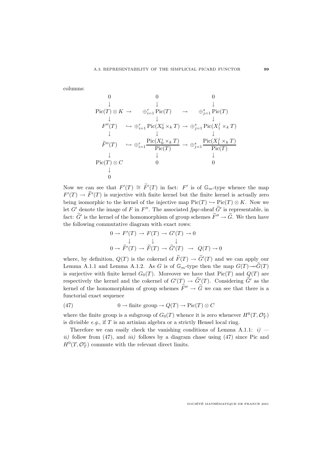columns:

$$
\begin{array}{ccccccccc} 0 & 0 & 0 & 0 \\ \downarrow & \downarrow & & \downarrow \\ \mathrm{Pic}(T)\otimes K \to & \oplus_{i=1}^r\mathrm{Pic}(T) & \to & \oplus_{j=1}^s\mathrm{Pic}(T) \\ \downarrow & & \downarrow & & \downarrow \\ F''(T) & \hookrightarrow \oplus_{i=1}^r\mathrm{Pic}(X_0^i\times_k T) \to \oplus_{j=1}^s\mathrm{Pic}(X_1^j\times_k T) \\ & & \downarrow & & \downarrow \\ \widetilde{F}''(T) & \hookrightarrow \oplus_{i=1}^r\frac{\mathrm{Pic}(X_0^i\times_k T)}{\mathrm{Pic}(T)} \to \oplus_{j=1}^s\frac{\mathrm{Pic}(X_1^j\times_k T)}{\mathrm{Pic}(T)} \\ & & \downarrow & & \downarrow \\ \mathrm{Pic}(T)\otimes C & 0 & 0 \\ & & \downarrow & & 0 \end{array}
$$

Now we can see that  $F'(T) \cong \tilde{F}'(T)$  in fact:  $F'$  is of  $\mathbb{G}_m$ -type whence the map  $F'(T) \to F'(T)$  is surjective with finite kernel but the finite kernel is actually zero being isomorphic to the kernel of the injective map  $Pic(T) \hookrightarrow Pic(T) \otimes K$ . Now we let G' denote the image of F in F''. The associated fpqc-sheaf  $\tilde{G}'$  is representable, in fact:  $\tilde{G}'$  is the kernel of the homomorphism of group schemes  $\tilde{F}'' \to \tilde{G}$ . We then have the following commutative diagram with exact rows:

$$
0 \to F'(T) \to F(T) \to G'(T) \to 0
$$
  

$$
\downarrow \qquad \qquad \downarrow
$$
  

$$
0 \to \widetilde{F}'(T) \to \widetilde{F}(T) \to \widetilde{G}'(T) \to Q(T) \to 0
$$

where, by definition,  $Q(T)$  is the cokernel of  $F(T) \to G'(T)$  and we can apply our Lemma A.1.1 and Lemma A.1.2. As G is of  $\mathbb{G}_m$ -type then the map  $G(T) \rightarrow \widetilde{G}(T)$ is surjective with finite kernel  $G_0(T)$ . Moreover we have that  $Pic(T)$  and  $Q(T)$  are respectively the kernel and the cokernel of  $G'(T) \to G'(T)$ . Considering G' as the kernel of the homomorphism of group schemes  $\tilde{F}'' \to \tilde{G}$  we can see that there is a functorial exact sequence

(47) 
$$
0 \to \text{finite group} \to Q(T) \to \text{Pic}(T) \otimes C
$$

where the finite group is a subgroup of  $G_0(T)$  whence it is zero whenever  $H^0(T, \mathcal{O}_T^*)$ is divisible  $e.g.,$  if  $T$  is an artinian algebra or a strictly Hensel local ring.

Therefore we can easily check the vanishing conditions of Lemma A.1.1:  $i$ ) ii) follow from  $(47)$ , and iii) follows by a diagram chase using  $(47)$  since Pic and  $H^0(T, \mathcal{O}_T^*)$  commute with the relevant direct limits.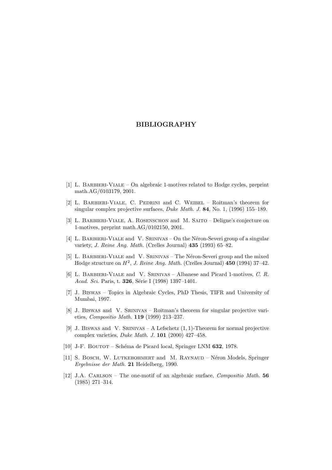## **BIBLIOGRAPHY**

- [1] L. Barbieri-Viale On algebraic 1-motives related to Hodge cycles, preprint math.AG/0103179, 2001.
- [2] L. Barbieri-Viale, C. Pedrini and C. Weibel Roitman's theorem for singular complex projective surfaces, Duke Math. J. **84**, No. 1, (1996) 155–189.
- [3] L. Barbieri-Viale, A. Rosenschon and M. Saito Deligne's conjecture on 1-motives, preprint math.AG/0102150, 2001.
- [4] L. BARBIERI-VIALE and V. SRINIVAS On the Néron-Severi group of a singular variety, J. Reine Ang. Math. (Crelles Journal) **435** (1993) 65–82.
- [5] L. BARBIERI-VIALE and V. SRINIVAS The Néron-Severi group and the mixed Hodge structure on H<sup>2</sup>, J. Reine Ang. Math. (Crelles Journal) **450** (1994) 37–42.
- [6] L. BARBIERI-VIALE and V. SRINIVAS Albanese and Picard 1-motives, C. R. Acad. Sci. Paris, t. **326**, Série I (1998) 1397-1401.
- [7] J. Biswas Topics in Algebraic Cycles, PhD Thesis, TIFR and University of Mumbai, 1997.
- [8] J. Biswas and V. Srinivas Roitman's theorem for singular projective varieties, Compositio Math. **119** (1999) 213–237.
- [9] J. BISWAS and V. SRINIVAS A Lefschetz  $(1, 1)$ -Theorem for normal projective complex varieties, Duke Math. J. **101** (2000) 427–458.
- [10] J-F. BOUTOT Schéma de Picard local, Springer LNM 632, 1978.
- [11] S. BOSCH, W. LUTKEBOHMERT and M. RAYNAUD Néron Models, Springer Ergebnisse der Math. **21** Heidelberg, 1990.
- [12] J.A. Carlson The one-motif of an algebraic surface, Compositio Math. **56** (1985) 271–314.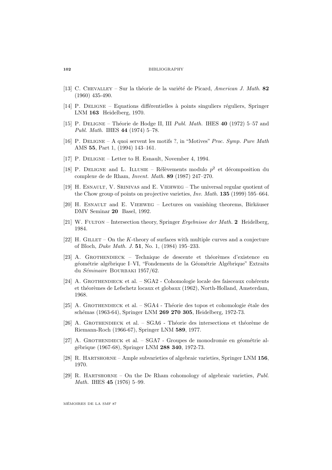#### **102** BIBLIOGRAPHY

- [13] C. CHEVALLEY Sur la théorie de la variété de Picard, American J. Math. 82 (1960) 435-490.
- [14] P. DELIGNE Equations differentielles à points singuliers réguliers, Springer LNM **163** Heidelberg, 1970.
- [15] P. Deligne Th´eorie de Hodge II, III Publ. Math. IHES **40** (1972) 5–57 and Publ. Math. IHES **44** (1974) 5–78.
- [16] P. Deligne A quoi servent les motifs ?, in "Motives" Proc. Symp. Pure Math AMS **55**, Part 1, (1994) 143–161.
- [17] P. Deligne Letter to H. Esnault, November 4, 1994.
- [18] P. DELIGNE and L. ILLUSIE Rélèvements modulo  $p^2$  et décomposition du complexe de de Rham, Invent. Math. **89** (1987) 247–270.
- [19] H. ESNAULT, V. SRINIVAS and E. VIEHWEG The universal regular quotient of the Chow group of points on projective varieties, Inv. Math. **135** (1999) 595–664.
- $[20]$  H. ESNAULT and E. VIEHWEG Lectures on vanishing theorems, Birkäuser DMV Seminar **20** Basel, 1992.
- [21] W. Fulton Intersection theory, Springer Ergebnisse der Math. **2** Heidelberg, 1984.
- [22] H. GILLET On the K-theory of surfaces with multiple curves and a conjecture of Bloch, Duke Math. J. **51**, No. 1, (1984) 195–233.
- $[23]$  A. GROTHENDIECK Technique de descente et théorèmes d'existence en géométrie algébrique I–VI, "Fondements de la Géométrie Algébrique" Extraits du Séminaire BOURBAKI 1957/62.
- [24] A. GROTHENDIECK et al.  $SGA2$  Cohomologie locale des faisceaux cohérents et théorèmes de Lefschetz locaux et globaux (1962), North-Holland, Amsterdam, 1968.
- [25] A. GROTHENDIECK et al.  $SGA4$  Théorie des topos et cohomologie étale des sch´emas (1963-64), Springer LNM **269 270 305**, Heidelberg, 1972-73.
- [26] A. GROTHENDIECK et al.  $SGA6$  Théorie des intersections et théorème de Riemann-Roch (1966-67), Springer LNM **589**, 1977.
- [27] A. GROTHENDIECK et al.  $SGA7$  Groupes de monodromie en géométrie alg´ebrique (1967-68), Springer LNM **288 340**, 1972-73.
- [28] R. Hartshorne Ample subvarieties of algebraic varieties, Springer LNM **156**, 1970.
- [29] R. HARTSHORNE On the De Rham cohomology of algebraic varieties,  $Publ$ . Math. IHES **45** (1976) 5–99.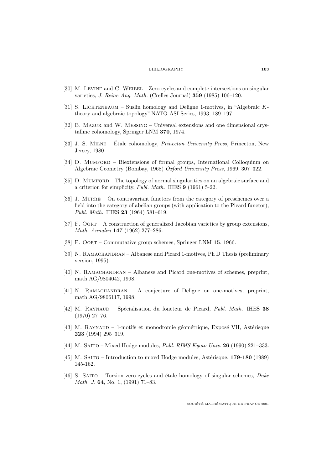## BIBLIOGRAPHY **103**

- [30] M. LEVINE and C. WEIBEL Zero-cycles and complete intersections on singular varieties, J. Reine Ang. Math. (Crelles Journal) **359** (1985) 106–120.
- [31] S. Lichtenbaum Suslin homology and Deligne 1-motives, in "Algebraic Ktheory and algebraic topology" NATO ASI Series, 1993, 189–197.
- [32] B. Mazur and W. Messing Universal extensions and one dimensional crystalline cohomology, Springer LNM **370**, 1974.
- [33] J. S. MILNE Étale cohomology, *Princeton University Press*, Princeton, New Jersey, 1980.
- [34] D. MUMFORD Biextensions of formal groups, International Colloquium on Algebraic Geometry (Bombay, 1968) Oxford University Press, 1969, 307–322.
- [35] D. MUMFORD The topology of normal singularities on an algebraic surface and a criterion for simplicity, Publ. Math. IHES **9** (1961) 5-22.
- [36] J. MURRE On contravariant functors from the category of preschemes over a field into the category of abelian groups (with application to the Picard functor), Publ. Math. IHES **23** (1964) 581–619.
- [37] F. Oort A construction of generalized Jacobian varieties by group extensions, Math. Annalen **147** (1962) 277–286.
- [38] F. Oort Commutative group schemes, Springer LNM **15**, 1966.
- [39] N. RAMACHANDRAN Albanese and Picard 1-motives, Ph D Thesis (preliminary version, 1995).
- [40] N. RAMACHANDRAN Albanese and Picard one-motives of schemes, preprint, math.AG/9804042, 1998.
- [41] N. RAMACHANDRAN A conjecture of Deligne on one-motives, preprint, math.AG/9806117, 1998.
- [42] M. Raynaud Sp´ecialisation du foncteur de Picard, Publ. Math. IHES **38** (1970) 27–76.
- $[43]$  M. RAYNAUD 1-motifs et monodromie géométrique, Exposé VII, Astérisque **223** (1994) 295–319.
- [44] M. Saito Mixed Hodge modules, Publ. RIMS Kyoto Univ. **26** (1990) 221–333.
- [45] M. SAITO Introduction to mixed Hodge modules, Astérisque, **179-180** (1989) 145-162.
- [46] S. SAITO Torsion zero-cycles and étale homology of singular schemes,  $Duke$ Math. J. **64**, No. 1, (1991) 71–83.